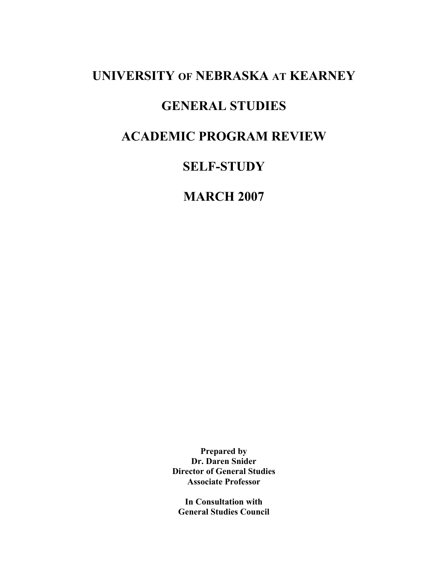# **UNIVERSITY OF NEBRASKA AT KEARNEY**

# **GENERAL STUDIES**

# **ACADEMIC PROGRAM REVIEW**

# **SELF-STUDY**

# **MARCH 2007**

**Prepared by Dr. Daren Snider Director of General Studies Associate Professor** 

**In Consultation with General Studies Council**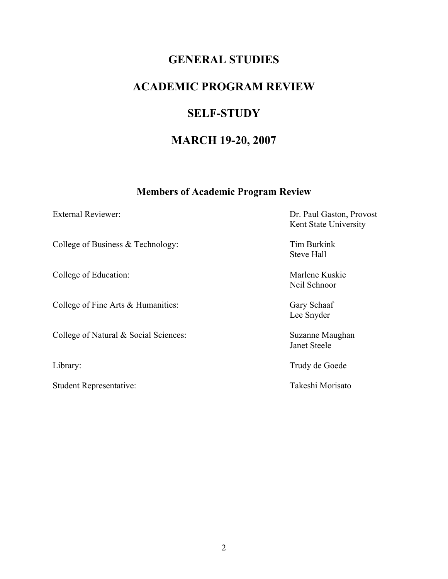# **GENERAL STUDIES**

# **ACADEMIC PROGRAM REVIEW**

# **SELF-STUDY**

# **MARCH 19-20, 2007**

## **Members of Academic Program Review**

College of Business & Technology: Tim Burkink

College of Education: Marlene Kuskie

College of Fine Arts & Humanities: Gary Schaaf

College of Natural & Social Sciences: Suzanne Maughan

Student Representative: Takeshi Morisato

External Reviewer: Dr. Paul Gaston, Provost Kent State University

Steve Hall

Neil Schnoor

Lee Snyder

Janet Steele

Library: Trudy de Goede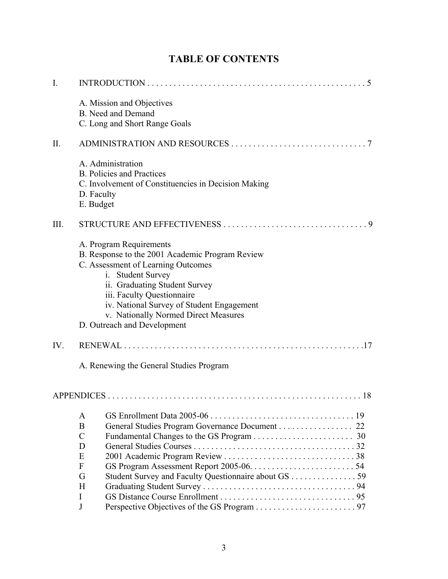| $\mathbf{I}$ . |                                                                                                                                                                                                                                                                                                                          |
|----------------|--------------------------------------------------------------------------------------------------------------------------------------------------------------------------------------------------------------------------------------------------------------------------------------------------------------------------|
|                | A. Mission and Objectives<br><b>B.</b> Need and Demand<br>C. Long and Short Range Goals                                                                                                                                                                                                                                  |
| II.            |                                                                                                                                                                                                                                                                                                                          |
|                | A. Administration<br><b>B.</b> Policies and Practices<br>C. Involvement of Constituencies in Decision Making<br>D. Faculty<br>E. Budget                                                                                                                                                                                  |
| III.           | - 9                                                                                                                                                                                                                                                                                                                      |
|                | A. Program Requirements<br>B. Response to the 2001 Academic Program Review<br>C. Assessment of Learning Outcomes<br>i. Student Survey<br>ii. Graduating Student Survey<br>iii. Faculty Questionnaire<br>iv. National Survey of Student Engagement<br>v. Nationally Normed Direct Measures<br>D. Outreach and Development |
| IV.            |                                                                                                                                                                                                                                                                                                                          |
|                | A. Renewing the General Studies Program                                                                                                                                                                                                                                                                                  |
|                |                                                                                                                                                                                                                                                                                                                          |
|                | A<br>General Studies Program Governance Document 22<br>B<br>$\mathcal{C}$<br>D<br>E<br>F<br>G<br>Student Survey and Faculty Questionnaire about GS 59<br>H<br>I<br>J                                                                                                                                                     |

# **TABLE OF CONTENTS**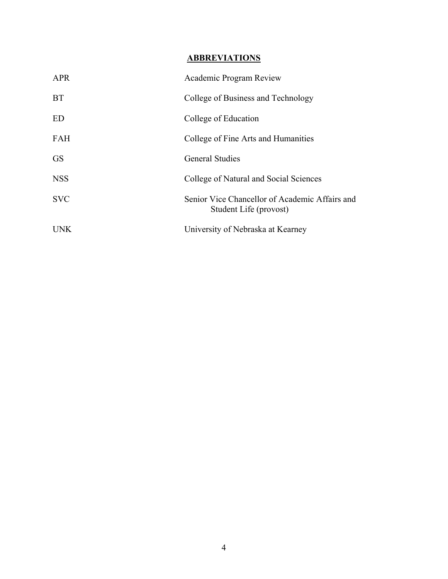## **ABBREVIATIONS**

| <b>APR</b> | Academic Program Review                                                  |
|------------|--------------------------------------------------------------------------|
| <b>BT</b>  | College of Business and Technology                                       |
| <b>ED</b>  | College of Education                                                     |
| <b>FAH</b> | College of Fine Arts and Humanities                                      |
| <b>GS</b>  | <b>General Studies</b>                                                   |
| <b>NSS</b> | College of Natural and Social Sciences                                   |
| <b>SVC</b> | Senior Vice Chancellor of Academic Affairs and<br>Student Life (provost) |
| <b>UNK</b> | University of Nebraska at Kearney                                        |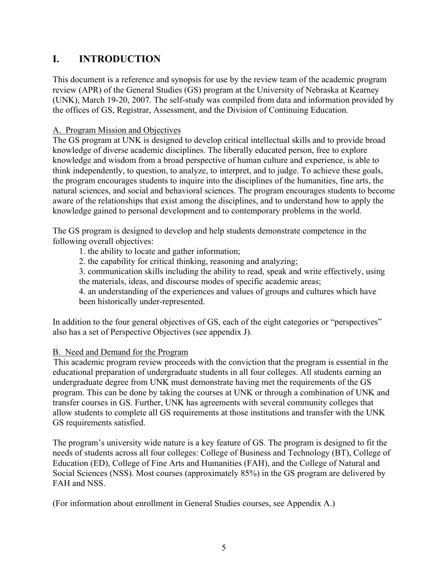# **I. INTRODUCTION**

This document is a reference and synopsis for use by the review team of the academic program review (APR) of the General Studies (GS) program at the University of Nebraska at Kearney (UNK), March 19-20, 2007. The self-study was compiled from data and information provided by the offices of GS, Registrar, Assessment, and the Division of Continuing Education.

## A. Program Mission and Objectives

The GS program at UNK is designed to develop critical intellectual skills and to provide broad knowledge of diverse academic disciplines. The liberally educated person, free to explore knowledge and wisdom from a broad perspective of human culture and experience, is able to think independently, to question, to analyze, to interpret, and to judge. To achieve these goals, the program encourages students to inquire into the disciplines of the humanities, fine arts, the natural sciences, and social and behavioral sciences. The program encourages students to become aware of the relationships that exist among the disciplines, and to understand how to apply the knowledge gained to personal development and to contemporary problems in the world.

The GS program is designed to develop and help students demonstrate competence in the following overall objectives:

1. the ability to locate and gather information;

2. the capability for critical thinking, reasoning and analyzing;

 3. communication skills including the ability to read, speak and write effectively, using the materials, ideas, and discourse modes of specific academic areas;

 4. an understanding of the experiences and values of groups and cultures which have been historically under-represented.

In addition to the four general objectives of GS, each of the eight categories or "perspectives" also has a set of Perspective Objectives (see appendix J).

## B. Need and Demand for the Program

This academic program review proceeds with the conviction that the program is essential in the educational preparation of undergraduate students in all four colleges. All students earning an undergraduate degree from UNK must demonstrate having met the requirements of the GS program. This can be done by taking the courses at UNK or through a combination of UNK and transfer courses in GS. Further, UNK has agreements with several community colleges that allow students to complete all GS requirements at those institutions and transfer with the UNK GS requirements satisfied.

The program's university wide nature is a key feature of GS. The program is designed to fit the needs of students across all four colleges: College of Business and Technology (BT), College of Education (ED), College of Fine Arts and Humanities (FAH), and the College of Natural and Social Sciences (NSS). Most courses (approximately 85%) in the GS program are delivered by FAH and NSS.

(For information about enrollment in General Studies courses, see Appendix A.)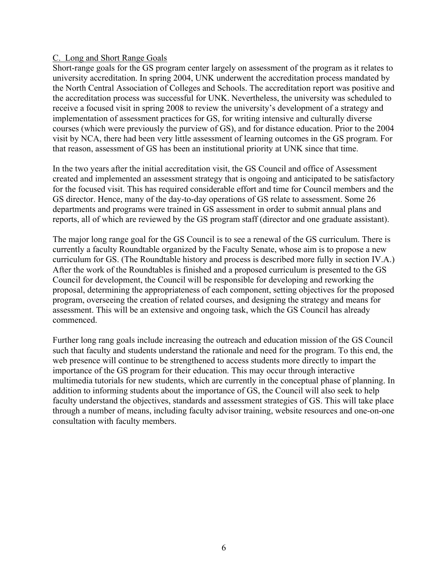### C. Long and Short Range Goals

Short-range goals for the GS program center largely on assessment of the program as it relates to university accreditation. In spring 2004, UNK underwent the accreditation process mandated by the North Central Association of Colleges and Schools. The accreditation report was positive and the accreditation process was successful for UNK. Nevertheless, the university was scheduled to receive a focused visit in spring 2008 to review the university's development of a strategy and implementation of assessment practices for GS, for writing intensive and culturally diverse courses (which were previously the purview of GS), and for distance education. Prior to the 2004 visit by NCA, there had been very little assessment of learning outcomes in the GS program. For that reason, assessment of GS has been an institutional priority at UNK since that time.

In the two years after the initial accreditation visit, the GS Council and office of Assessment created and implemented an assessment strategy that is ongoing and anticipated to be satisfactory for the focused visit. This has required considerable effort and time for Council members and the GS director. Hence, many of the day-to-day operations of GS relate to assessment. Some 26 departments and programs were trained in GS assessment in order to submit annual plans and reports, all of which are reviewed by the GS program staff (director and one graduate assistant).

The major long range goal for the GS Council is to see a renewal of the GS curriculum. There is currently a faculty Roundtable organized by the Faculty Senate, whose aim is to propose a new curriculum for GS. (The Roundtable history and process is described more fully in section IV.A.) After the work of the Roundtables is finished and a proposed curriculum is presented to the GS Council for development, the Council will be responsible for developing and reworking the proposal, determining the appropriateness of each component, setting objectives for the proposed program, overseeing the creation of related courses, and designing the strategy and means for assessment. This will be an extensive and ongoing task, which the GS Council has already commenced.

Further long rang goals include increasing the outreach and education mission of the GS Council such that faculty and students understand the rationale and need for the program. To this end, the web presence will continue to be strengthened to access students more directly to impart the importance of the GS program for their education. This may occur through interactive multimedia tutorials for new students, which are currently in the conceptual phase of planning. In addition to informing students about the importance of GS, the Council will also seek to help faculty understand the objectives, standards and assessment strategies of GS. This will take place through a number of means, including faculty advisor training, website resources and one-on-one consultation with faculty members.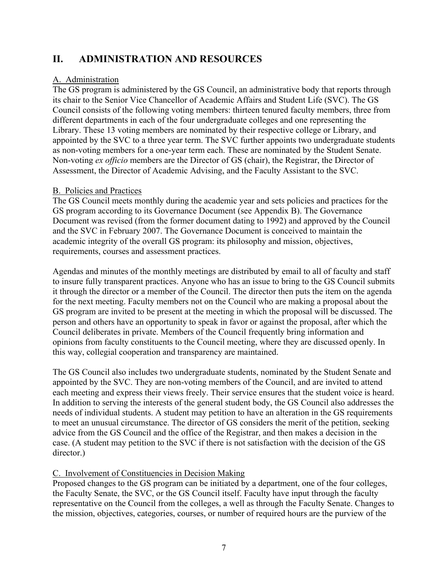# **II. ADMINISTRATION AND RESOURCES**

### A. Administration

The GS program is administered by the GS Council, an administrative body that reports through its chair to the Senior Vice Chancellor of Academic Affairs and Student Life (SVC). The GS Council consists of the following voting members: thirteen tenured faculty members, three from different departments in each of the four undergraduate colleges and one representing the Library. These 13 voting members are nominated by their respective college or Library, and appointed by the SVC to a three year term. The SVC further appoints two undergraduate students as non-voting members for a one-year term each. These are nominated by the Student Senate. Non-voting *ex officio* members are the Director of GS (chair), the Registrar, the Director of Assessment, the Director of Academic Advising, and the Faculty Assistant to the SVC.

### B. Policies and Practices

The GS Council meets monthly during the academic year and sets policies and practices for the GS program according to its Governance Document (see Appendix B). The Governance Document was revised (from the former document dating to 1992) and approved by the Council and the SVC in February 2007. The Governance Document is conceived to maintain the academic integrity of the overall GS program: its philosophy and mission, objectives, requirements, courses and assessment practices.

Agendas and minutes of the monthly meetings are distributed by email to all of faculty and staff to insure fully transparent practices. Anyone who has an issue to bring to the GS Council submits it through the director or a member of the Council. The director then puts the item on the agenda for the next meeting. Faculty members not on the Council who are making a proposal about the GS program are invited to be present at the meeting in which the proposal will be discussed. The person and others have an opportunity to speak in favor or against the proposal, after which the Council deliberates in private. Members of the Council frequently bring information and opinions from faculty constituents to the Council meeting, where they are discussed openly. In this way, collegial cooperation and transparency are maintained.

The GS Council also includes two undergraduate students, nominated by the Student Senate and appointed by the SVC. They are non-voting members of the Council, and are invited to attend each meeting and express their views freely. Their service ensures that the student voice is heard. In addition to serving the interests of the general student body, the GS Council also addresses the needs of individual students. A student may petition to have an alteration in the GS requirements to meet an unusual circumstance. The director of GS considers the merit of the petition, seeking advice from the GS Council and the office of the Registrar, and then makes a decision in the case. (A student may petition to the SVC if there is not satisfaction with the decision of the GS director.)

### C. Involvement of Constituencies in Decision Making

Proposed changes to the GS program can be initiated by a department, one of the four colleges, the Faculty Senate, the SVC, or the GS Council itself. Faculty have input through the faculty representative on the Council from the colleges, a well as through the Faculty Senate. Changes to the mission, objectives, categories, courses, or number of required hours are the purview of the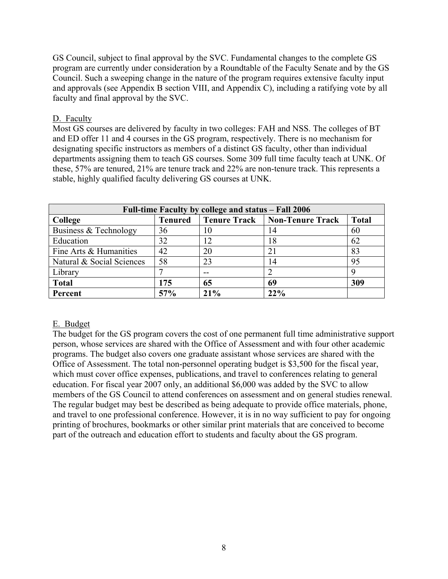GS Council, subject to final approval by the SVC. Fundamental changes to the complete GS program are currently under consideration by a Roundtable of the Faculty Senate and by the GS Council. Such a sweeping change in the nature of the program requires extensive faculty input and approvals (see Appendix B section VIII, and Appendix C), including a ratifying vote by all faculty and final approval by the SVC.

### D. Faculty

Most GS courses are delivered by faculty in two colleges: FAH and NSS. The colleges of BT and ED offer 11 and 4 courses in the GS program, respectively. There is no mechanism for designating specific instructors as members of a distinct GS faculty, other than individual departments assigning them to teach GS courses. Some 309 full time faculty teach at UNK. Of these, 57% are tenured, 21% are tenure track and 22% are non-tenure track. This represents a stable, highly qualified faculty delivering GS courses at UNK.

| Full-time Faculty by college and status – Fall 2006 |                |                     |                         |              |  |
|-----------------------------------------------------|----------------|---------------------|-------------------------|--------------|--|
| College                                             | <b>Tenured</b> | <b>Tenure Track</b> | <b>Non-Tenure Track</b> | <b>Total</b> |  |
| Business & Technology                               | 36             | 10                  | 14                      | 60           |  |
| Education                                           | 32             | 12                  | 18                      | 62           |  |
| Fine Arts & Humanities                              | 42             | 20                  | 21                      | 83           |  |
| Natural & Social Sciences                           | 58             | 23                  | 14                      | 95           |  |
| Library                                             |                |                     |                         | 9            |  |
| <b>Total</b>                                        | 175            | 65                  | 69                      | 309          |  |
| Percent                                             | 57%            | 21%                 | 22%                     |              |  |

### E. Budget

The budget for the GS program covers the cost of one permanent full time administrative support person, whose services are shared with the Office of Assessment and with four other academic programs. The budget also covers one graduate assistant whose services are shared with the Office of Assessment. The total non-personnel operating budget is \$3,500 for the fiscal year, which must cover office expenses, publications, and travel to conferences relating to general education. For fiscal year 2007 only, an additional \$6,000 was added by the SVC to allow members of the GS Council to attend conferences on assessment and on general studies renewal. The regular budget may best be described as being adequate to provide office materials, phone, and travel to one professional conference. However, it is in no way sufficient to pay for ongoing printing of brochures, bookmarks or other similar print materials that are conceived to become part of the outreach and education effort to students and faculty about the GS program.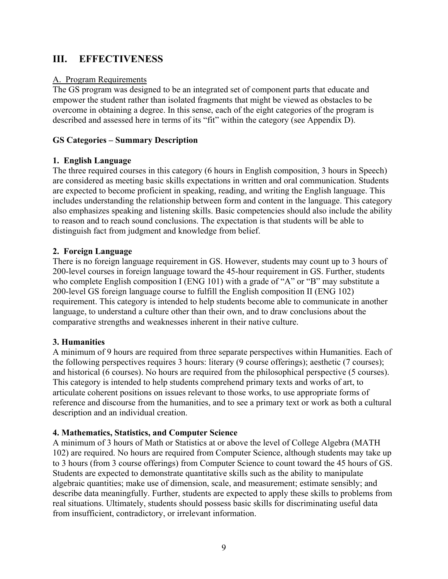## **III. EFFECTIVENESS**

#### A. Program Requirements

The GS program was designed to be an integrated set of component parts that educate and empower the student rather than isolated fragments that might be viewed as obstacles to be overcome in obtaining a degree. In this sense, each of the eight categories of the program is described and assessed here in terms of its "fit" within the category (see Appendix D).

### **GS Categories – Summary Description**

### **1. English Language**

The three required courses in this category (6 hours in English composition, 3 hours in Speech) are considered as meeting basic skills expectations in written and oral communication. Students are expected to become proficient in speaking, reading, and writing the English language. This includes understanding the relationship between form and content in the language. This category also emphasizes speaking and listening skills. Basic competencies should also include the ability to reason and to reach sound conclusions. The expectation is that students will be able to distinguish fact from judgment and knowledge from belief.

### **2. Foreign Language**

There is no foreign language requirement in GS. However, students may count up to 3 hours of 200-level courses in foreign language toward the 45-hour requirement in GS. Further, students who complete English composition I (ENG 101) with a grade of "A" or "B" may substitute a 200-level GS foreign language course to fulfill the English composition II (ENG 102) requirement. This category is intended to help students become able to communicate in another language, to understand a culture other than their own, and to draw conclusions about the comparative strengths and weaknesses inherent in their native culture.

#### **3. Humanities**

A minimum of 9 hours are required from three separate perspectives within Humanities. Each of the following perspectives requires 3 hours: literary (9 course offerings); aesthetic (7 courses); and historical (6 courses). No hours are required from the philosophical perspective (5 courses). This category is intended to help students comprehend primary texts and works of art, to articulate coherent positions on issues relevant to those works, to use appropriate forms of reference and discourse from the humanities, and to see a primary text or work as both a cultural description and an individual creation.

#### **4. Mathematics, Statistics, and Computer Science**

A minimum of 3 hours of Math or Statistics at or above the level of College Algebra (MATH 102) are required. No hours are required from Computer Science, although students may take up to 3 hours (from 3 course offerings) from Computer Science to count toward the 45 hours of GS. Students are expected to demonstrate quantitative skills such as the ability to manipulate algebraic quantities; make use of dimension, scale, and measurement; estimate sensibly; and describe data meaningfully. Further, students are expected to apply these skills to problems from real situations. Ultimately, students should possess basic skills for discriminating useful data from insufficient, contradictory, or irrelevant information.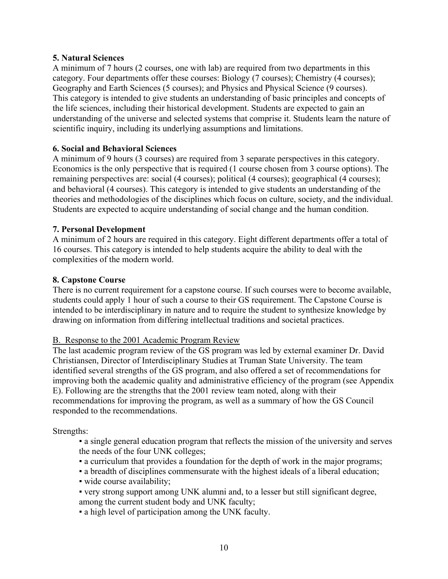### **5. Natural Sciences**

A minimum of 7 hours (2 courses, one with lab) are required from two departments in this category. Four departments offer these courses: Biology (7 courses); Chemistry (4 courses); Geography and Earth Sciences (5 courses); and Physics and Physical Science (9 courses). This category is intended to give students an understanding of basic principles and concepts of the life sciences, including their historical development. Students are expected to gain an understanding of the universe and selected systems that comprise it. Students learn the nature of scientific inquiry, including its underlying assumptions and limitations.

### **6. Social and Behavioral Sciences**

A minimum of 9 hours (3 courses) are required from 3 separate perspectives in this category. Economics is the only perspective that is required (1 course chosen from 3 course options). The remaining perspectives are: social (4 courses); political (4 courses); geographical (4 courses); and behavioral (4 courses). This category is intended to give students an understanding of the theories and methodologies of the disciplines which focus on culture, society, and the individual. Students are expected to acquire understanding of social change and the human condition.

### **7. Personal Development**

A minimum of 2 hours are required in this category. Eight different departments offer a total of 16 courses. This category is intended to help students acquire the ability to deal with the complexities of the modern world.

### **8. Capstone Course**

There is no current requirement for a capstone course. If such courses were to become available, students could apply 1 hour of such a course to their GS requirement. The Capstone Course is intended to be interdisciplinary in nature and to require the student to synthesize knowledge by drawing on information from differing intellectual traditions and societal practices.

#### B. Response to the 2001 Academic Program Review

The last academic program review of the GS program was led by external examiner Dr. David Christiansen, Director of Interdisciplinary Studies at Truman State University. The team identified several strengths of the GS program, and also offered a set of recommendations for improving both the academic quality and administrative efficiency of the program (see Appendix E). Following are the strengths that the 2001 review team noted, along with their recommendations for improving the program, as well as a summary of how the GS Council responded to the recommendations.

Strengths:

- a single general education program that reflects the mission of the university and serves the needs of the four UNK colleges;
- a curriculum that provides a foundation for the depth of work in the major programs;
- a breadth of disciplines commensurate with the highest ideals of a liberal education;
- wide course availability;
- very strong support among UNK alumni and, to a lesser but still significant degree, among the current student body and UNK faculty;
- a high level of participation among the UNK faculty.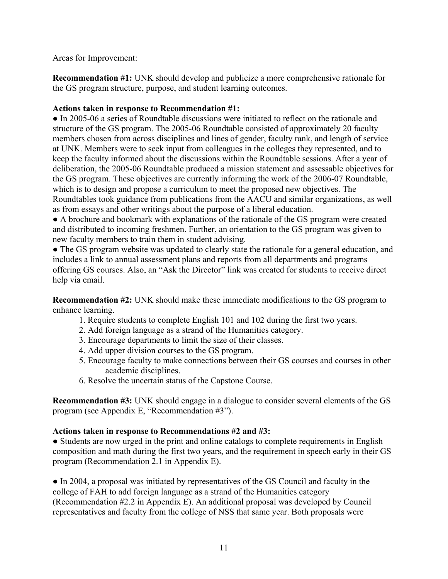Areas for Improvement:

**Recommendation #1:** UNK should develop and publicize a more comprehensive rationale for the GS program structure, purpose, and student learning outcomes.

### **Actions taken in response to Recommendation #1:**

**●** In 2005-06 a series of Roundtable discussions were initiated to reflect on the rationale and structure of the GS program. The 2005-06 Roundtable consisted of approximately 20 faculty members chosen from across disciplines and lines of gender, faculty rank, and length of service at UNK. Members were to seek input from colleagues in the colleges they represented, and to keep the faculty informed about the discussions within the Roundtable sessions. After a year of deliberation, the 2005-06 Roundtable produced a mission statement and assessable objectives for the GS program. These objectives are currently informing the work of the 2006-07 Roundtable, which is to design and propose a curriculum to meet the proposed new objectives. The Roundtables took guidance from publications from the AACU and similar organizations, as well as from essays and other writings about the purpose of a liberal education.

**●** A brochure and bookmark with explanations of the rationale of the GS program were created and distributed to incoming freshmen. Further, an orientation to the GS program was given to new faculty members to train them in student advising.

**●** The GS program website was updated to clearly state the rationale for a general education, and includes a link to annual assessment plans and reports from all departments and programs offering GS courses. Also, an "Ask the Director" link was created for students to receive direct help via email.

**Recommendation #2:** UNK should make these immediate modifications to the GS program to enhance learning.

- 1. Require students to complete English 101 and 102 during the first two years.
- 2. Add foreign language as a strand of the Humanities category.
- 3. Encourage departments to limit the size of their classes.
- 4. Add upper division courses to the GS program.
- 5. Encourage faculty to make connections between their GS courses and courses in other academic disciplines.
- 6. Resolve the uncertain status of the Capstone Course.

**Recommendation #3:** UNK should engage in a dialogue to consider several elements of the GS program (see Appendix E, "Recommendation #3").

### **Actions taken in response to Recommendations #2 and #3:**

**●** Students are now urged in the print and online catalogs to complete requirements in English composition and math during the first two years, and the requirement in speech early in their GS program (Recommendation 2.1 in Appendix E).

**●** In 2004, a proposal was initiated by representatives of the GS Council and faculty in the college of FAH to add foreign language as a strand of the Humanities category (Recommendation #2.2 in Appendix E). An additional proposal was developed by Council representatives and faculty from the college of NSS that same year. Both proposals were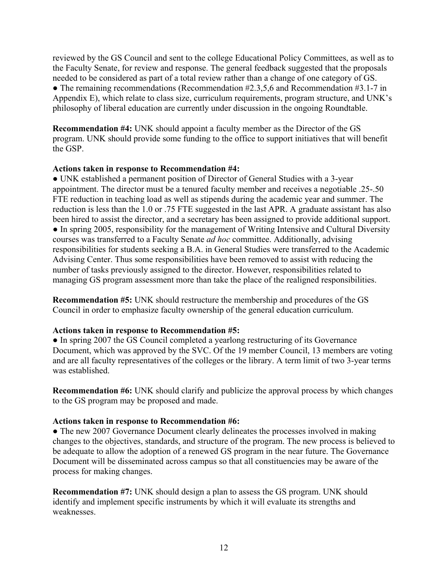reviewed by the GS Council and sent to the college Educational Policy Committees, as well as to the Faculty Senate, for review and response. The general feedback suggested that the proposals needed to be considered as part of a total review rather than a change of one category of GS. • The remaining recommendations (Recommendation #2.3,5,6 and Recommendation #3.1-7 in Appendix E), which relate to class size, curriculum requirements, program structure, and UNK's philosophy of liberal education are currently under discussion in the ongoing Roundtable.

**Recommendation #4:** UNK should appoint a faculty member as the Director of the GS program. UNK should provide some funding to the office to support initiatives that will benefit the GSP.

#### **Actions taken in response to Recommendation #4:**

**●** UNK established a permanent position of Director of General Studies with a 3-year appointment. The director must be a tenured faculty member and receives a negotiable .25-.50 FTE reduction in teaching load as well as stipends during the academic year and summer. The reduction is less than the 1.0 or .75 FTE suggested in the last APR. A graduate assistant has also been hired to assist the director, and a secretary has been assigned to provide additional support. **●** In spring 2005, responsibility for the management of Writing Intensive and Cultural Diversity courses was transferred to a Faculty Senate *ad hoc* committee. Additionally, advising responsibilities for students seeking a B.A. in General Studies were transferred to the Academic Advising Center. Thus some responsibilities have been removed to assist with reducing the number of tasks previously assigned to the director. However, responsibilities related to managing GS program assessment more than take the place of the realigned responsibilities.

**Recommendation #5:** UNK should restructure the membership and procedures of the GS Council in order to emphasize faculty ownership of the general education curriculum.

#### **Actions taken in response to Recommendation #5:**

**●** In spring 2007 the GS Council completed a yearlong restructuring of its Governance Document, which was approved by the SVC. Of the 19 member Council, 13 members are voting and are all faculty representatives of the colleges or the library. A term limit of two 3-year terms was established.

**Recommendation #6:** UNK should clarify and publicize the approval process by which changes to the GS program may be proposed and made.

#### **Actions taken in response to Recommendation #6:**

**●** The new 2007 Governance Document clearly delineates the processes involved in making changes to the objectives, standards, and structure of the program. The new process is believed to be adequate to allow the adoption of a renewed GS program in the near future. The Governance Document will be disseminated across campus so that all constituencies may be aware of the process for making changes.

**Recommendation #7:** UNK should design a plan to assess the GS program. UNK should identify and implement specific instruments by which it will evaluate its strengths and weaknesses.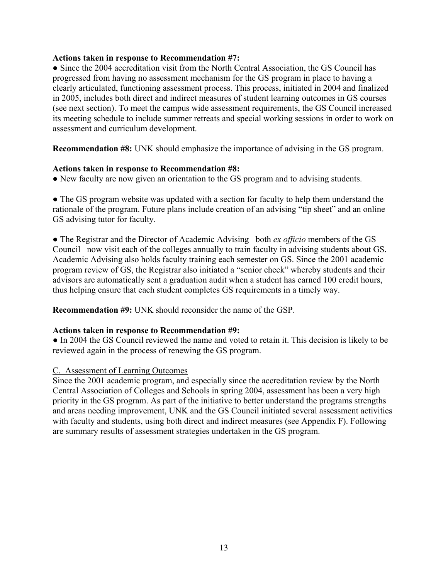#### **Actions taken in response to Recommendation #7:**

**●** Since the 2004 accreditation visit from the North Central Association, the GS Council has progressed from having no assessment mechanism for the GS program in place to having a clearly articulated, functioning assessment process. This process, initiated in 2004 and finalized in 2005, includes both direct and indirect measures of student learning outcomes in GS courses (see next section). To meet the campus wide assessment requirements, the GS Council increased its meeting schedule to include summer retreats and special working sessions in order to work on assessment and curriculum development.

**Recommendation #8:** UNK should emphasize the importance of advising in the GS program.

#### **Actions taken in response to Recommendation #8:**

• New faculty are now given an orientation to the GS program and to advising students.

• The GS program website was updated with a section for faculty to help them understand the rationale of the program. Future plans include creation of an advising "tip sheet" and an online GS advising tutor for faculty.

● The Registrar and the Director of Academic Advising –both *ex officio* members of the GS Council– now visit each of the colleges annually to train faculty in advising students about GS. Academic Advising also holds faculty training each semester on GS. Since the 2001 academic program review of GS, the Registrar also initiated a "senior check" whereby students and their advisors are automatically sent a graduation audit when a student has earned 100 credit hours, thus helping ensure that each student completes GS requirements in a timely way.

**Recommendation #9:** UNK should reconsider the name of the GSP.

#### **Actions taken in response to Recommendation #9:**

● In 2004 the GS Council reviewed the name and voted to retain it. This decision is likely to be reviewed again in the process of renewing the GS program.

#### C. Assessment of Learning Outcomes

Since the 2001 academic program, and especially since the accreditation review by the North Central Association of Colleges and Schools in spring 2004, assessment has been a very high priority in the GS program. As part of the initiative to better understand the programs strengths and areas needing improvement, UNK and the GS Council initiated several assessment activities with faculty and students, using both direct and indirect measures (see Appendix F). Following are summary results of assessment strategies undertaken in the GS program.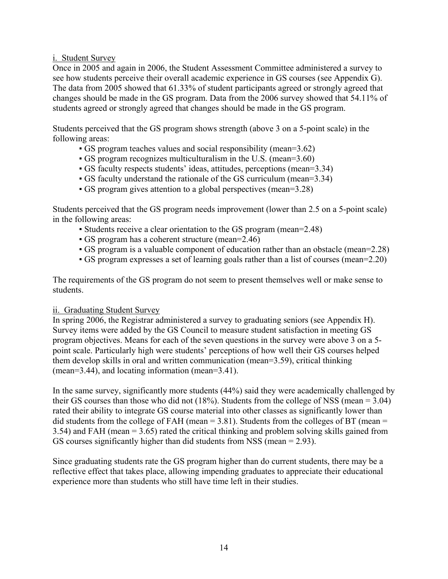### i. Student Survey

Once in 2005 and again in 2006, the Student Assessment Committee administered a survey to see how students perceive their overall academic experience in GS courses (see Appendix G). The data from 2005 showed that 61.33% of student participants agreed or strongly agreed that changes should be made in the GS program. Data from the 2006 survey showed that 54.11% of students agreed or strongly agreed that changes should be made in the GS program.

Students perceived that the GS program shows strength (above 3 on a 5-point scale) in the following areas:

- GS program teaches values and social responsibility (mean=3.62)
- GS program recognizes multiculturalism in the U.S. (mean=3.60)
- GS faculty respects students' ideas, attitudes, perceptions (mean=3.34)
- GS faculty understand the rationale of the GS curriculum (mean=3.34)
- GS program gives attention to a global perspectives (mean=3.28)

Students perceived that the GS program needs improvement (lower than 2.5 on a 5-point scale) in the following areas:

- Students receive a clear orientation to the GS program (mean=2.48)
- GS program has a coherent structure (mean=2.46)
- GS program is a valuable component of education rather than an obstacle (mean=2.28)
- GS program expresses a set of learning goals rather than a list of courses (mean=2.20)

The requirements of the GS program do not seem to present themselves well or make sense to students.

#### ii. Graduating Student Survey

In spring 2006, the Registrar administered a survey to graduating seniors (see Appendix H). Survey items were added by the GS Council to measure student satisfaction in meeting GS program objectives. Means for each of the seven questions in the survey were above 3 on a 5 point scale. Particularly high were students' perceptions of how well their GS courses helped them develop skills in oral and written communication (mean=3.59), critical thinking (mean=3.44), and locating information (mean=3.41).

In the same survey, significantly more students (44%) said they were academically challenged by their GS courses than those who did not (18%). Students from the college of NSS (mean = 3.04) rated their ability to integrate GS course material into other classes as significantly lower than did students from the college of FAH (mean  $= 3.81$ ). Students from the colleges of BT (mean  $=$ 3.54) and FAH (mean = 3.65) rated the critical thinking and problem solving skills gained from GS courses significantly higher than did students from NSS (mean = 2.93).

Since graduating students rate the GS program higher than do current students, there may be a reflective effect that takes place, allowing impending graduates to appreciate their educational experience more than students who still have time left in their studies.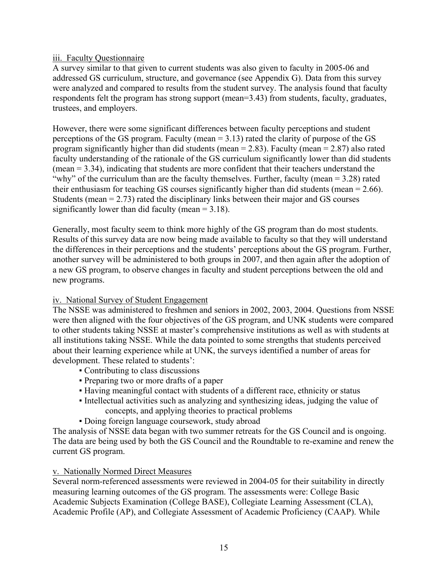### iii. Faculty Questionnaire

A survey similar to that given to current students was also given to faculty in 2005-06 and addressed GS curriculum, structure, and governance (see Appendix G). Data from this survey were analyzed and compared to results from the student survey. The analysis found that faculty respondents felt the program has strong support (mean=3.43) from students, faculty, graduates, trustees, and employers.

However, there were some significant differences between faculty perceptions and student perceptions of the GS program. Faculty (mean = 3.13) rated the clarity of purpose of the GS program significantly higher than did students (mean = 2.83). Faculty (mean = 2.87) also rated faculty understanding of the rationale of the GS curriculum significantly lower than did students (mean = 3.34), indicating that students are more confident that their teachers understand the "why" of the curriculum than are the faculty themselves. Further, faculty (mean = 3.28) rated their enthusiasm for teaching GS courses significantly higher than did students (mean = 2.66). Students (mean = 2.73) rated the disciplinary links between their major and GS courses significantly lower than did faculty (mean = 3.18).

Generally, most faculty seem to think more highly of the GS program than do most students. Results of this survey data are now being made available to faculty so that they will understand the differences in their perceptions and the students' perceptions about the GS program. Further, another survey will be administered to both groups in 2007, and then again after the adoption of a new GS program, to observe changes in faculty and student perceptions between the old and new programs.

### iv. National Survey of Student Engagement

The NSSE was administered to freshmen and seniors in 2002, 2003, 2004. Questions from NSSE were then aligned with the four objectives of the GS program, and UNK students were compared to other students taking NSSE at master's comprehensive institutions as well as with students at all institutions taking NSSE. While the data pointed to some strengths that students perceived about their learning experience while at UNK, the surveys identified a number of areas for development. These related to students':

- Contributing to class discussions
- Preparing two or more drafts of a paper
- Having meaningful contact with students of a different race, ethnicity or status
- Intellectual activities such as analyzing and synthesizing ideas, judging the value of concepts, and applying theories to practical problems
- Doing foreign language coursework, study abroad

The analysis of NSSE data began with two summer retreats for the GS Council and is ongoing. The data are being used by both the GS Council and the Roundtable to re-examine and renew the current GS program.

#### v. Nationally Normed Direct Measures

Several norm-referenced assessments were reviewed in 2004-05 for their suitability in directly measuring learning outcomes of the GS program. The assessments were: College Basic Academic Subjects Examination (College BASE), Collegiate Learning Assessment (CLA), Academic Profile (AP), and Collegiate Assessment of Academic Proficiency (CAAP). While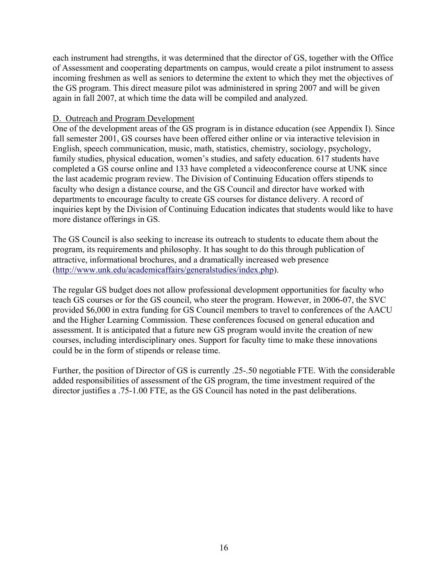each instrument had strengths, it was determined that the director of GS, together with the Office of Assessment and cooperating departments on campus, would create a pilot instrument to assess incoming freshmen as well as seniors to determine the extent to which they met the objectives of the GS program. This direct measure pilot was administered in spring 2007 and will be given again in fall 2007, at which time the data will be compiled and analyzed.

### D. Outreach and Program Development

One of the development areas of the GS program is in distance education (see Appendix I). Since fall semester 2001, GS courses have been offered either online or via interactive television in English, speech communication, music, math, statistics, chemistry, sociology, psychology, family studies, physical education, women's studies, and safety education. 617 students have completed a GS course online and 133 have completed a videoconference course at UNK since the last academic program review. The Division of Continuing Education offers stipends to faculty who design a distance course, and the GS Council and director have worked with departments to encourage faculty to create GS courses for distance delivery. A record of inquiries kept by the Division of Continuing Education indicates that students would like to have more distance offerings in GS.

The GS Council is also seeking to increase its outreach to students to educate them about the program, its requirements and philosophy. It has sought to do this through publication of attractive, informational brochures, and a dramatically increased web presence (http://www.unk.edu/academicaffairs/generalstudies/index.php).

The regular GS budget does not allow professional development opportunities for faculty who teach GS courses or for the GS council, who steer the program. However, in 2006-07, the SVC provided \$6,000 in extra funding for GS Council members to travel to conferences of the AACU and the Higher Learning Commission. These conferences focused on general education and assessment. It is anticipated that a future new GS program would invite the creation of new courses, including interdisciplinary ones. Support for faculty time to make these innovations could be in the form of stipends or release time.

Further, the position of Director of GS is currently .25-.50 negotiable FTE. With the considerable added responsibilities of assessment of the GS program, the time investment required of the director justifies a .75-1.00 FTE, as the GS Council has noted in the past deliberations.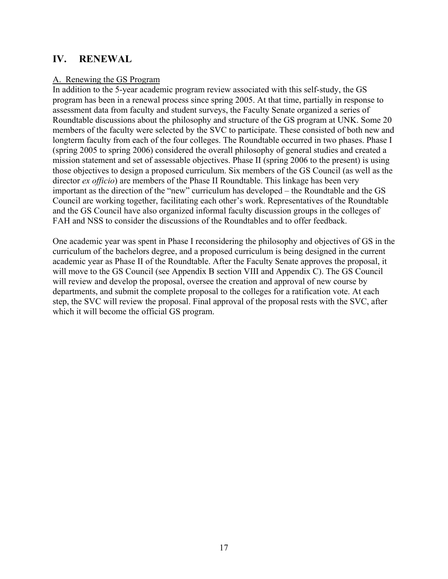## **IV. RENEWAL**

#### A. Renewing the GS Program

In addition to the 5-year academic program review associated with this self-study, the GS program has been in a renewal process since spring 2005. At that time, partially in response to assessment data from faculty and student surveys, the Faculty Senate organized a series of Roundtable discussions about the philosophy and structure of the GS program at UNK. Some 20 members of the faculty were selected by the SVC to participate. These consisted of both new and longterm faculty from each of the four colleges. The Roundtable occurred in two phases. Phase I (spring 2005 to spring 2006) considered the overall philosophy of general studies and created a mission statement and set of assessable objectives. Phase II (spring 2006 to the present) is using those objectives to design a proposed curriculum. Six members of the GS Council (as well as the director *ex officio*) are members of the Phase II Roundtable. This linkage has been very important as the direction of the "new" curriculum has developed – the Roundtable and the GS Council are working together, facilitating each other's work. Representatives of the Roundtable and the GS Council have also organized informal faculty discussion groups in the colleges of FAH and NSS to consider the discussions of the Roundtables and to offer feedback.

One academic year was spent in Phase I reconsidering the philosophy and objectives of GS in the curriculum of the bachelors degree, and a proposed curriculum is being designed in the current academic year as Phase II of the Roundtable. After the Faculty Senate approves the proposal, it will move to the GS Council (see Appendix B section VIII and Appendix C). The GS Council will review and develop the proposal, oversee the creation and approval of new course by departments, and submit the complete proposal to the colleges for a ratification vote. At each step, the SVC will review the proposal. Final approval of the proposal rests with the SVC, after which it will become the official GS program.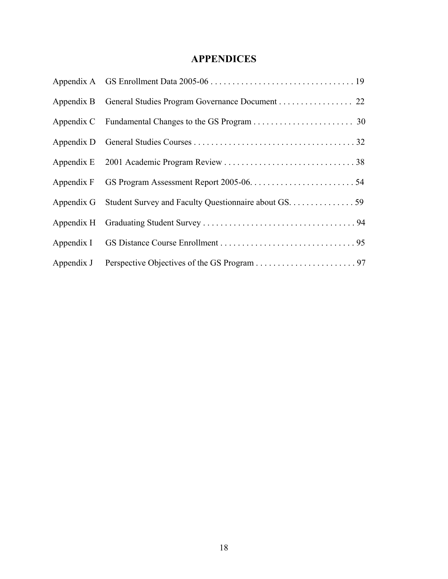# **APPENDICES**

| Appendix B General Studies Program Governance Document 22        |  |
|------------------------------------------------------------------|--|
|                                                                  |  |
|                                                                  |  |
|                                                                  |  |
|                                                                  |  |
| Appendix G Student Survey and Faculty Questionnaire about GS. 59 |  |
|                                                                  |  |
|                                                                  |  |
|                                                                  |  |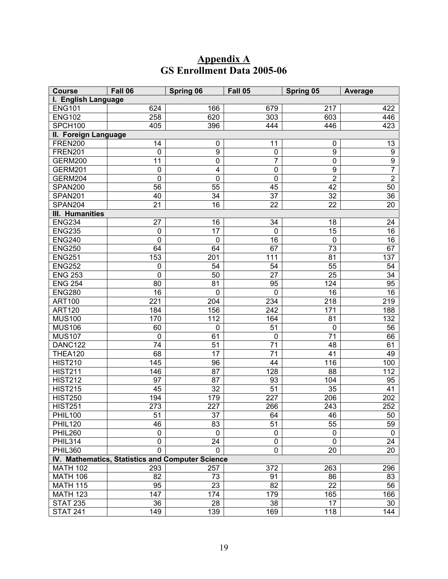# **Appendix A GS Enrollment Data 2005-06**

| <b>Course</b>                                    | Fall 06              | <b>Spring 06</b>        | Fall 05         | Spring 05        | Average         |  |  |  |
|--------------------------------------------------|----------------------|-------------------------|-----------------|------------------|-----------------|--|--|--|
| I. English Language                              |                      |                         |                 |                  |                 |  |  |  |
| <b>ENG101</b>                                    | 624                  | 166                     | 679             | 217              | 422             |  |  |  |
| <b>ENG102</b>                                    | 258                  | 620                     | 303             | 603              | 446             |  |  |  |
| SPCH100                                          | 405                  | 396                     | 444             | 446              | 423             |  |  |  |
|                                                  | II. Foreign Language |                         |                 |                  |                 |  |  |  |
| <b>FREN200</b>                                   | 14                   | 0                       | 11              | 0                | 13              |  |  |  |
| <b>FREN201</b>                                   | $\mathbf 0$          | $\overline{9}$          | $\pmb{0}$       | $\boldsymbol{9}$ | $\overline{9}$  |  |  |  |
| GERM200                                          | 11                   | $\overline{0}$          | $\overline{7}$  | $\pmb{0}$        | $\overline{9}$  |  |  |  |
| <b>GERM201</b>                                   | $\mathbf 0$          | $\overline{\mathbf{4}}$ | $\mathbf 0$     | $\boldsymbol{9}$ | 7               |  |  |  |
| GERM204                                          | $\mathbf 0$          | $\mathbf 0$             | $\mathbf 0$     | $\overline{2}$   | $\overline{2}$  |  |  |  |
| SPAN200                                          | 56                   | 55                      | 45              | 42               | 50              |  |  |  |
| SPAN201                                          | 40                   | $\overline{34}$         | 37              | 32               | $\overline{36}$ |  |  |  |
| SPAN204                                          | $\overline{21}$      | $\overline{16}$         | 22              | 22               | 20              |  |  |  |
| <b>III. Humanities</b>                           |                      |                         |                 |                  |                 |  |  |  |
| <b>ENG234</b>                                    | 27                   | 16                      | 34              | 18               | 24              |  |  |  |
| <b>ENG235</b>                                    | $\mathbf 0$          | 17                      | $\mathbf 0$     | 15               | 16              |  |  |  |
| <b>ENG240</b>                                    | 0                    | $\mathbf 0$             | 16              | $\mathbf 0$      | $\overline{16}$ |  |  |  |
| <b>ENG250</b>                                    | 64                   | 64                      | 67              | 73               | 67              |  |  |  |
| <b>ENG251</b>                                    | 153                  | 201                     | 111             | 81               | 137             |  |  |  |
| <b>ENG252</b>                                    | $\mathbf 0$          | 54                      | 54              | 55               | 54              |  |  |  |
| <b>ENG 253</b>                                   | $\mathbf 0$          | 50                      | 27              | 25               | 34              |  |  |  |
| <b>ENG 254</b>                                   | 80                   | 81                      | 95              | 124              | 95              |  |  |  |
| <b>ENG280</b>                                    | 16                   | $\mathbf 0$             | $\mathbf 0$     | 16               | 16              |  |  |  |
| <b>ART100</b>                                    | 221                  | 204                     | 234             | 218              | 219             |  |  |  |
| <b>ART120</b>                                    | 184                  | 156                     | 242             | 171              | 188             |  |  |  |
| <b>MUS100</b>                                    | 170                  | 112                     | 164             | 81               | 132             |  |  |  |
| <b>MUS106</b>                                    | 60                   | $\mathbf 0$             | 51              | $\mathbf 0$      | 56              |  |  |  |
| <b>MUS107</b>                                    | 0                    | 61                      | $\mathbf 0$     | 71               | 66              |  |  |  |
| DANC122                                          | 74                   | 51                      | 71              | 48               | 61              |  |  |  |
| <b>THEA120</b>                                   | 68                   | $\overline{17}$         | $\overline{71}$ | 41               | 49              |  |  |  |
| <b>HIST210</b>                                   | 145                  | 96                      | 44              | 116              | 100             |  |  |  |
| <b>HIST211</b>                                   | 146                  | 87                      | 128             | 88               | 112             |  |  |  |
| <b>HIST212</b>                                   | 97                   | 87                      | 93              | 104              | 95              |  |  |  |
| <b>HIST215</b>                                   | 45                   | 32                      | 51              | 35               | 41              |  |  |  |
| <b>HIST250</b>                                   | 194                  | 179                     | 227             | 206              | 202             |  |  |  |
| <b>HIST251</b>                                   | 273                  | 227                     | 266             | 243              | 252             |  |  |  |
| <b>PHIL100</b>                                   | 51                   | 37                      | 64              | 46               | 50              |  |  |  |
| <b>PHIL120</b>                                   | 46                   | 83                      | 51              | 55               | 59              |  |  |  |
| <b>PHIL260</b>                                   | 0                    | 0                       | 0               | 0                | 0               |  |  |  |
| PHIL314                                          | 0                    | 24                      | 0               | 0                | 24              |  |  |  |
| <b>PHIL360</b>                                   | $\mathbf 0$          | $\overline{0}$          | 0               | 20               | 20              |  |  |  |
| IV. Mathematics, Statistics and Computer Science |                      |                         |                 |                  |                 |  |  |  |
| <b>MATH 102</b>                                  | 293                  | 257                     | 372             | 263              | 296             |  |  |  |
| <b>MATH 106</b>                                  | 82                   | 73                      | 91              | 86               | 83              |  |  |  |
| <b>MATH 115</b>                                  | 95                   | 23                      | 82              | 22               | 56              |  |  |  |
| <b>MATH 123</b>                                  | 147                  | 174<br>28               | 179             | 165              | 166             |  |  |  |
| <b>STAT 235</b><br><b>STAT 241</b>               | 36<br>149            | 139                     | 38<br>169       | 17<br>118        | 30<br>144       |  |  |  |
|                                                  |                      |                         |                 |                  |                 |  |  |  |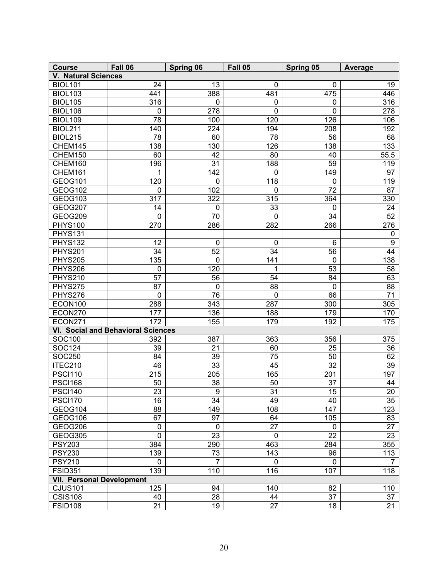| <b>Course</b>                    | Fall 06                            | <b>Spring 06</b> | Fall 05         | Spring 05   | Average         |  |
|----------------------------------|------------------------------------|------------------|-----------------|-------------|-----------------|--|
| <b>V. Natural Sciences</b>       |                                    |                  |                 |             |                 |  |
| <b>BIOL101</b>                   | 24                                 | 13               | 0               | 0           | 19              |  |
| <b>BIOL103</b>                   | 441                                | 388              | 481             | 475         | 446             |  |
| <b>BIOL105</b>                   | 316                                | $\pmb{0}$        | $\mathbf 0$     | 0           | 316             |  |
| <b>BIOL106</b>                   | $\pmb{0}$                          | 278              | $\mathbf 0$     | $\mathbf 0$ | 278             |  |
| <b>BIOL109</b>                   | 78                                 | 100              | 120             | 126         | 106             |  |
| <b>BIOL211</b>                   | 140                                | 224              | 194             | 208         | 192             |  |
| <b>BIOL215</b>                   | 78                                 | 60               | 78              | 56          | 68              |  |
| CHEM145                          | 138                                | 130              | 126             | 138         | 133             |  |
| CHEM150                          | 60                                 | 42               | 80              | 40          | 55.5            |  |
| CHEM160                          | 196                                | 31               | 188             | 59          | 119             |  |
| CHEM161                          | 1                                  | 142              | $\mathbf 0$     | 149         | 97              |  |
| <b>GEOG101</b>                   | 120                                | $\pmb{0}$        | 118             | $\mathbf 0$ | 119             |  |
| GEOG102                          | $\pmb{0}$                          | 102              | $\mathbf 0$     | 72          | 87              |  |
| GEOG103                          | 317                                | 322              | 315             | 364         | 330             |  |
| GEOG207                          | 14                                 | $\pmb{0}$        | 33              | $\mathbf 0$ | 24              |  |
| GEOG209                          | 0                                  | 70               | 0               | 34          | 52              |  |
| <b>PHYS100</b>                   | 270                                | 286              | 282             | 266         | 276             |  |
| <b>PHYS131</b>                   |                                    |                  |                 |             | 0               |  |
| <b>PHYS132</b>                   | 12                                 | 0                | 0               | 6           | $\overline{9}$  |  |
| PHYS201                          | 34                                 | 52               | 34              | 56          | 44              |  |
| PHYS205                          | 135                                | $\pmb{0}$        | 141             | $\mathbf 0$ | 138             |  |
| PHYS206                          | $\pmb{0}$                          | 120              | 1               | 53          | 58              |  |
| <b>PHYS210</b>                   | 57                                 | 56               | 54              | 84          | 63              |  |
| PHYS275                          | 87                                 | $\pmb{0}$        | 88              | $\pmb{0}$   | 88              |  |
| PHYS276                          | $\mathbf 0$                        | 76               | $\pmb{0}$       | 66          | 71              |  |
| ECON100                          | 288                                | 343              | 287             | 300         | 305             |  |
| ECON270                          | 177                                | 136              | 188             | 179         | 170             |  |
| ECON271                          | 172                                | 155              | 179             | 192         | 175             |  |
|                                  | VI. Social and Behavioral Sciences |                  |                 |             |                 |  |
| SOC100                           | 392                                | 387              | 363             | 356         | 375             |  |
| <b>SOC124</b>                    | 39                                 | 21               | 60              | 25          | 36              |  |
| SOC250                           | 84                                 | 39               | 75              | 50          | 62              |  |
| ITEC210                          | 46                                 | 33               | 45              | 32          | 39              |  |
| <b>PSCI110</b>                   | 215                                | 205              | 165             | 201         | 197             |  |
| <b>PSCI168</b>                   | 50                                 | 38               | 50              | 37          | 44              |  |
| <b>PSCI140</b>                   | $\overline{23}$                    | 9                | $\overline{31}$ | 15          | $\overline{20}$ |  |
| <b>PSCI170</b>                   | 16                                 | 34               | 49              | 40          | 35              |  |
| GEOG104                          | 88                                 | 149              | 108             | 147         | 123             |  |
| GEOG106                          | 67                                 | 97               | 64              | 105         | 83              |  |
| GEOG206                          | $\mathbf 0$                        | 0                | 27              | $\mathbf 0$ | 27              |  |
| GEOG305                          | $\mathbf 0$                        | 23               | 0               | 22          | 23              |  |
| <b>PSY203</b>                    | 384                                | 290              | 463             | 284         | 355             |  |
| <b>PSY230</b>                    | 139                                | 73               | 143             | 96          | 113             |  |
| <b>PSY210</b>                    | 0                                  | 7                | 0               | $\mathbf 0$ |                 |  |
| <b>FSID351</b>                   | 139                                | 110              | 116             | 107         | 118             |  |
| <b>VII. Personal Development</b> |                                    |                  |                 |             |                 |  |
| <b>CJUS101</b>                   | 125                                | 94               | 140             | 82          | 110             |  |
| <b>CSIS108</b>                   | 40                                 | 28               | 44              | 37          | 37              |  |
| <b>FSID108</b>                   | 21                                 | $\overline{19}$  | 27              | 18          | $\overline{21}$ |  |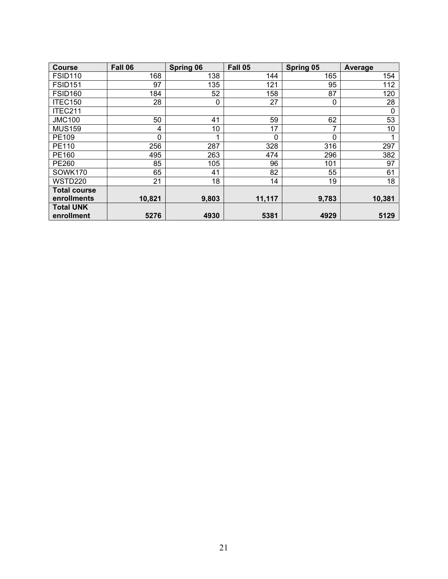| <b>Course</b>                  | Fall 06 | <b>Spring 06</b> | Fall 05 | Spring 05    | Average |
|--------------------------------|---------|------------------|---------|--------------|---------|
| FSID <sub>110</sub>            | 168     | 138              | 144     | 165          | 154     |
| <b>FSID151</b>                 | 97      | 135              | 121     | 95           | 112     |
| <b>FSID160</b>                 | 184     | 52               | 158     | 87           | 120     |
| ITEC150                        | 28      | 0                | 27      | 0            | 28      |
| ITEC211                        |         |                  |         |              | 0       |
| <b>JMC100</b>                  | 50      | 41               | 59      | 62           | 53      |
| <b>MUS159</b>                  | 4       | 10               | 17      | 7            | 10      |
| PE109                          | 0       |                  | 0       | $\mathbf{0}$ |         |
| PE110                          | 256     | 287              | 328     | 316          | 297     |
| PE160                          | 495     | 263              | 474     | 296          | 382     |
| <b>PE260</b>                   | 85      | 105              | 96      | 101          | 97      |
| SOWK170                        | 65      | 41               | 82      | 55           | 61      |
| WSTD220                        | 21      | 18               | 14      | 19           | 18      |
| <b>Total course</b>            |         |                  |         |              |         |
| enrollments                    | 10,821  | 9,803            | 11,117  | 9,783        | 10,381  |
| <b>Total UNK</b><br>enrollment | 5276    | 4930             | 5381    | 4929         | 5129    |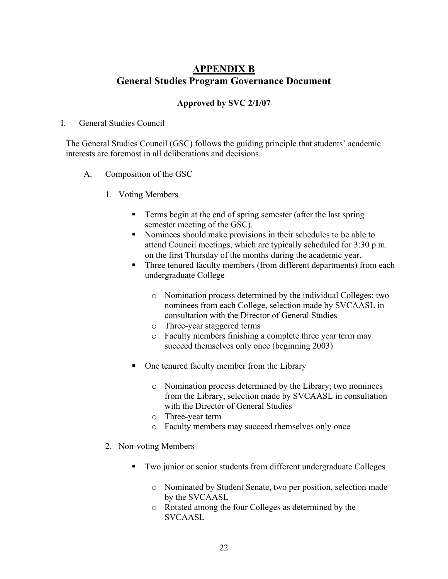# **APPENDIX B General Studies Program Governance Document**

### **Approved by SVC 2/1/07**

I. General Studies Council

The General Studies Council (GSC) follows the guiding principle that students' academic interests are foremost in all deliberations and decisions.

- A. Composition of the GSC
	- 1. Voting Members
		- **Terms begin at the end of spring semester (after the last spring)** semester meeting of the GSC).
		- Nominees should make provisions in their schedules to be able to attend Council meetings, which are typically scheduled for 3:30 p.m. on the first Thursday of the months during the academic year.
		- Three tenured faculty members (from different departments) from each undergraduate College
			- o Nomination process determined by the individual Colleges; two nominees from each College, selection made by SVCAASL in consultation with the Director of General Studies
			- o Three-year staggered terms
			- o Faculty members finishing a complete three year term may succeed themselves only once (beginning 2003)
		- One tenured faculty member from the Library
			- o Nomination process determined by the Library; two nominees from the Library, selection made by SVCAASL in consultation with the Director of General Studies
			- o Three-year term
			- o Faculty members may succeed themselves only once
	- 2. Non-voting Members
		- Two junior or senior students from different undergraduate Colleges
			- o Nominated by Student Senate, two per position, selection made by the SVCAASL
			- o Rotated among the four Colleges as determined by the SVCAASL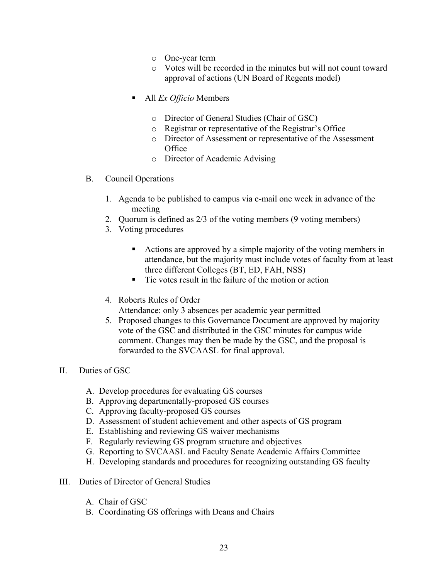- o One-year term
- o Votes will be recorded in the minutes but will not count toward approval of actions (UN Board of Regents model)
- All *Ex Officio* Members
	- o Director of General Studies (Chair of GSC)
	- o Registrar or representative of the Registrar's Office
	- o Director of Assessment or representative of the Assessment **Office**
	- o Director of Academic Advising
- B. Council Operations
	- 1. Agenda to be published to campus via e-mail one week in advance of the meeting
	- 2. Quorum is defined as 2/3 of the voting members (9 voting members)
	- 3. Voting procedures
		- Actions are approved by a simple majority of the voting members in attendance, but the majority must include votes of faculty from at least three different Colleges (BT, ED, FAH, NSS)
		- Tie votes result in the failure of the motion or action
	- 4. Roberts Rules of Order
		- Attendance: only 3 absences per academic year permitted
	- 5. Proposed changes to this Governance Document are approved by majority vote of the GSC and distributed in the GSC minutes for campus wide comment. Changes may then be made by the GSC, and the proposal is forwarded to the SVCAASL for final approval.
- II. Duties of GSC
	- A. Develop procedures for evaluating GS courses
	- B. Approving departmentally-proposed GS courses
	- C. Approving faculty-proposed GS courses
	- D. Assessment of student achievement and other aspects of GS program
	- E. Establishing and reviewing GS waiver mechanisms
	- F. Regularly reviewing GS program structure and objectives
	- G. Reporting to SVCAASL and Faculty Senate Academic Affairs Committee
	- H. Developing standards and procedures for recognizing outstanding GS faculty
- III. Duties of Director of General Studies
	- A. Chair of GSC
	- B. Coordinating GS offerings with Deans and Chairs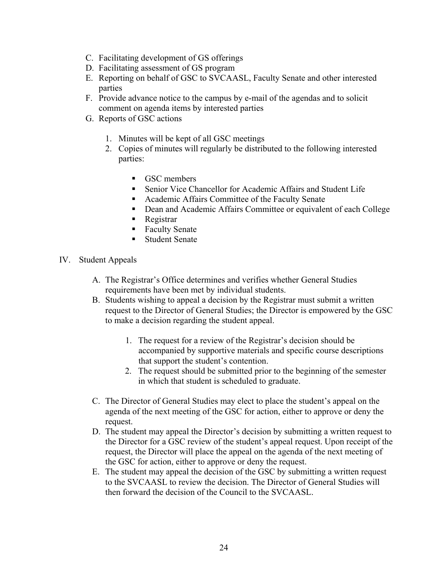- C. Facilitating development of GS offerings
- D. Facilitating assessment of GS program
- E. Reporting on behalf of GSC to SVCAASL, Faculty Senate and other interested parties
- F. Provide advance notice to the campus by e-mail of the agendas and to solicit comment on agenda items by interested parties
- G. Reports of GSC actions
	- 1. Minutes will be kept of all GSC meetings
	- 2. Copies of minutes will regularly be distributed to the following interested parties:
		- GSC members
		- Senior Vice Chancellor for Academic Affairs and Student Life
		- Academic Affairs Committee of the Faculty Senate
		- Dean and Academic Affairs Committee or equivalent of each College
		- **Registrar**
		- Faculty Senate
		- **Student Senate**
- IV. Student Appeals
	- A. The Registrar's Office determines and verifies whether General Studies requirements have been met by individual students.
	- B. Students wishing to appeal a decision by the Registrar must submit a written request to the Director of General Studies; the Director is empowered by the GSC to make a decision regarding the student appeal.
		- 1. The request for a review of the Registrar's decision should be accompanied by supportive materials and specific course descriptions that support the student's contention.
		- 2. The request should be submitted prior to the beginning of the semester in which that student is scheduled to graduate.
	- C. The Director of General Studies may elect to place the student's appeal on the agenda of the next meeting of the GSC for action, either to approve or deny the request.
	- D. The student may appeal the Director's decision by submitting a written request to the Director for a GSC review of the student's appeal request. Upon receipt of the request, the Director will place the appeal on the agenda of the next meeting of the GSC for action, either to approve or deny the request.
	- E. The student may appeal the decision of the GSC by submitting a written request to the SVCAASL to review the decision. The Director of General Studies will then forward the decision of the Council to the SVCAASL.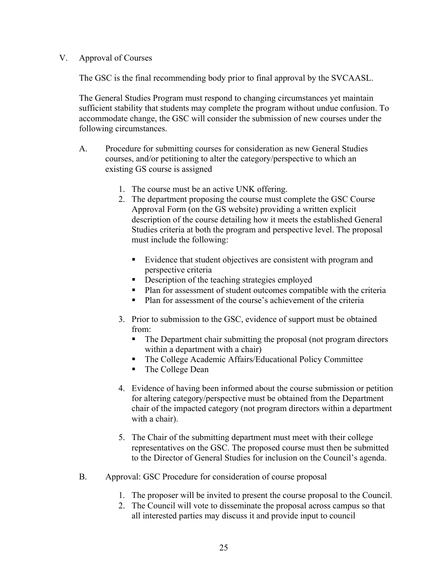### V. Approval of Courses

The GSC is the final recommending body prior to final approval by the SVCAASL.

The General Studies Program must respond to changing circumstances yet maintain sufficient stability that students may complete the program without undue confusion. To accommodate change, the GSC will consider the submission of new courses under the following circumstances.

- A. Procedure for submitting courses for consideration as new General Studies courses, and/or petitioning to alter the category/perspective to which an existing GS course is assigned
	- 1. The course must be an active UNK offering.
	- 2. The department proposing the course must complete the GSC Course Approval Form (on the GS website) providing a written explicit description of the course detailing how it meets the established General Studies criteria at both the program and perspective level. The proposal must include the following:
		- Evidence that student objectives are consistent with program and perspective criteria
		- Description of the teaching strategies employed
		- Plan for assessment of student outcomes compatible with the criteria
		- **Plan for assessment of the course's achievement of the criteria**
	- 3. Prior to submission to the GSC, evidence of support must be obtained from:
		- The Department chair submitting the proposal (not program directors within a department with a chair)
		- The College Academic Affairs/Educational Policy Committee
		- The College Dean
	- 4. Evidence of having been informed about the course submission or petition for altering category/perspective must be obtained from the Department chair of the impacted category (not program directors within a department with a chair).
	- 5. The Chair of the submitting department must meet with their college representatives on the GSC. The proposed course must then be submitted to the Director of General Studies for inclusion on the Council's agenda.
- B. Approval: GSC Procedure for consideration of course proposal
	- 1. The proposer will be invited to present the course proposal to the Council.
	- 2. The Council will vote to disseminate the proposal across campus so that all interested parties may discuss it and provide input to council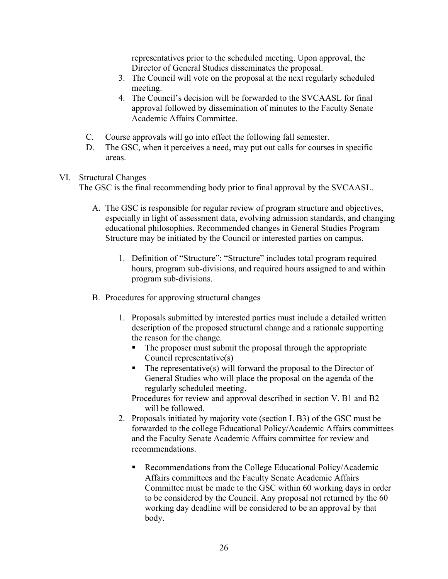representatives prior to the scheduled meeting. Upon approval, the Director of General Studies disseminates the proposal.

- 3. The Council will vote on the proposal at the next regularly scheduled meeting.
- 4. The Council's decision will be forwarded to the SVCAASL for final approval followed by dissemination of minutes to the Faculty Senate Academic Affairs Committee.
- C. Course approvals will go into effect the following fall semester.
- D. The GSC, when it perceives a need, may put out calls for courses in specific areas.

### VI. Structural Changes

The GSC is the final recommending body prior to final approval by the SVCAASL.

- A. The GSC is responsible for regular review of program structure and objectives, especially in light of assessment data, evolving admission standards, and changing educational philosophies. Recommended changes in General Studies Program Structure may be initiated by the Council or interested parties on campus.
	- 1. Definition of "Structure": "Structure" includes total program required hours, program sub-divisions, and required hours assigned to and within program sub-divisions.
- B. Procedures for approving structural changes
	- 1. Proposals submitted by interested parties must include a detailed written description of the proposed structural change and a rationale supporting the reason for the change.
		- The proposer must submit the proposal through the appropriate Council representative(s)
		- $\blacksquare$  The representative(s) will forward the proposal to the Director of General Studies who will place the proposal on the agenda of the regularly scheduled meeting.

Procedures for review and approval described in section V. B1 and B2 will be followed.

- 2. Proposals initiated by majority vote (section I. B3) of the GSC must be forwarded to the college Educational Policy/Academic Affairs committees and the Faculty Senate Academic Affairs committee for review and recommendations.
	- Recommendations from the College Educational Policy/Academic Affairs committees and the Faculty Senate Academic Affairs Committee must be made to the GSC within 60 working days in order to be considered by the Council. Any proposal not returned by the 60 working day deadline will be considered to be an approval by that body.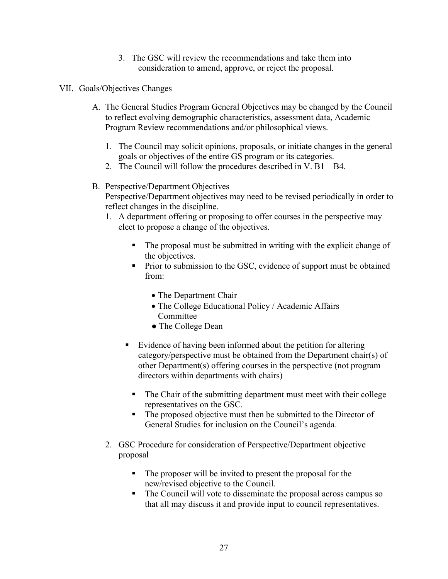- 3. The GSC will review the recommendations and take them into consideration to amend, approve, or reject the proposal.
- VII. Goals/Objectives Changes
	- A. The General Studies Program General Objectives may be changed by the Council to reflect evolving demographic characteristics, assessment data, Academic Program Review recommendations and/or philosophical views.
		- 1. The Council may solicit opinions, proposals, or initiate changes in the general goals or objectives of the entire GS program or its categories.
		- 2. The Council will follow the procedures described in V. B1 B4.

### B. Perspective/Department Objectives

Perspective/Department objectives may need to be revised periodically in order to reflect changes in the discipline.

- 1. A department offering or proposing to offer courses in the perspective may elect to propose a change of the objectives.
	- The proposal must be submitted in writing with the explicit change of the objectives.
	- Prior to submission to the GSC, evidence of support must be obtained from:
		- The Department Chair
		- The College Educational Policy / Academic Affairs Committee
		- The College Dean
	- Evidence of having been informed about the petition for altering category/perspective must be obtained from the Department chair(s) of other Department(s) offering courses in the perspective (not program directors within departments with chairs)
		- The Chair of the submitting department must meet with their college representatives on the GSC.
		- The proposed objective must then be submitted to the Director of General Studies for inclusion on the Council's agenda.
- 2. GSC Procedure for consideration of Perspective/Department objective proposal
	- The proposer will be invited to present the proposal for the new/revised objective to the Council.
	- The Council will vote to disseminate the proposal across campus so that all may discuss it and provide input to council representatives.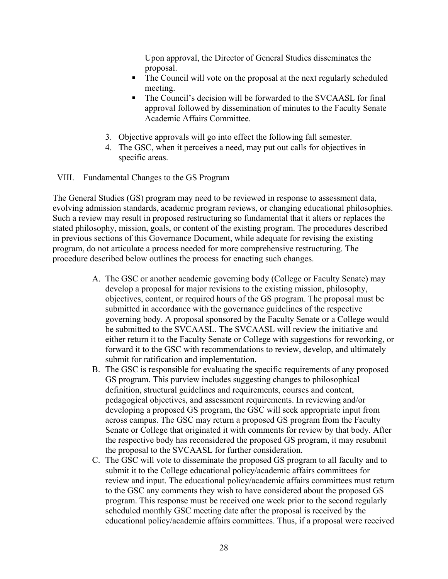Upon approval, the Director of General Studies disseminates the proposal.

- The Council will vote on the proposal at the next regularly scheduled meeting.
- The Council's decision will be forwarded to the SVCAASL for final approval followed by dissemination of minutes to the Faculty Senate Academic Affairs Committee.
- 3. Objective approvals will go into effect the following fall semester.
- 4. The GSC, when it perceives a need, may put out calls for objectives in specific areas.

VIII. Fundamental Changes to the GS Program

The General Studies (GS) program may need to be reviewed in response to assessment data, evolving admission standards, academic program reviews, or changing educational philosophies. Such a review may result in proposed restructuring so fundamental that it alters or replaces the stated philosophy, mission, goals, or content of the existing program. The procedures described in previous sections of this Governance Document, while adequate for revising the existing program, do not articulate a process needed for more comprehensive restructuring. The procedure described below outlines the process for enacting such changes.

- A. The GSC or another academic governing body (College or Faculty Senate) may develop a proposal for major revisions to the existing mission, philosophy, objectives, content, or required hours of the GS program. The proposal must be submitted in accordance with the governance guidelines of the respective governing body. A proposal sponsored by the Faculty Senate or a College would be submitted to the SVCAASL. The SVCAASL will review the initiative and either return it to the Faculty Senate or College with suggestions for reworking, or forward it to the GSC with recommendations to review, develop, and ultimately submit for ratification and implementation.
- B. The GSC is responsible for evaluating the specific requirements of any proposed GS program. This purview includes suggesting changes to philosophical definition, structural guidelines and requirements, courses and content, pedagogical objectives, and assessment requirements. In reviewing and/or developing a proposed GS program, the GSC will seek appropriate input from across campus. The GSC may return a proposed GS program from the Faculty Senate or College that originated it with comments for review by that body. After the respective body has reconsidered the proposed GS program, it may resubmit the proposal to the SVCAASL for further consideration.
- C. The GSC will vote to disseminate the proposed GS program to all faculty and to submit it to the College educational policy/academic affairs committees for review and input. The educational policy/academic affairs committees must return to the GSC any comments they wish to have considered about the proposed GS program. This response must be received one week prior to the second regularly scheduled monthly GSC meeting date after the proposal is received by the educational policy/academic affairs committees. Thus, if a proposal were received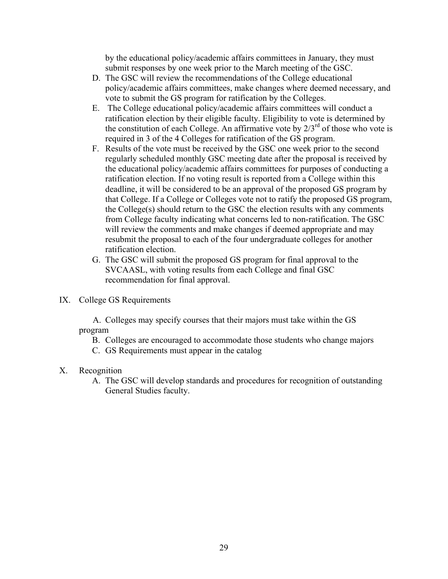by the educational policy/academic affairs committees in January, they must submit responses by one week prior to the March meeting of the GSC.

- D. The GSC will review the recommendations of the College educational policy/academic affairs committees, make changes where deemed necessary, and vote to submit the GS program for ratification by the Colleges.
- E. The College educational policy/academic affairs committees will conduct a ratification election by their eligible faculty. Eligibility to vote is determined by the constitution of each College. An affirmative vote by  $2/3^{rd}$  of those who vote is required in 3 of the 4 Colleges for ratification of the GS program.
- F. Results of the vote must be received by the GSC one week prior to the second regularly scheduled monthly GSC meeting date after the proposal is received by the educational policy/academic affairs committees for purposes of conducting a ratification election. If no voting result is reported from a College within this deadline, it will be considered to be an approval of the proposed GS program by that College. If a College or Colleges vote not to ratify the proposed GS program, the College(s) should return to the GSC the election results with any comments from College faculty indicating what concerns led to non-ratification. The GSC will review the comments and make changes if deemed appropriate and may resubmit the proposal to each of the four undergraduate colleges for another ratification election.
- G. The GSC will submit the proposed GS program for final approval to the SVCAASL, with voting results from each College and final GSC recommendation for final approval.
- IX. College GS Requirements

A. Colleges may specify courses that their majors must take within the GS program

- B. Colleges are encouraged to accommodate those students who change majors
- C. GS Requirements must appear in the catalog
- X. Recognition
	- A. The GSC will develop standards and procedures for recognition of outstanding General Studies faculty.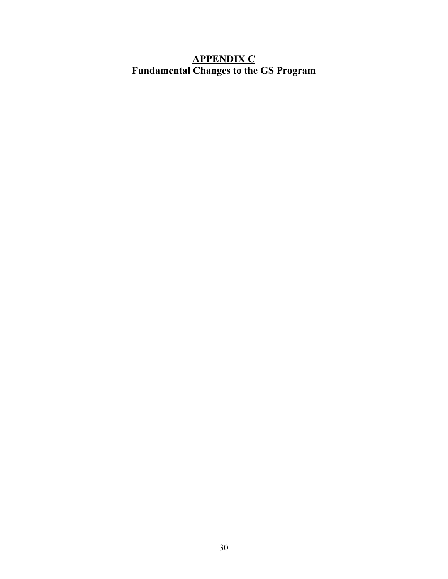# **APPENDIX C Fundamental Changes to the GS Program**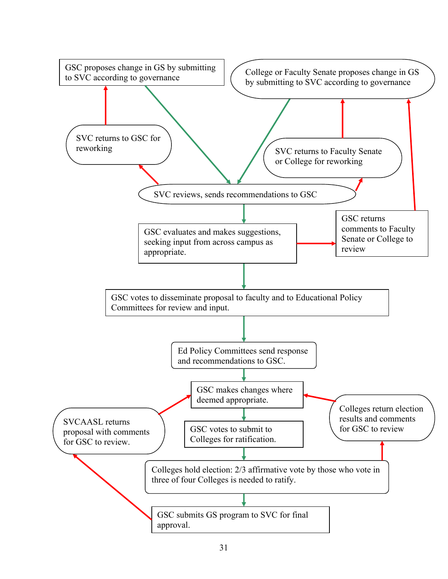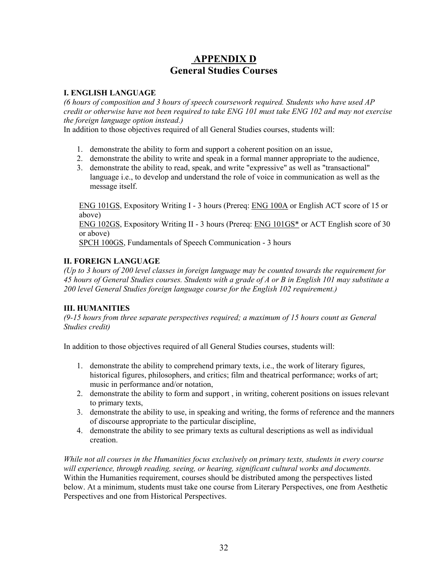# **APPENDIX D General Studies Courses**

#### **I. ENGLISH LANGUAGE**

*(6 hours of composition and 3 hours of speech coursework required. Students who have used AP credit or otherwise have not been required to take ENG 101 must take ENG 102 and may not exercise the foreign language option instead.)*

In addition to those objectives required of all General Studies courses, students will:

- 1. demonstrate the ability to form and support a coherent position on an issue,
- 2. demonstrate the ability to write and speak in a formal manner appropriate to the audience,
- 3. demonstrate the ability to read, speak, and write "expressive" as well as "transactional" language i.e., to develop and understand the role of voice in communication as well as the message itself.

ENG 101GS, Expository Writing I - 3 hours (Prereq: ENG 100A or English ACT score of 15 or above)

ENG 102GS, Expository Writing II - 3 hours (Prereq: ENG 101GS\* or ACT English score of 30 or above)

SPCH 100GS, Fundamentals of Speech Communication - 3 hours

### **II. FOREIGN LANGUAGE**

*(Up to 3 hours of 200 level classes in foreign language may be counted towards the requirement for 45 hours of General Studies courses. Students with a grade of A or B in English 101 may substitute a 200 level General Studies foreign language course for the English 102 requirement.)*

#### **III. HUMANITIES**

*(9-15 hours from three separate perspectives required; a maximum of 15 hours count as General Studies credit)*

In addition to those objectives required of all General Studies courses, students will:

- 1. demonstrate the ability to comprehend primary texts, i.e., the work of literary figures, historical figures, philosophers, and critics; film and theatrical performance; works of art; music in performance and/or notation,
- 2. demonstrate the ability to form and support , in writing, coherent positions on issues relevant to primary texts,
- 3. demonstrate the ability to use, in speaking and writing, the forms of reference and the manners of discourse appropriate to the particular discipline,
- 4. demonstrate the ability to see primary texts as cultural descriptions as well as individual creation.

*While not all courses in the Humanities focus exclusively on primary texts, students in every course will experience, through reading, seeing, or hearing, significant cultural works and documents.*  Within the Humanities requirement, courses should be distributed among the perspectives listed below. At a minimum, students must take one course from Literary Perspectives, one from Aesthetic Perspectives and one from Historical Perspectives.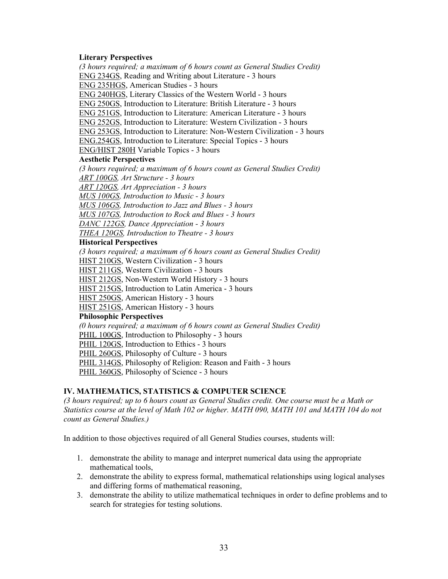#### **Literary Perspectives**

*(3 hours required; a maximum of 6 hours count as General Studies Credit)* ENG 234GS, Reading and Writing about Literature - 3 hours ENG 235HGS, American Studies - 3 hours ENG 240HGS, Literary Classics of the Western World - 3 hours ENG 250GS, Introduction to Literature: British Literature - 3 hours ENG 251GS, Introduction to Literature: American Literature - 3 hours ENG 252GS, Introduction to Literature: Western Civilization - 3 hours ENG 253GS, Introduction to Literature: Non-Western Civilization - 3 hours ENG.254GS, Introduction to Literature: Special Topics - 3 hours ENG/HIST 280H Variable Topics - 3 hours **Aesthetic Perspectives**  *(3 hours required; a maximum of 6 hours count as General Studies Credit) ART 100GS, Art Structure - 3 hours ART 120GS, Art Appreciation - 3 hours MUS 100GS, Introduction to Music - 3 hours MUS 106GS, Introduction to Jazz and Blues - 3 hours MUS 107GS, Introduction to Rock and Blues - 3 hours DANC 122GS, Dance Appreciation - 3 hours THEA 120GS, Introduction to Theatre - 3 hours*  **Historical Perspectives**  *(3 hours required; a maximum of 6 hours count as General Studies Credit)* HIST 210GS, Western Civilization - 3 hours HIST 211GS, Western Civilization - 3 hours HIST 212GS, Non-Western World History - 3 hours HIST 215GS, Introduction to Latin America - 3 hours HIST 250GS, American History - 3 hours HIST 251GS, American History - 3 hours **Philosophic Perspectives**  *(0 hours required; a maximum of 6 hours count as General Studies Credit)*  PHIL 100GS, Introduction to Philosophy - 3 hours PHIL 120GS, Introduction to Ethics - 3 hours PHIL 260GS, Philosophy of Culture - 3 hours PHIL 314GS, Philosophy of Religion: Reason and Faith - 3 hours PHIL 360GS, Philosophy of Science - 3 hours

#### **IV. MATHEMATICS, STATISTICS & COMPUTER SCIENCE**

*(3 hours required; up to 6 hours count as General Studies credit. One course must be a Math or Statistics course at the level of Math 102 or higher. MATH 090, MATH 101 and MATH 104 do not count as General Studies.)*

In addition to those objectives required of all General Studies courses, students will:

- 1. demonstrate the ability to manage and interpret numerical data using the appropriate mathematical tools,
- 2. demonstrate the ability to express formal, mathematical relationships using logical analyses and differing forms of mathematical reasoning,
- 3. demonstrate the ability to utilize mathematical techniques in order to define problems and to search for strategies for testing solutions.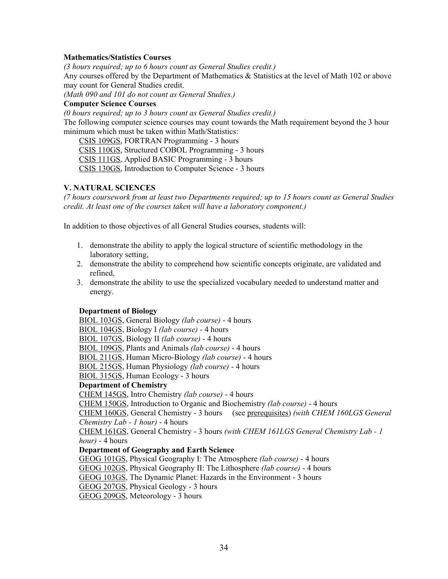#### **Mathematics/Statistics Courses**

*(3 hours required; up to 6 hours count as General Studies credit.)*

Any courses offered by the Department of Mathematics & Statistics at the level of Math 102 or above may count for General Studies credit.

*(Math 090 and 101 do not count as General Studies.)*

#### **Computer Science Courses**

*(0 hours required; up to 3 hours count as General Studies credit.)* The following computer science courses may count towards the Math requirement beyond the 3 hour minimum which must be taken within Math/Statistics:

CSIS 109GS, FORTRAN Programming - 3 hours

CSIS 110GS, Structured COBOL Programming - 3 hours

CSIS 111GS, Applied BASIC Programming - 3 hours

CSIS 130GS, Introduction to Computer Science - 3 hours

#### **V. NATURAL SCIENCES**

*(7 hours coursework from at least two Departments required; up to 15 hours count as General Studies credit. At least one of the courses taken will have a laboratory component.)*

In addition to those objectives of all General Studies courses, students will:

- 1. demonstrate the ability to apply the logical structure of scientific methodology in the laboratory setting,
- 2. demonstrate the ability to comprehend how scientific concepts originate, are validated and refined,
- 3. demonstrate the ability to use the specialized vocabulary needed to understand matter and energy.

#### **Department of Biology**

BIOL 103GS, General Biology *(lab course)* - 4 hours

BIOL 104GS, Biology I *(lab course)* - 4 hours

BIOL 107GS, Biology II *(lab course)* - 4 hours

BIOL 109GS, Plants and Animals *(lab course)* - 4 hours

BIOL 211GS, Human Micro-Biology *(lab course)* - 4 hours

BIOL 215GS, Human Physiology *(lab course)* - 4 hours

BIOL 315GS, Human Ecology - 3 hours

#### **Department of Chemistry**

CHEM 145GS, Intro Chemistry *(lab course)* - 4 hours

CHEM 150GS, Introduction to Organic and Biochemistry *(lab course)* - 4 hours

CHEM 160GS, General Chemistry - 3 hours (see prerequisites) *(with CHEM 160LGS General Chemistry Lab - 1 hour)* - 4 hours

CHEM 161GS, General Chemistry - 3 hours *(with CHEM 161LGS General Chemistry Lab - 1 hour)* - 4 hours

#### **Department of Geography and Earth Science**

GEOG 101GS, Physical Geography I: The Atmosphere *(lab course)* - 4 hours

GEOG 102GS, Physical Geography II: The Lithosphere *(lab course)* - 4 hours

GEOG 103GS, The Dynamic Planet: Hazards in the Environment - 3 hours

GEOG 207GS, Physical Geology - 3 hours

GEOG 209GS, Meteorology - 3 hours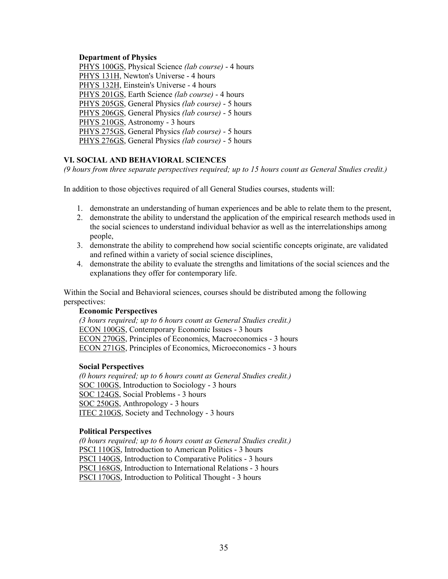#### **Department of Physics**

PHYS 100GS, Physical Science *(lab course)* - 4 hours PHYS 131H, Newton's Universe - 4 hours PHYS 132H, Einstein's Universe - 4 hours PHYS 201GS, Earth Science *(lab course)* - 4 hours PHYS 205GS, General Physics *(lab course)* - 5 hours PHYS 206GS, General Physics *(lab course)* - 5 hours PHYS 210GS, Astronomy - 3 hours PHYS 275GS, General Physics *(lab course)* - 5 hours PHYS 276GS, General Physics *(lab course)* - 5 hours

#### **VI. SOCIAL AND BEHAVIORAL SCIENCES**

*(9 hours from three separate perspectives required; up to 15 hours count as General Studies credit.)*

In addition to those objectives required of all General Studies courses, students will:

- 1. demonstrate an understanding of human experiences and be able to relate them to the present,
- 2. demonstrate the ability to understand the application of the empirical research methods used in the social sciences to understand individual behavior as well as the interrelationships among people,
- 3. demonstrate the ability to comprehend how social scientific concepts originate, are validated and refined within a variety of social science disciplines,
- 4. demonstrate the ability to evaluate the strengths and limitations of the social sciences and the explanations they offer for contemporary life.

Within the Social and Behavioral sciences, courses should be distributed among the following perspectives:

#### **Economic Perspectives**

*(3 hours required; up to 6 hours count as General Studies credit.)* ECON 100GS, Contemporary Economic Issues - 3 hours ECON 270GS, Principles of Economics, Macroeconomics - 3 hours ECON 271GS, Principles of Economics, Microeconomics - 3 hours

#### **Social Perspectives**

*(0 hours required; up to 6 hours count as General Studies credit.)* SOC 100GS, Introduction to Sociology - 3 hours SOC 124GS, Social Problems - 3 hours SOC 250GS, Anthropology - 3 hours ITEC 210GS, Society and Technology - 3 hours

#### **Political Perspectives**

*(0 hours required; up to 6 hours count as General Studies credit.)* PSCI 110GS, Introduction to American Politics - 3 hours PSCI 140GS, Introduction to Comparative Politics - 3 hours PSCI 168GS, Introduction to International Relations - 3 hours PSCI 170GS, Introduction to Political Thought - 3 hours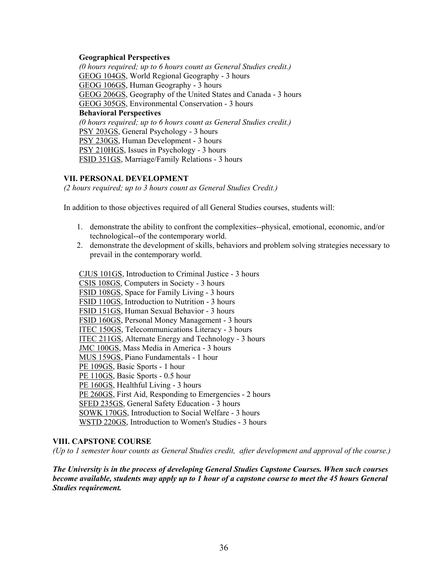#### **Geographical Perspectives**

*(0 hours required; up to 6 hours count as General Studies credit.)* GEOG 104GS, World Regional Geography - 3 hours GEOG 106GS, Human Geography - 3 hours GEOG 206GS, Geography of the United States and Canada - 3 hours GEOG 305GS, Environmental Conservation - 3 hours **Behavioral Perspectives**  *(0 hours required; up to 6 hours count as General Studies credit.)* PSY 203GS, General Psychology - 3 hours PSY 230GS, Human Development - 3 hours PSY 210HGS, Issues in Psychology - 3 hours FSID 351GS, Marriage/Family Relations - 3 hours

#### **VII. PERSONAL DEVELOPMENT**

*(2 hours required; up to 3 hours count as General Studies Credit.)*

In addition to those objectives required of all General Studies courses, students will:

- 1. demonstrate the ability to confront the complexities--physical, emotional, economic, and/or technological--of the contemporary world.
- 2. demonstrate the development of skills, behaviors and problem solving strategies necessary to prevail in the contemporary world.

CJUS 101GS, Introduction to Criminal Justice - 3 hours CSIS 108GS, Computers in Society - 3 hours FSID 108GS, Space for Family Living - 3 hours FSID 110GS, Introduction to Nutrition - 3 hours FSID 151GS, Human Sexual Behavior - 3 hours FSID 160GS, Personal Money Management - 3 hours ITEC 150GS, Telecommunications Literacy - 3 hours ITEC 211GS, Alternate Energy and Technology - 3 hours JMC 100GS, Mass Media in America - 3 hours MUS 159GS, Piano Fundamentals - 1 hour PE 109GS, Basic Sports - 1 hour PE 110GS, Basic Sports - 0.5 hour PE 160GS, Healthful Living - 3 hours PE 260GS, First Aid, Responding to Emergencies - 2 hours SFED 235GS, General Safety Education - 3 hours SOWK 170GS, Introduction to Social Welfare - 3 hours WSTD 220GS, Introduction to Women's Studies - 3 hours

#### **VIII. CAPSTONE COURSE**

*(Up to 1 semester hour counts as General Studies credit, after development and approval of the course.)*

*The University is in the process of developing General Studies Capstone Courses. When such courses become available, students may apply up to 1 hour of a capstone course to meet the 45 hours General Studies requirement.*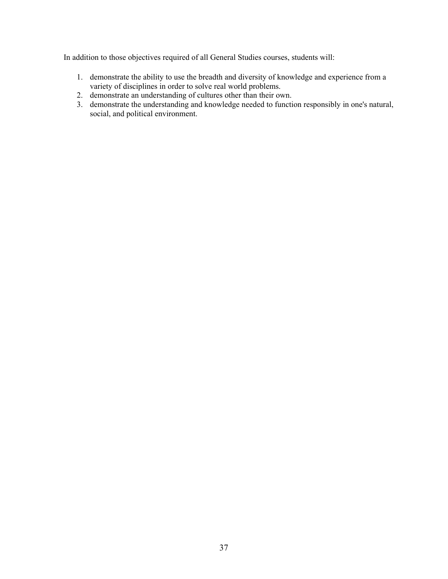In addition to those objectives required of all General Studies courses, students will:

- 1. demonstrate the ability to use the breadth and diversity of knowledge and experience from a variety of disciplines in order to solve real world problems.
- 2. demonstrate an understanding of cultures other than their own.
- 3. demonstrate the understanding and knowledge needed to function responsibly in one's natural, social, and political environment.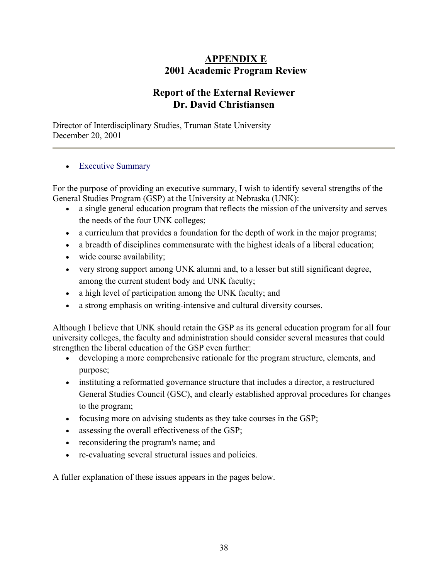# **APPENDIX E 2001 Academic Program Review**

# **Report of the External Reviewer Dr. David Christiansen**

Director of Interdisciplinary Studies, Truman State University December 20, 2001

## • Executive Summary

For the purpose of providing an executive summary, I wish to identify several strengths of the General Studies Program (GSP) at the University at Nebraska (UNK):

- a single general education program that reflects the mission of the university and serves the needs of the four UNK colleges;
- a curriculum that provides a foundation for the depth of work in the major programs;
- a breadth of disciplines commensurate with the highest ideals of a liberal education;
- wide course availability;
- very strong support among UNK alumni and, to a lesser but still significant degree, among the current student body and UNK faculty;
- a high level of participation among the UNK faculty; and
- a strong emphasis on writing-intensive and cultural diversity courses.

Although I believe that UNK should retain the GSP as its general education program for all four university colleges, the faculty and administration should consider several measures that could strengthen the liberal education of the GSP even further:

- developing a more comprehensive rationale for the program structure, elements, and purpose;
- instituting a reformatted governance structure that includes a director, a restructured General Studies Council (GSC), and clearly established approval procedures for changes to the program;
- focusing more on advising students as they take courses in the GSP;
- assessing the overall effectiveness of the GSP;
- reconsidering the program's name; and
- re-evaluating several structural issues and policies.

A fuller explanation of these issues appears in the pages below.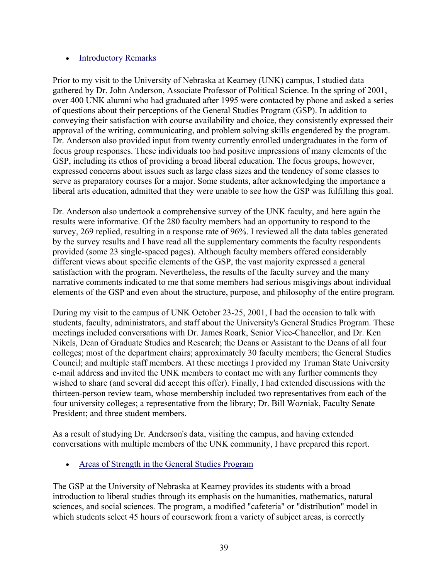### • Introductory Remarks

Prior to my visit to the University of Nebraska at Kearney (UNK) campus, I studied data gathered by Dr. John Anderson, Associate Professor of Political Science. In the spring of 2001, over 400 UNK alumni who had graduated after 1995 were contacted by phone and asked a series of questions about their perceptions of the General Studies Program (GSP). In addition to conveying their satisfaction with course availability and choice, they consistently expressed their approval of the writing, communicating, and problem solving skills engendered by the program. Dr. Anderson also provided input from twenty currently enrolled undergraduates in the form of focus group responses. These individuals too had positive impressions of many elements of the GSP, including its ethos of providing a broad liberal education. The focus groups, however, expressed concerns about issues such as large class sizes and the tendency of some classes to serve as preparatory courses for a major. Some students, after acknowledging the importance a liberal arts education, admitted that they were unable to see how the GSP was fulfilling this goal.

Dr. Anderson also undertook a comprehensive survey of the UNK faculty, and here again the results were informative. Of the 280 faculty members had an opportunity to respond to the survey, 269 replied, resulting in a response rate of 96%. I reviewed all the data tables generated by the survey results and I have read all the supplementary comments the faculty respondents provided (some 23 single-spaced pages). Although faculty members offered considerably different views about specific elements of the GSP, the vast majority expressed a general satisfaction with the program. Nevertheless, the results of the faculty survey and the many narrative comments indicated to me that some members had serious misgivings about individual elements of the GSP and even about the structure, purpose, and philosophy of the entire program.

During my visit to the campus of UNK October 23-25, 2001, I had the occasion to talk with students, faculty, administrators, and staff about the University's General Studies Program. These meetings included conversations with Dr. James Roark, Senior Vice-Chancellor, and Dr. Ken Nikels, Dean of Graduate Studies and Research; the Deans or Assistant to the Deans of all four colleges; most of the department chairs; approximately 30 faculty members; the General Studies Council; and multiple staff members. At these meetings I provided my Truman State University e-mail address and invited the UNK members to contact me with any further comments they wished to share (and several did accept this offer). Finally, I had extended discussions with the thirteen-person review team, whose membership included two representatives from each of the four university colleges; a representative from the library; Dr. Bill Wozniak, Faculty Senate President; and three student members.

As a result of studying Dr. Anderson's data, visiting the campus, and having extended conversations with multiple members of the UNK community, I have prepared this report.

• Areas of Strength in the General Studies Program

The GSP at the University of Nebraska at Kearney provides its students with a broad introduction to liberal studies through its emphasis on the humanities, mathematics, natural sciences, and social sciences. The program, a modified "cafeteria" or "distribution" model in which students select 45 hours of coursework from a variety of subject areas, is correctly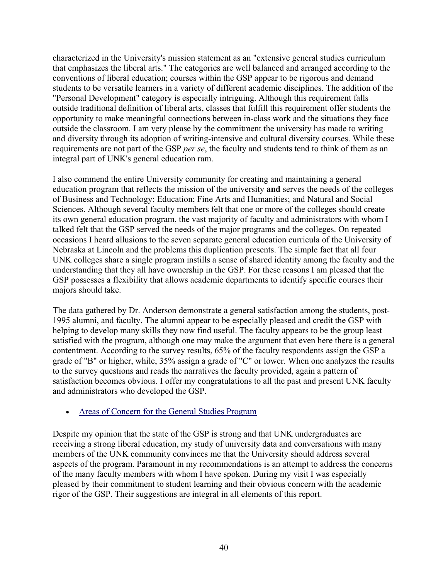characterized in the University's mission statement as an "extensive general studies curriculum that emphasizes the liberal arts." The categories are well balanced and arranged according to the conventions of liberal education; courses within the GSP appear to be rigorous and demand students to be versatile learners in a variety of different academic disciplines. The addition of the "Personal Development" category is especially intriguing. Although this requirement falls outside traditional definition of liberal arts, classes that fulfill this requirement offer students the opportunity to make meaningful connections between in-class work and the situations they face outside the classroom. I am very please by the commitment the university has made to writing and diversity through its adoption of writing-intensive and cultural diversity courses. While these requirements are not part of the GSP *per se*, the faculty and students tend to think of them as an integral part of UNK's general education ram.

I also commend the entire University community for creating and maintaining a general education program that reflects the mission of the university **and** serves the needs of the colleges of Business and Technology; Education; Fine Arts and Humanities; and Natural and Social Sciences. Although several faculty members felt that one or more of the colleges should create its own general education program, the vast majority of faculty and administrators with whom I talked felt that the GSP served the needs of the major programs and the colleges. On repeated occasions I heard allusions to the seven separate general education curricula of the University of Nebraska at Lincoln and the problems this duplication presents. The simple fact that all four UNK colleges share a single program instills a sense of shared identity among the faculty and the understanding that they all have ownership in the GSP. For these reasons I am pleased that the GSP possesses a flexibility that allows academic departments to identify specific courses their majors should take.

The data gathered by Dr. Anderson demonstrate a general satisfaction among the students, post-1995 alumni, and faculty. The alumni appear to be especially pleased and credit the GSP with helping to develop many skills they now find useful. The faculty appears to be the group least satisfied with the program, although one may make the argument that even here there is a general contentment. According to the survey results, 65% of the faculty respondents assign the GSP a grade of "B" or higher, while, 35% assign a grade of "C" or lower. When one analyzes the results to the survey questions and reads the narratives the faculty provided, again a pattern of satisfaction becomes obvious. I offer my congratulations to all the past and present UNK faculty and administrators who developed the GSP.

## • Areas of Concern for the General Studies Program

Despite my opinion that the state of the GSP is strong and that UNK undergraduates are receiving a strong liberal education, my study of university data and conversations with many members of the UNK community convinces me that the University should address several aspects of the program. Paramount in my recommendations is an attempt to address the concerns of the many faculty members with whom I have spoken. During my visit I was especially pleased by their commitment to student learning and their obvious concern with the academic rigor of the GSP. Their suggestions are integral in all elements of this report.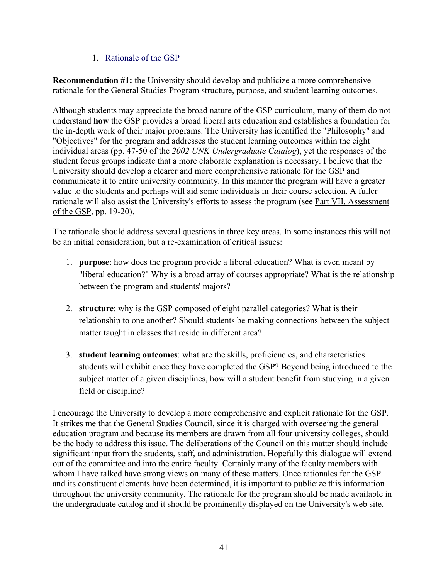## 1. Rationale of the GSP

**Recommendation #1:** the University should develop and publicize a more comprehensive rationale for the General Studies Program structure, purpose, and student learning outcomes.

Although students may appreciate the broad nature of the GSP curriculum, many of them do not understand **how** the GSP provides a broad liberal arts education and establishes a foundation for the in-depth work of their major programs. The University has identified the "Philosophy" and "Objectives" for the program and addresses the student learning outcomes within the eight individual areas (pp. 47-50 of the *2002 UNK Undergraduate Catalog*), yet the responses of the student focus groups indicate that a more elaborate explanation is necessary. I believe that the University should develop a clearer and more comprehensive rationale for the GSP and communicate it to entire university community. In this manner the program will have a greater value to the students and perhaps will aid some individuals in their course selection. A fuller rationale will also assist the University's efforts to assess the program (see Part VII. Assessment of the GSP, pp. 19-20).

The rationale should address several questions in three key areas. In some instances this will not be an initial consideration, but a re-examination of critical issues:

- 1. **purpose**: how does the program provide a liberal education? What is even meant by "liberal education?" Why is a broad array of courses appropriate? What is the relationship between the program and students' majors?
- 2. **structure**: why is the GSP composed of eight parallel categories? What is their relationship to one another? Should students be making connections between the subject matter taught in classes that reside in different area?
- 3. **student learning outcomes**: what are the skills, proficiencies, and characteristics students will exhibit once they have completed the GSP? Beyond being introduced to the subject matter of a given disciplines, how will a student benefit from studying in a given field or discipline?

I encourage the University to develop a more comprehensive and explicit rationale for the GSP. It strikes me that the General Studies Council, since it is charged with overseeing the general education program and because its members are drawn from all four university colleges, should be the body to address this issue. The deliberations of the Council on this matter should include significant input from the students, staff, and administration. Hopefully this dialogue will extend out of the committee and into the entire faculty. Certainly many of the faculty members with whom I have talked have strong views on many of these matters. Once rationales for the GSP and its constituent elements have been determined, it is important to publicize this information throughout the university community. The rationale for the program should be made available in the undergraduate catalog and it should be prominently displayed on the University's web site.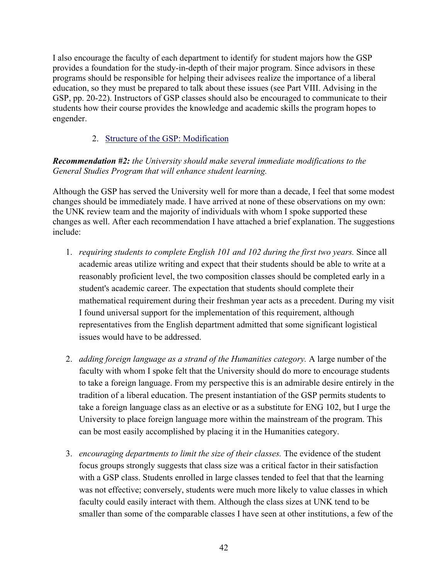I also encourage the faculty of each department to identify for student majors how the GSP provides a foundation for the study-in-depth of their major program. Since advisors in these programs should be responsible for helping their advisees realize the importance of a liberal education, so they must be prepared to talk about these issues (see Part VIII. Advising in the GSP, pp. 20-22). Instructors of GSP classes should also be encouraged to communicate to their students how their course provides the knowledge and academic skills the program hopes to engender.

2. Structure of the GSP: Modification

*Recommendation #2: the University should make several immediate modifications to the General Studies Program that will enhance student learning.* 

Although the GSP has served the University well for more than a decade, I feel that some modest changes should be immediately made. I have arrived at none of these observations on my own: the UNK review team and the majority of individuals with whom I spoke supported these changes as well. After each recommendation I have attached a brief explanation. The suggestions include:

- 1. *requiring students to complete English 101 and 102 during the first two years.* Since all academic areas utilize writing and expect that their students should be able to write at a reasonably proficient level, the two composition classes should be completed early in a student's academic career. The expectation that students should complete their mathematical requirement during their freshman year acts as a precedent. During my visit I found universal support for the implementation of this requirement, although representatives from the English department admitted that some significant logistical issues would have to be addressed.
- 2. *adding foreign language as a strand of the Humanities category.* A large number of the faculty with whom I spoke felt that the University should do more to encourage students to take a foreign language. From my perspective this is an admirable desire entirely in the tradition of a liberal education. The present instantiation of the GSP permits students to take a foreign language class as an elective or as a substitute for ENG 102, but I urge the University to place foreign language more within the mainstream of the program. This can be most easily accomplished by placing it in the Humanities category.
- 3. *encouraging departments to limit the size of their classes.* The evidence of the student focus groups strongly suggests that class size was a critical factor in their satisfaction with a GSP class. Students enrolled in large classes tended to feel that that the learning was not effective; conversely, students were much more likely to value classes in which faculty could easily interact with them. Although the class sizes at UNK tend to be smaller than some of the comparable classes I have seen at other institutions, a few of the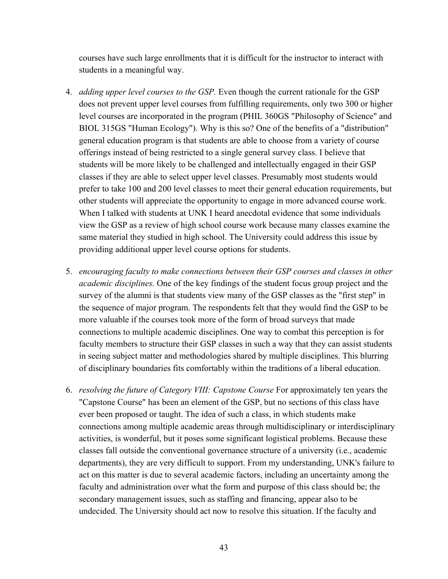courses have such large enrollments that it is difficult for the instructor to interact with students in a meaningful way.

- 4. *adding upper level courses to the GSP.* Even though the current rationale for the GSP does not prevent upper level courses from fulfilling requirements, only two 300 or higher level courses are incorporated in the program (PHIL 360GS "Philosophy of Science" and BIOL 315GS "Human Ecology"). Why is this so? One of the benefits of a "distribution" general education program is that students are able to choose from a variety of course offerings instead of being restricted to a single general survey class. I believe that students will be more likely to be challenged and intellectually engaged in their GSP classes if they are able to select upper level classes. Presumably most students would prefer to take 100 and 200 level classes to meet their general education requirements, but other students will appreciate the opportunity to engage in more advanced course work. When I talked with students at UNK I heard anecdotal evidence that some individuals view the GSP as a review of high school course work because many classes examine the same material they studied in high school. The University could address this issue by providing additional upper level course options for students.
- 5. *encouraging faculty to make connections between their GSP courses and classes in other academic disciplines.* One of the key findings of the student focus group project and the survey of the alumni is that students view many of the GSP classes as the "first step" in the sequence of major program. The respondents felt that they would find the GSP to be more valuable if the courses took more of the form of broad surveys that made connections to multiple academic disciplines. One way to combat this perception is for faculty members to structure their GSP classes in such a way that they can assist students in seeing subject matter and methodologies shared by multiple disciplines. This blurring of disciplinary boundaries fits comfortably within the traditions of a liberal education.
- 6. *resolving the future of Category VIII: Capstone Course* For approximately ten years the "Capstone Course" has been an element of the GSP, but no sections of this class have ever been proposed or taught. The idea of such a class, in which students make connections among multiple academic areas through multidisciplinary or interdisciplinary activities, is wonderful, but it poses some significant logistical problems. Because these classes fall outside the conventional governance structure of a university (i.e., academic departments), they are very difficult to support. From my understanding, UNK's failure to act on this matter is due to several academic factors, including an uncertainty among the faculty and administration over what the form and purpose of this class should be; the secondary management issues, such as staffing and financing, appear also to be undecided. The University should act now to resolve this situation. If the faculty and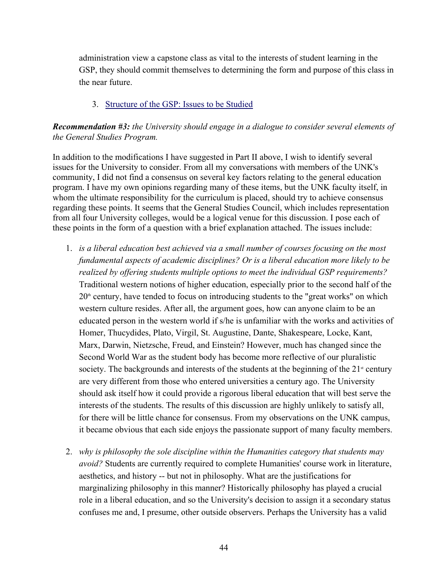administration view a capstone class as vital to the interests of student learning in the GSP, they should commit themselves to determining the form and purpose of this class in the near future.

### 3. Structure of the GSP: Issues to be Studied

*Recommendation #3: the University should engage in a dialogue to consider several elements of the General Studies Program.* 

In addition to the modifications I have suggested in Part II above, I wish to identify several issues for the University to consider. From all my conversations with members of the UNK's community, I did not find a consensus on several key factors relating to the general education program. I have my own opinions regarding many of these items, but the UNK faculty itself, in whom the ultimate responsibility for the curriculum is placed, should try to achieve consensus regarding these points. It seems that the General Studies Council, which includes representation from all four University colleges, would be a logical venue for this discussion. I pose each of these points in the form of a question with a brief explanation attached. The issues include:

- 1. *is a liberal education best achieved via a small number of courses focusing on the most fundamental aspects of academic disciplines? Or is a liberal education more likely to be realized by offering students multiple options to meet the individual GSP requirements?* Traditional western notions of higher education, especially prior to the second half of the  $20<sup>th</sup>$  century, have tended to focus on introducing students to the "great works" on which western culture resides. After all, the argument goes, how can anyone claim to be an educated person in the western world if s/he is unfamiliar with the works and activities of Homer, Thucydides, Plato, Virgil, St. Augustine, Dante, Shakespeare, Locke, Kant, Marx, Darwin, Nietzsche, Freud, and Einstein? However, much has changed since the Second World War as the student body has become more reflective of our pluralistic society. The backgrounds and interests of the students at the beginning of the  $21<sup>{st}</sup>$  century are very different from those who entered universities a century ago. The University should ask itself how it could provide a rigorous liberal education that will best serve the interests of the students. The results of this discussion are highly unlikely to satisfy all, for there will be little chance for consensus. From my observations on the UNK campus, it became obvious that each side enjoys the passionate support of many faculty members.
- 2. *why is philosophy the sole discipline within the Humanities category that students may avoid?* Students are currently required to complete Humanities' course work in literature, aesthetics, and history -- but not in philosophy. What are the justifications for marginalizing philosophy in this manner? Historically philosophy has played a crucial role in a liberal education, and so the University's decision to assign it a secondary status confuses me and, I presume, other outside observers. Perhaps the University has a valid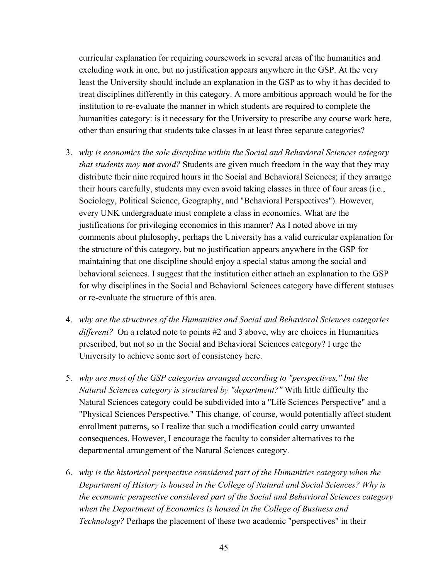curricular explanation for requiring coursework in several areas of the humanities and excluding work in one, but no justification appears anywhere in the GSP. At the very least the University should include an explanation in the GSP as to why it has decided to treat disciplines differently in this category. A more ambitious approach would be for the institution to re-evaluate the manner in which students are required to complete the humanities category: is it necessary for the University to prescribe any course work here, other than ensuring that students take classes in at least three separate categories?

- 3. *why is economics the sole discipline within the Social and Behavioral Sciences category that students may not avoid?* Students are given much freedom in the way that they may distribute their nine required hours in the Social and Behavioral Sciences; if they arrange their hours carefully, students may even avoid taking classes in three of four areas (i.e., Sociology, Political Science, Geography, and "Behavioral Perspectives"). However, every UNK undergraduate must complete a class in economics. What are the justifications for privileging economics in this manner? As I noted above in my comments about philosophy, perhaps the University has a valid curricular explanation for the structure of this category, but no justification appears anywhere in the GSP for maintaining that one discipline should enjoy a special status among the social and behavioral sciences. I suggest that the institution either attach an explanation to the GSP for why disciplines in the Social and Behavioral Sciences category have different statuses or re-evaluate the structure of this area.
- 4. *why are the structures of the Humanities and Social and Behavioral Sciences categories different?* On a related note to points #2 and 3 above, why are choices in Humanities prescribed, but not so in the Social and Behavioral Sciences category? I urge the University to achieve some sort of consistency here.
- 5. *why are most of the GSP categories arranged according to "perspectives," but the Natural Sciences category is structured by "department?"* With little difficulty the Natural Sciences category could be subdivided into a "Life Sciences Perspective" and a "Physical Sciences Perspective." This change, of course, would potentially affect student enrollment patterns, so I realize that such a modification could carry unwanted consequences. However, I encourage the faculty to consider alternatives to the departmental arrangement of the Natural Sciences category.
- 6. *why is the historical perspective considered part of the Humanities category when the Department of History is housed in the College of Natural and Social Sciences? Why is the economic perspective considered part of the Social and Behavioral Sciences category when the Department of Economics is housed in the College of Business and Technology?* Perhaps the placement of these two academic "perspectives" in their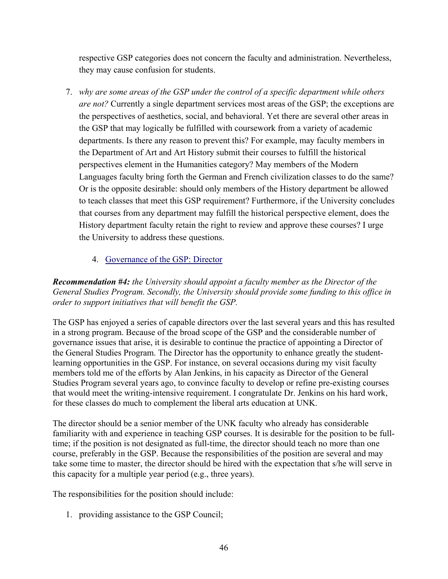respective GSP categories does not concern the faculty and administration. Nevertheless, they may cause confusion for students.

7. *why are some areas of the GSP under the control of a specific department while others are not?* Currently a single department services most areas of the GSP; the exceptions are the perspectives of aesthetics, social, and behavioral. Yet there are several other areas in the GSP that may logically be fulfilled with coursework from a variety of academic departments. Is there any reason to prevent this? For example, may faculty members in the Department of Art and Art History submit their courses to fulfill the historical perspectives element in the Humanities category? May members of the Modern Languages faculty bring forth the German and French civilization classes to do the same? Or is the opposite desirable: should only members of the History department be allowed to teach classes that meet this GSP requirement? Furthermore, if the University concludes that courses from any department may fulfill the historical perspective element, does the History department faculty retain the right to review and approve these courses? I urge the University to address these questions.

## 4. Governance of the GSP: Director

*Recommendation #4: the University should appoint a faculty member as the Director of the General Studies Program. Secondly, the University should provide some funding to this office in order to support initiatives that will benefit the GSP.* 

The GSP has enjoyed a series of capable directors over the last several years and this has resulted in a strong program. Because of the broad scope of the GSP and the considerable number of governance issues that arise, it is desirable to continue the practice of appointing a Director of the General Studies Program. The Director has the opportunity to enhance greatly the studentlearning opportunities in the GSP. For instance, on several occasions during my visit faculty members told me of the efforts by Alan Jenkins, in his capacity as Director of the General Studies Program several years ago, to convince faculty to develop or refine pre-existing courses that would meet the writing-intensive requirement. I congratulate Dr. Jenkins on his hard work, for these classes do much to complement the liberal arts education at UNK.

The director should be a senior member of the UNK faculty who already has considerable familiarity with and experience in teaching GSP courses. It is desirable for the position to be fulltime; if the position is not designated as full-time, the director should teach no more than one course, preferably in the GSP. Because the responsibilities of the position are several and may take some time to master, the director should be hired with the expectation that s/he will serve in this capacity for a multiple year period (e.g., three years).

The responsibilities for the position should include:

1. providing assistance to the GSP Council;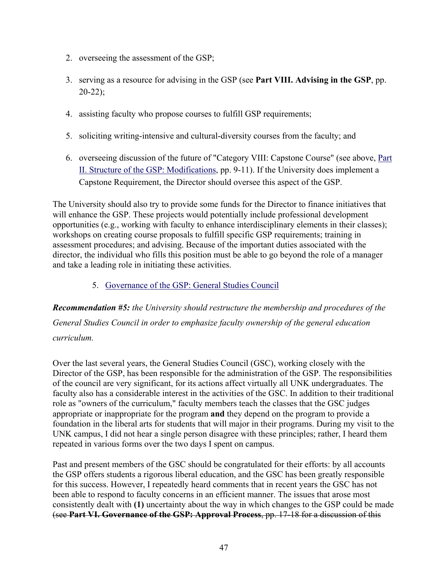- 2. overseeing the assessment of the GSP;
- 3. serving as a resource for advising in the GSP (see **Part VIII. Advising in the GSP**, pp.  $20-22$ ;
- 4. assisting faculty who propose courses to fulfill GSP requirements;
- 5. soliciting writing-intensive and cultural-diversity courses from the faculty; and
- 6. overseeing discussion of the future of "Category VIII: Capstone Course" (see above, Part II. Structure of the GSP: Modifications, pp. 9-11). If the University does implement a Capstone Requirement, the Director should oversee this aspect of the GSP.

The University should also try to provide some funds for the Director to finance initiatives that will enhance the GSP. These projects would potentially include professional development opportunities (e.g., working with faculty to enhance interdisciplinary elements in their classes); workshops on creating course proposals to fulfill specific GSP requirements; training in assessment procedures; and advising. Because of the important duties associated with the director, the individual who fills this position must be able to go beyond the role of a manager and take a leading role in initiating these activities.

5. Governance of the GSP: General Studies Council

*Recommendation #5: the University should restructure the membership and procedures of the General Studies Council in order to emphasize faculty ownership of the general education curriculum.*

Over the last several years, the General Studies Council (GSC), working closely with the Director of the GSP, has been responsible for the administration of the GSP. The responsibilities of the council are very significant, for its actions affect virtually all UNK undergraduates. The faculty also has a considerable interest in the activities of the GSC. In addition to their traditional role as "owners of the curriculum," faculty members teach the classes that the GSC judges appropriate or inappropriate for the program **and** they depend on the program to provide a foundation in the liberal arts for students that will major in their programs. During my visit to the UNK campus, I did not hear a single person disagree with these principles; rather, I heard them repeated in various forms over the two days I spent on campus.

Past and present members of the GSC should be congratulated for their efforts: by all accounts the GSP offers students a rigorous liberal education, and the GSC has been greatly responsible for this success. However, I repeatedly heard comments that in recent years the GSC has not been able to respond to faculty concerns in an efficient manner. The issues that arose most consistently dealt with **(1)** uncertainty about the way in which changes to the GSP could be made (see **Part VI. Governance of the GSP: Approval Process**, pp. 17-18 for a discussion of this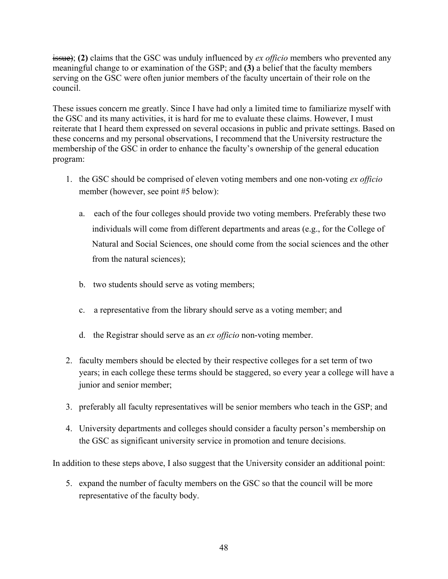issue); **(2)** claims that the GSC was unduly influenced by *ex officio* members who prevented any meaningful change to or examination of the GSP; and **(3)** a belief that the faculty members serving on the GSC were often junior members of the faculty uncertain of their role on the council.

These issues concern me greatly. Since I have had only a limited time to familiarize myself with the GSC and its many activities, it is hard for me to evaluate these claims. However, I must reiterate that I heard them expressed on several occasions in public and private settings. Based on these concerns and my personal observations, I recommend that the University restructure the membership of the GSC in order to enhance the faculty's ownership of the general education program:

- 1. the GSC should be comprised of eleven voting members and one non-voting *ex officio* member (however, see point #5 below):
	- a. each of the four colleges should provide two voting members. Preferably these two individuals will come from different departments and areas (e.g., for the College of Natural and Social Sciences, one should come from the social sciences and the other from the natural sciences);
	- b. two students should serve as voting members;
	- c. a representative from the library should serve as a voting member; and
	- d. the Registrar should serve as an *ex officio* non-voting member.
- 2. faculty members should be elected by their respective colleges for a set term of two years; in each college these terms should be staggered, so every year a college will have a junior and senior member;
- 3. preferably all faculty representatives will be senior members who teach in the GSP; and
- 4. University departments and colleges should consider a faculty person's membership on the GSC as significant university service in promotion and tenure decisions.

In addition to these steps above, I also suggest that the University consider an additional point:

5. expand the number of faculty members on the GSC so that the council will be more representative of the faculty body.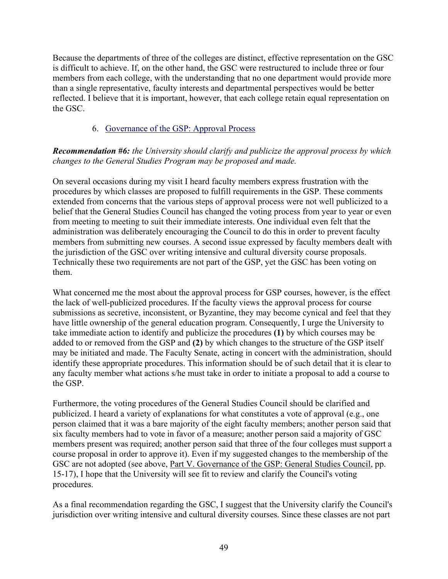Because the departments of three of the colleges are distinct, effective representation on the GSC is difficult to achieve. If, on the other hand, the GSC were restructured to include three or four members from each college, with the understanding that no one department would provide more than a single representative, faculty interests and departmental perspectives would be better reflected. I believe that it is important, however, that each college retain equal representation on the GSC.

## 6. Governance of the GSP: Approval Process

## *Recommendation #6: the University should clarify and publicize the approval process by which changes to the General Studies Program may be proposed and made.*

On several occasions during my visit I heard faculty members express frustration with the procedures by which classes are proposed to fulfill requirements in the GSP. These comments extended from concerns that the various steps of approval process were not well publicized to a belief that the General Studies Council has changed the voting process from year to year or even from meeting to meeting to suit their immediate interests. One individual even felt that the administration was deliberately encouraging the Council to do this in order to prevent faculty members from submitting new courses. A second issue expressed by faculty members dealt with the jurisdiction of the GSC over writing intensive and cultural diversity course proposals. Technically these two requirements are not part of the GSP, yet the GSC has been voting on them.

What concerned me the most about the approval process for GSP courses, however, is the effect the lack of well-publicized procedures. If the faculty views the approval process for course submissions as secretive, inconsistent, or Byzantine, they may become cynical and feel that they have little ownership of the general education program. Consequently, I urge the University to take immediate action to identify and publicize the procedures **(1)** by which courses may be added to or removed from the GSP and **(2)** by which changes to the structure of the GSP itself may be initiated and made. The Faculty Senate, acting in concert with the administration, should identify these appropriate procedures. This information should be of such detail that it is clear to any faculty member what actions s/he must take in order to initiate a proposal to add a course to the GSP.

Furthermore, the voting procedures of the General Studies Council should be clarified and publicized. I heard a variety of explanations for what constitutes a vote of approval (e.g., one person claimed that it was a bare majority of the eight faculty members; another person said that six faculty members had to vote in favor of a measure; another person said a majority of GSC members present was required; another person said that three of the four colleges must support a course proposal in order to approve it). Even if my suggested changes to the membership of the GSC are not adopted (see above, Part V. Governance of the GSP: General Studies Council, pp. 15-17), I hope that the University will see fit to review and clarify the Council's voting procedures.

As a final recommendation regarding the GSC, I suggest that the University clarify the Council's jurisdiction over writing intensive and cultural diversity courses. Since these classes are not part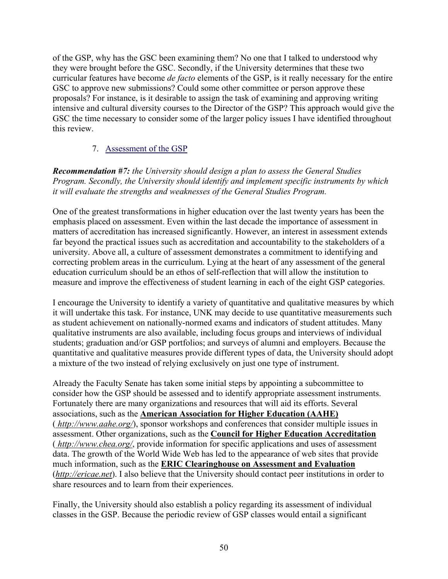of the GSP, why has the GSC been examining them? No one that I talked to understood why they were brought before the GSC. Secondly, if the University determines that these two curricular features have become *de facto* elements of the GSP, is it really necessary for the entire GSC to approve new submissions? Could some other committee or person approve these proposals? For instance, is it desirable to assign the task of examining and approving writing intensive and cultural diversity courses to the Director of the GSP? This approach would give the GSC the time necessary to consider some of the larger policy issues I have identified throughout this review.

## 7. Assessment of the GSP

*Recommendation #7: the University should design a plan to assess the General Studies Program. Secondly, the University should identify and implement specific instruments by which it will evaluate the strengths and weaknesses of the General Studies Program.* 

One of the greatest transformations in higher education over the last twenty years has been the emphasis placed on assessment. Even within the last decade the importance of assessment in matters of accreditation has increased significantly. However, an interest in assessment extends far beyond the practical issues such as accreditation and accountability to the stakeholders of a university. Above all, a culture of assessment demonstrates a commitment to identifying and correcting problem areas in the curriculum. Lying at the heart of any assessment of the general education curriculum should be an ethos of self-reflection that will allow the institution to measure and improve the effectiveness of student learning in each of the eight GSP categories.

I encourage the University to identify a variety of quantitative and qualitative measures by which it will undertake this task. For instance, UNK may decide to use quantitative measurements such as student achievement on nationally-normed exams and indicators of student attitudes. Many qualitative instruments are also available, including focus groups and interviews of individual students; graduation and/or GSP portfolios; and surveys of alumni and employers. Because the quantitative and qualitative measures provide different types of data, the University should adopt a mixture of the two instead of relying exclusively on just one type of instrument.

Already the Faculty Senate has taken some initial steps by appointing a subcommittee to consider how the GSP should be assessed and to identify appropriate assessment instruments. Fortunately there are many organizations and resources that will aid its efforts. Several associations, such as the **American Association for Higher Education (AAHE)** ( *http://www.aahe.org/*), sponsor workshops and conferences that consider multiple issues in assessment. Other organizations, such as the **Council for Higher Education Accreditation** ( *http://www.chea.org/*, provide information for specific applications and uses of assessment data. The growth of the World Wide Web has led to the appearance of web sites that provide much information, such as the **ERIC Clearinghouse on Assessment and Evaluation** (*http://ericae.net*). I also believe that the University should contact peer institutions in order to share resources and to learn from their experiences.

Finally, the University should also establish a policy regarding its assessment of individual classes in the GSP. Because the periodic review of GSP classes would entail a significant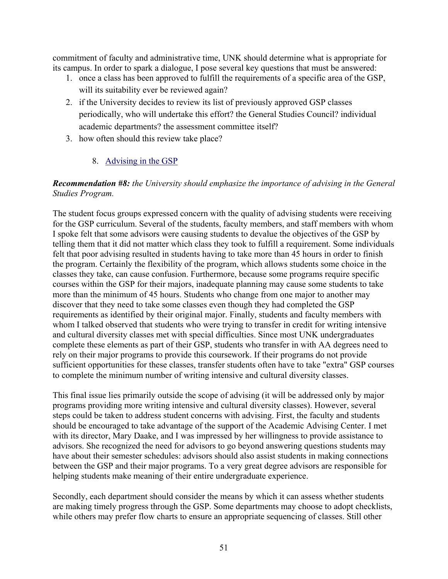commitment of faculty and administrative time, UNK should determine what is appropriate for its campus. In order to spark a dialogue, I pose several key questions that must be answered:

- 1. once a class has been approved to fulfill the requirements of a specific area of the GSP, will its suitability ever be reviewed again?
- 2. if the University decides to review its list of previously approved GSP classes periodically, who will undertake this effort? the General Studies Council? individual academic departments? the assessment committee itself?
- 3. how often should this review take place?

## 8. Advising in the GSP

## *Recommendation #8: the University should emphasize the importance of advising in the General Studies Program.*

The student focus groups expressed concern with the quality of advising students were receiving for the GSP curriculum. Several of the students, faculty members, and staff members with whom I spoke felt that some advisors were causing students to devalue the objectives of the GSP by telling them that it did not matter which class they took to fulfill a requirement. Some individuals felt that poor advising resulted in students having to take more than 45 hours in order to finish the program. Certainly the flexibility of the program, which allows students some choice in the classes they take, can cause confusion. Furthermore, because some programs require specific courses within the GSP for their majors, inadequate planning may cause some students to take more than the minimum of 45 hours. Students who change from one major to another may discover that they need to take some classes even though they had completed the GSP requirements as identified by their original major. Finally, students and faculty members with whom I talked observed that students who were trying to transfer in credit for writing intensive and cultural diversity classes met with special difficulties. Since most UNK undergraduates complete these elements as part of their GSP, students who transfer in with AA degrees need to rely on their major programs to provide this coursework. If their programs do not provide sufficient opportunities for these classes, transfer students often have to take "extra" GSP courses to complete the minimum number of writing intensive and cultural diversity classes.

This final issue lies primarily outside the scope of advising (it will be addressed only by major programs providing more writing intensive and cultural diversity classes). However, several steps could be taken to address student concerns with advising. First, the faculty and students should be encouraged to take advantage of the support of the Academic Advising Center. I met with its director, Mary Daake, and I was impressed by her willingness to provide assistance to advisors. She recognized the need for advisors to go beyond answering questions students may have about their semester schedules: advisors should also assist students in making connections between the GSP and their major programs. To a very great degree advisors are responsible for helping students make meaning of their entire undergraduate experience.

Secondly, each department should consider the means by which it can assess whether students are making timely progress through the GSP. Some departments may choose to adopt checklists, while others may prefer flow charts to ensure an appropriate sequencing of classes. Still other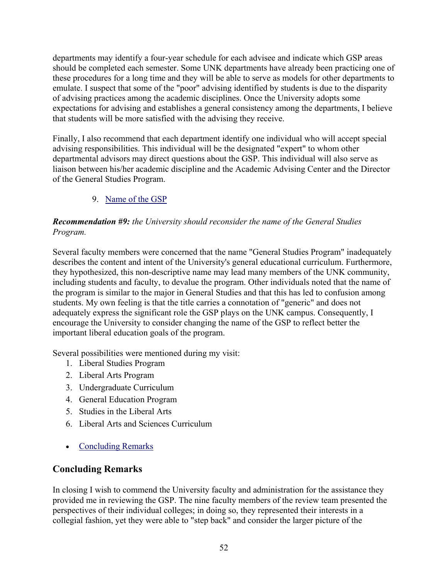departments may identify a four-year schedule for each advisee and indicate which GSP areas should be completed each semester. Some UNK departments have already been practicing one of these procedures for a long time and they will be able to serve as models for other departments to emulate. I suspect that some of the "poor" advising identified by students is due to the disparity of advising practices among the academic disciplines. Once the University adopts some expectations for advising and establishes a general consistency among the departments, I believe that students will be more satisfied with the advising they receive.

Finally, I also recommend that each department identify one individual who will accept special advising responsibilities. This individual will be the designated "expert" to whom other departmental advisors may direct questions about the GSP. This individual will also serve as liaison between his/her academic discipline and the Academic Advising Center and the Director of the General Studies Program.

# 9. Name of the GSP

## *Recommendation #9: the University should reconsider the name of the General Studies Program.*

Several faculty members were concerned that the name "General Studies Program" inadequately describes the content and intent of the University's general educational curriculum. Furthermore, they hypothesized, this non-descriptive name may lead many members of the UNK community, including students and faculty, to devalue the program. Other individuals noted that the name of the program is similar to the major in General Studies and that this has led to confusion among students. My own feeling is that the title carries a connotation of "generic" and does not adequately express the significant role the GSP plays on the UNK campus. Consequently, I encourage the University to consider changing the name of the GSP to reflect better the important liberal education goals of the program.

Several possibilities were mentioned during my visit:

- 1. Liberal Studies Program
- 2. Liberal Arts Program
- 3. Undergraduate Curriculum
- 4. General Education Program
- 5. Studies in the Liberal Arts
- 6. Liberal Arts and Sciences Curriculum
- Concluding Remarks

# **Concluding Remarks**

In closing I wish to commend the University faculty and administration for the assistance they provided me in reviewing the GSP. The nine faculty members of the review team presented the perspectives of their individual colleges; in doing so, they represented their interests in a collegial fashion, yet they were able to "step back" and consider the larger picture of the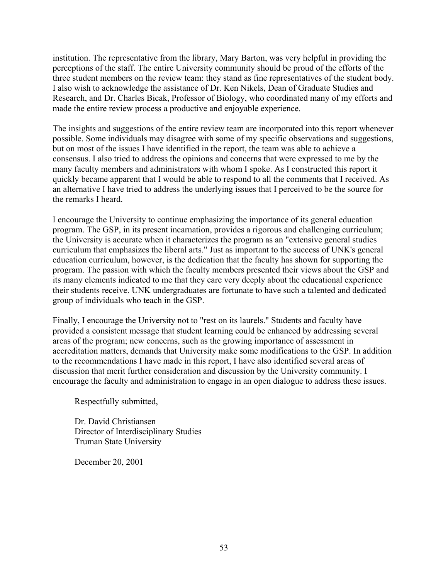institution. The representative from the library, Mary Barton, was very helpful in providing the perceptions of the staff. The entire University community should be proud of the efforts of the three student members on the review team: they stand as fine representatives of the student body. I also wish to acknowledge the assistance of Dr. Ken Nikels, Dean of Graduate Studies and Research, and Dr. Charles Bicak, Professor of Biology, who coordinated many of my efforts and made the entire review process a productive and enjoyable experience.

The insights and suggestions of the entire review team are incorporated into this report whenever possible. Some individuals may disagree with some of my specific observations and suggestions, but on most of the issues I have identified in the report, the team was able to achieve a consensus. I also tried to address the opinions and concerns that were expressed to me by the many faculty members and administrators with whom I spoke. As I constructed this report it quickly became apparent that I would be able to respond to all the comments that I received. As an alternative I have tried to address the underlying issues that I perceived to be the source for the remarks I heard.

I encourage the University to continue emphasizing the importance of its general education program. The GSP, in its present incarnation, provides a rigorous and challenging curriculum; the University is accurate when it characterizes the program as an "extensive general studies curriculum that emphasizes the liberal arts." Just as important to the success of UNK's general education curriculum, however, is the dedication that the faculty has shown for supporting the program. The passion with which the faculty members presented their views about the GSP and its many elements indicated to me that they care very deeply about the educational experience their students receive. UNK undergraduates are fortunate to have such a talented and dedicated group of individuals who teach in the GSP.

Finally, I encourage the University not to "rest on its laurels." Students and faculty have provided a consistent message that student learning could be enhanced by addressing several areas of the program; new concerns, such as the growing importance of assessment in accreditation matters, demands that University make some modifications to the GSP. In addition to the recommendations I have made in this report, I have also identified several areas of discussion that merit further consideration and discussion by the University community. I encourage the faculty and administration to engage in an open dialogue to address these issues.

Respectfully submitted,

Dr. David Christiansen Director of Interdisciplinary Studies Truman State University

December 20, 2001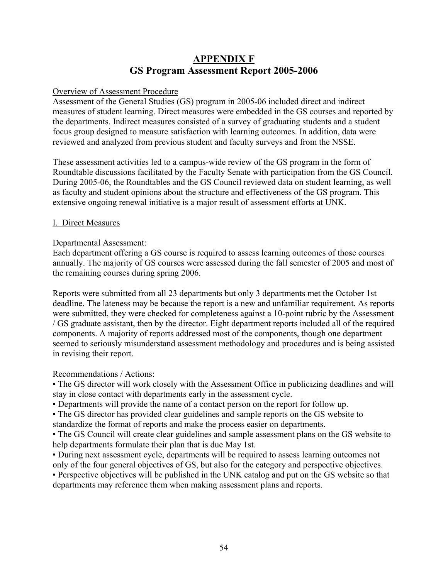# **APPENDIX F GS Program Assessment Report 2005-2006**

#### Overview of Assessment Procedure

Assessment of the General Studies (GS) program in 2005-06 included direct and indirect measures of student learning. Direct measures were embedded in the GS courses and reported by the departments. Indirect measures consisted of a survey of graduating students and a student focus group designed to measure satisfaction with learning outcomes. In addition, data were reviewed and analyzed from previous student and faculty surveys and from the NSSE.

These assessment activities led to a campus-wide review of the GS program in the form of Roundtable discussions facilitated by the Faculty Senate with participation from the GS Council. During 2005-06, the Roundtables and the GS Council reviewed data on student learning, as well as faculty and student opinions about the structure and effectiveness of the GS program. This extensive ongoing renewal initiative is a major result of assessment efforts at UNK.

#### I. Direct Measures

#### Departmental Assessment:

Each department offering a GS course is required to assess learning outcomes of those courses annually. The majority of GS courses were assessed during the fall semester of 2005 and most of the remaining courses during spring 2006.

Reports were submitted from all 23 departments but only 3 departments met the October 1st deadline. The lateness may be because the report is a new and unfamiliar requirement. As reports were submitted, they were checked for completeness against a 10-point rubric by the Assessment / GS graduate assistant, then by the director. Eight department reports included all of the required components. A majority of reports addressed most of the components, though one department seemed to seriously misunderstand assessment methodology and procedures and is being assisted in revising their report.

#### Recommendations / Actions:

▪ The GS director will work closely with the Assessment Office in publicizing deadlines and will stay in close contact with departments early in the assessment cycle.

▪ Departments will provide the name of a contact person on the report for follow up.

• The GS director has provided clear guidelines and sample reports on the GS website to standardize the format of reports and make the process easier on departments.

• The GS Council will create clear guidelines and sample assessment plans on the GS website to help departments formulate their plan that is due May 1st.

▪ During next assessment cycle, departments will be required to assess learning outcomes not only of the four general objectives of GS, but also for the category and perspective objectives.

▪ Perspective objectives will be published in the UNK catalog and put on the GS website so that departments may reference them when making assessment plans and reports.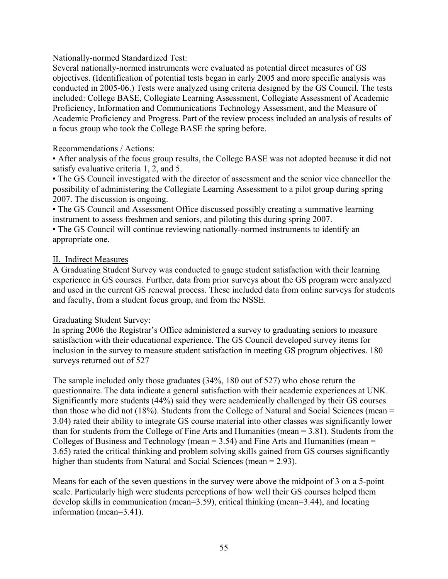### Nationally-normed Standardized Test:

Several nationally-normed instruments were evaluated as potential direct measures of GS objectives. (Identification of potential tests began in early 2005 and more specific analysis was conducted in 2005-06.) Tests were analyzed using criteria designed by the GS Council. The tests included: College BASE, Collegiate Learning Assessment, Collegiate Assessment of Academic Proficiency, Information and Communications Technology Assessment, and the Measure of Academic Proficiency and Progress. Part of the review process included an analysis of results of a focus group who took the College BASE the spring before.

### Recommendations / Actions:

▪ After analysis of the focus group results, the College BASE was not adopted because it did not satisfy evaluative criteria 1, 2, and 5.

▪ The GS Council investigated with the director of assessment and the senior vice chancellor the possibility of administering the Collegiate Learning Assessment to a pilot group during spring 2007. The discussion is ongoing.

• The GS Council and Assessment Office discussed possibly creating a summative learning instrument to assess freshmen and seniors, and piloting this during spring 2007.

▪ The GS Council will continue reviewing nationally-normed instruments to identify an appropriate one.

### II. Indirect Measures

A Graduating Student Survey was conducted to gauge student satisfaction with their learning experience in GS courses. Further, data from prior surveys about the GS program were analyzed and used in the current GS renewal process. These included data from online surveys for students and faculty, from a student focus group, and from the NSSE.

#### Graduating Student Survey:

In spring 2006 the Registrar's Office administered a survey to graduating seniors to measure satisfaction with their educational experience. The GS Council developed survey items for inclusion in the survey to measure student satisfaction in meeting GS program objectives. 180 surveys returned out of 527

The sample included only those graduates (34%, 180 out of 527) who chose return the questionnaire. The data indicate a general satisfaction with their academic experiences at UNK. Significantly more students (44%) said they were academically challenged by their GS courses than those who did not (18%). Students from the College of Natural and Social Sciences (mean = 3.04) rated their ability to integrate GS course material into other classes was significantly lower than for students from the College of Fine Arts and Humanities (mean = 3.81). Students from the Colleges of Business and Technology (mean  $= 3.54$ ) and Fine Arts and Humanities (mean  $=$ 3.65) rated the critical thinking and problem solving skills gained from GS courses significantly higher than students from Natural and Social Sciences (mean = 2.93).

Means for each of the seven questions in the survey were above the midpoint of 3 on a 5-point scale. Particularly high were students perceptions of how well their GS courses helped them develop skills in communication (mean=3.59), critical thinking (mean=3.44), and locating information (mean=3.41).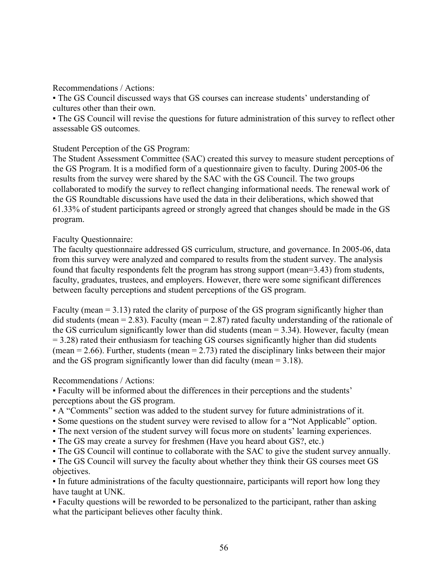Recommendations / Actions:

• The GS Council discussed ways that GS courses can increase students' understanding of cultures other than their own.

▪ The GS Council will revise the questions for future administration of this survey to reflect other assessable GS outcomes.

### Student Perception of the GS Program:

The Student Assessment Committee (SAC) created this survey to measure student perceptions of the GS Program. It is a modified form of a questionnaire given to faculty. During 2005-06 the results from the survey were shared by the SAC with the GS Council. The two groups collaborated to modify the survey to reflect changing informational needs. The renewal work of the GS Roundtable discussions have used the data in their deliberations, which showed that 61.33% of student participants agreed or strongly agreed that changes should be made in the GS program.

### Faculty Questionnaire:

The faculty questionnaire addressed GS curriculum, structure, and governance. In 2005-06, data from this survey were analyzed and compared to results from the student survey. The analysis found that faculty respondents felt the program has strong support (mean=3.43) from students, faculty, graduates, trustees, and employers. However, there were some significant differences between faculty perceptions and student perceptions of the GS program.

Faculty (mean = 3.13) rated the clarity of purpose of the GS program significantly higher than did students (mean = 2.83). Faculty (mean = 2.87) rated faculty understanding of the rationale of the GS curriculum significantly lower than did students (mean = 3.34). However, faculty (mean = 3.28) rated their enthusiasm for teaching GS courses significantly higher than did students (mean  $= 2.66$ ). Further, students (mean  $= 2.73$ ) rated the disciplinary links between their major and the GS program significantly lower than did faculty (mean  $= 3.18$ ).

## Recommendations / Actions:

▪ Faculty will be informed about the differences in their perceptions and the students' perceptions about the GS program.

- A "Comments" section was added to the student survey for future administrations of it.
- Some questions on the student survey were revised to allow for a "Not Applicable" option.
- The next version of the student survey will focus more on students' learning experiences.
- The GS may create a survey for freshmen (Have you heard about GS?, etc.)
- The GS Council will continue to collaborate with the SAC to give the student survey annually.
- The GS Council will survey the faculty about whether they think their GS courses meet GS objectives.

• In future administrations of the faculty questionnaire, participants will report how long they have taught at UNK.

▪ Faculty questions will be reworded to be personalized to the participant, rather than asking what the participant believes other faculty think.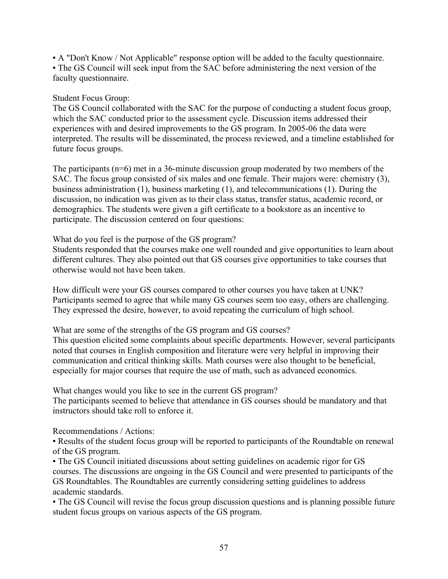▪ A "Don't Know / Not Applicable" response option will be added to the faculty questionnaire. ▪ The GS Council will seek input from the SAC before administering the next version of the faculty questionnaire.

### Student Focus Group:

The GS Council collaborated with the SAC for the purpose of conducting a student focus group, which the SAC conducted prior to the assessment cycle. Discussion items addressed their experiences with and desired improvements to the GS program. In 2005-06 the data were interpreted. The results will be disseminated, the process reviewed, and a timeline established for future focus groups.

The participants (n=6) met in a 36-minute discussion group moderated by two members of the SAC. The focus group consisted of six males and one female. Their majors were: chemistry (3), business administration (1), business marketing (1), and telecommunications (1). During the discussion, no indication was given as to their class status, transfer status, academic record, or demographics. The students were given a gift certificate to a bookstore as an incentive to participate. The discussion centered on four questions:

#### What do you feel is the purpose of the GS program?

Students responded that the courses make one well rounded and give opportunities to learn about different cultures. They also pointed out that GS courses give opportunities to take courses that otherwise would not have been taken.

How difficult were your GS courses compared to other courses you have taken at UNK? Participants seemed to agree that while many GS courses seem too easy, others are challenging. They expressed the desire, however, to avoid repeating the curriculum of high school.

What are some of the strengths of the GS program and GS courses?

This question elicited some complaints about specific departments. However, several participants noted that courses in English composition and literature were very helpful in improving their communication and critical thinking skills. Math courses were also thought to be beneficial, especially for major courses that require the use of math, such as advanced economics.

What changes would you like to see in the current GS program?

The participants seemed to believe that attendance in GS courses should be mandatory and that instructors should take roll to enforce it.

#### Recommendations / Actions:

▪ Results of the student focus group will be reported to participants of the Roundtable on renewal of the GS program.

▪ The GS Council initiated discussions about setting guidelines on academic rigor for GS courses. The discussions are ongoing in the GS Council and were presented to participants of the GS Roundtables. The Roundtables are currently considering setting guidelines to address academic standards.

▪ The GS Council will revise the focus group discussion questions and is planning possible future student focus groups on various aspects of the GS program.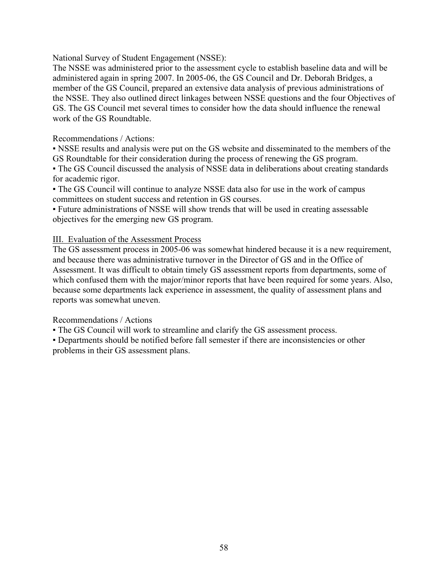National Survey of Student Engagement (NSSE):

The NSSE was administered prior to the assessment cycle to establish baseline data and will be administered again in spring 2007. In 2005-06, the GS Council and Dr. Deborah Bridges, a member of the GS Council, prepared an extensive data analysis of previous administrations of the NSSE. They also outlined direct linkages between NSSE questions and the four Objectives of GS. The GS Council met several times to consider how the data should influence the renewal work of the GS Roundtable.

### Recommendations / Actions:

▪ NSSE results and analysis were put on the GS website and disseminated to the members of the GS Roundtable for their consideration during the process of renewing the GS program.

▪ The GS Council discussed the analysis of NSSE data in deliberations about creating standards for academic rigor.

• The GS Council will continue to analyze NSSE data also for use in the work of campus committees on student success and retention in GS courses.

▪ Future administrations of NSSE will show trends that will be used in creating assessable objectives for the emerging new GS program.

### III. Evaluation of the Assessment Process

The GS assessment process in 2005-06 was somewhat hindered because it is a new requirement, and because there was administrative turnover in the Director of GS and in the Office of Assessment. It was difficult to obtain timely GS assessment reports from departments, some of which confused them with the major/minor reports that have been required for some years. Also, because some departments lack experience in assessment, the quality of assessment plans and reports was somewhat uneven.

## Recommendations / Actions

▪ The GS Council will work to streamline and clarify the GS assessment process.

▪ Departments should be notified before fall semester if there are inconsistencies or other problems in their GS assessment plans.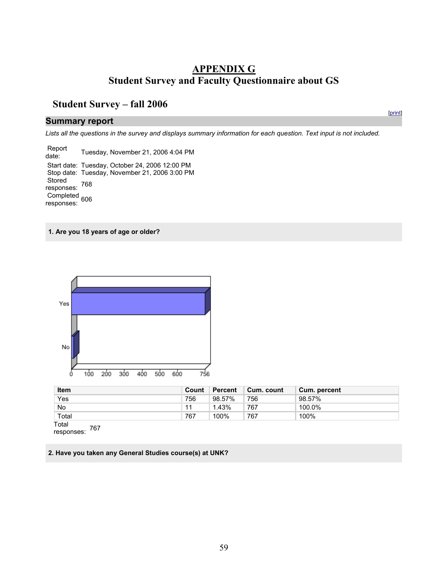# **APPENDIX G Student Survey and Faculty Questionnaire about GS**

[print]

# **Student Survey – fall 2006**

#### **Summary report**

*Lists all the questions in the survey and displays summary information for each question. Text input is not included.* 

 Report date: Tuesday, November 21, 2006 4:04 PM Start date: Tuesday, October 24, 2006 12:00 PM Stop date: Tuesday, November 21, 2006 3:00 PM **Stored** responses: 768 Completed 606 responses:

**1. Are you 18 years of age or older?** 



| <b>Item</b> | Count | Percent | Cum. count | <b>Cum. percent</b> |
|-------------|-------|---------|------------|---------------------|
| Yes         | 756   | 98.57%  | 756        | 98.57%              |
| No          |       | l.43%   | 767        | 100.0%              |
| Total       | 767   | 100%    | 767        | 100%                |

Total responses: 767

**2. Have you taken any General Studies course(s) at UNK?**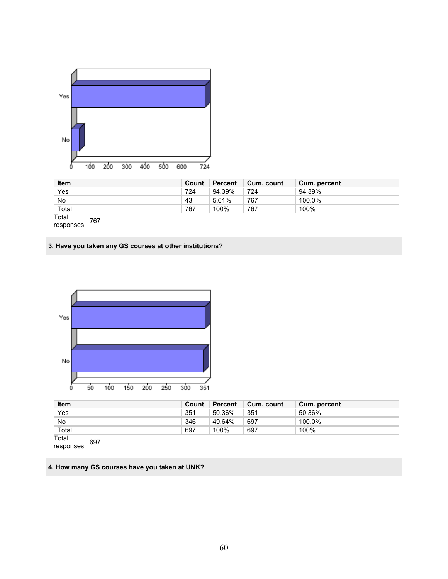

| <b>Item</b>  | Count | Percent | Cum. count | <b>Cum. percent</b> |
|--------------|-------|---------|------------|---------------------|
| Yes          | 724   | 94.39%  | 724        | 94.39%              |
| <b>No</b>    | 43    | 5.61%   | 767        | 100.0%              |
| Total        | 767   | 100%    | 767        | 100%                |
| Total<br>767 |       |         |            |                     |

responses: 767

#### **3. Have you taken any GS courses at other institutions?**



| <b>Item</b>  | Count | Percent | Cum. count | Cum. percent |
|--------------|-------|---------|------------|--------------|
| Yes          | 351   | 50.36%  | 351        | 50.36%       |
| No           | 346   | 49.64%  | 697        | 100.0%       |
| Total        | 697   | 100%    | 697        | 100%         |
| Total<br>007 |       |         |            |              |

responses: 697

### **4. How many GS courses have you taken at UNK?**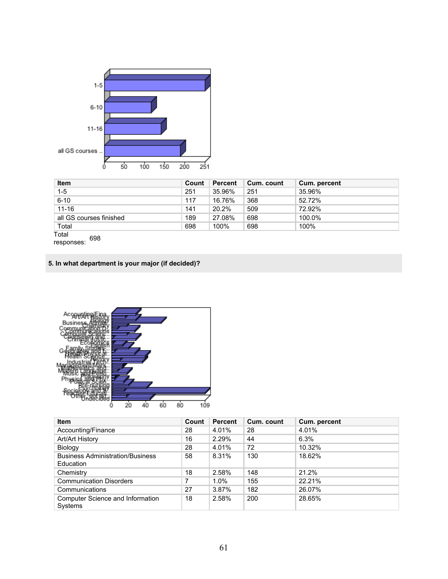

| <b>Item</b>             | Count | Percent | Cum. count | Cum. percent |
|-------------------------|-------|---------|------------|--------------|
| $1 - 5$                 | 251   | 35.96%  | 251        | 35.96%       |
| $6 - 10$                | 117   | 16.76%  | 368        | 52.72%       |
| $11 - 16$               | 141   | 20.2%   | 509        | 72.92%       |
| all GS courses finished | 189   | 27.08%  | 698        | 100.0%       |
| Total                   | 698   | 100%    | 698        | 100%         |

Total responses: 698

# **5. In what department is your major (if decided)?**



| <b>Item</b>                                          | Count | <b>Percent</b> | Cum. count | Cum. percent |
|------------------------------------------------------|-------|----------------|------------|--------------|
| Accounting/Finance                                   | 28    | 4.01%          | 28         | 4.01%        |
| Art/Art History                                      | 16    | 2.29%          | 44         | 6.3%         |
| Biology                                              | 28    | 4.01%          | 72         | 10.32%       |
| <b>Business Administration/Business</b><br>Education | 58    | 8.31%          | 130        | 18.62%       |
| Chemistry                                            | 18    | 2.58%          | 148        | 21.2%        |
| <b>Communication Disorders</b>                       |       | $1.0\%$        | 155        | 22.21%       |
| Communications                                       | 27    | 3.87%          | 182        | 26.07%       |
| Computer Science and Information<br><b>Systems</b>   | 18    | 2.58%          | 200        | 28.65%       |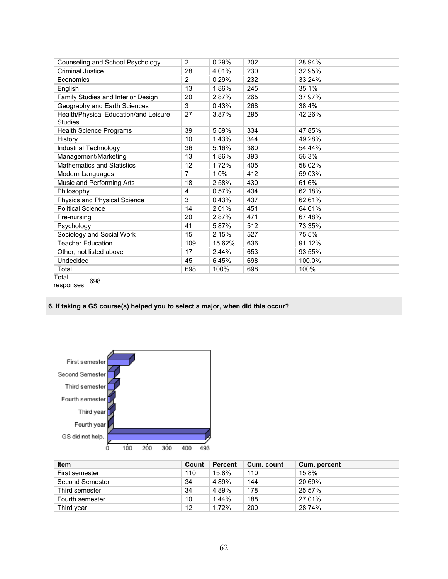| Counseling and School Psychology                        | $\overline{2}$    | 0.29%  | 202 | 28.94% |
|---------------------------------------------------------|-------------------|--------|-----|--------|
| Criminal Justice                                        | 28                | 4.01%  | 230 | 32.95% |
| Economics                                               | $\overline{2}$    | 0.29%  | 232 | 33.24% |
| English                                                 | 13                | 1.86%  | 245 | 35.1%  |
| Family Studies and Interior Design                      | 20                | 2.87%  | 265 | 37.97% |
| Geography and Earth Sciences                            | 3                 | 0.43%  | 268 | 38.4%  |
| Health/Physical Education/and Leisure<br><b>Studies</b> | 27                | 3.87%  | 295 | 42.26% |
| Health Science Programs                                 | 39                | 5.59%  | 334 | 47.85% |
| History                                                 | 10                | 1.43%  | 344 | 49.28% |
| Industrial Technology                                   | 36                | 5.16%  | 380 | 54.44% |
| Management/Marketing                                    | 13                | 1.86%  | 393 | 56.3%  |
| <b>Mathematics and Statistics</b>                       | $12 \overline{ }$ | 1.72%  | 405 | 58.02% |
| Modern Languages                                        | 7                 | 1.0%   | 412 | 59.03% |
| Music and Performing Arts                               | 18                | 2.58%  | 430 | 61.6%  |
| Philosophy                                              | 4                 | 0.57%  | 434 | 62.18% |
| Physics and Physical Science                            | 3                 | 0.43%  | 437 | 62.61% |
| <b>Political Science</b>                                | 14                | 2.01%  | 451 | 64.61% |
| Pre-nursing                                             | 20                | 2.87%  | 471 | 67.48% |
| Psychology                                              | 41                | 5.87%  | 512 | 73.35% |
| Sociology and Social Work                               | 15                | 2.15%  | 527 | 75.5%  |
| <b>Teacher Education</b>                                | 109               | 15.62% | 636 | 91.12% |
| Other, not listed above                                 | 17                | 2.44%  | 653 | 93.55% |
| Undecided                                               | 45                | 6.45%  | 698 | 100.0% |
| Total                                                   | 698               | 100%   | 698 | 100%   |
| Total<br>000                                            |                   |        |     |        |

responses: 698

#### **6. If taking a GS course(s) helped you to select a major, when did this occur?**



| <b>Item</b>     | Count | <b>Percent</b> | Cum. count | Cum. percent |
|-----------------|-------|----------------|------------|--------------|
| First semester  | 110   | 15.8%          | 110        | 15.8%        |
| Second Semester | 34    | 4.89%          | 144        | 20.69%       |
| Third semester  | 34    | 4.89%          | 178        | 25.57%       |
| Fourth semester | 10    | $1.44\%$       | 188        | 27.01%       |
| Third year      | 12    | 1.72%          | 200        | 28.74%       |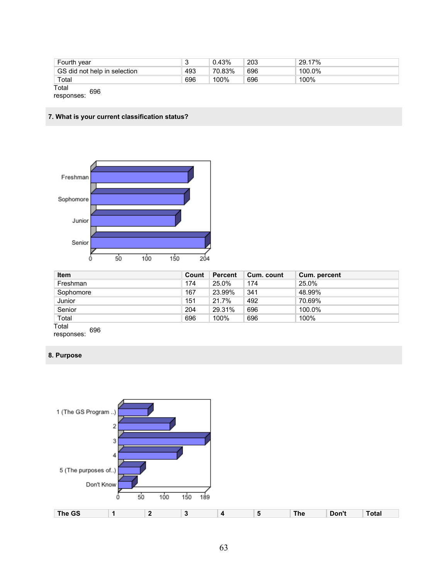| Fourth year                  | J   | 0.43%  | 203 | ່ 29.17% |  |
|------------------------------|-----|--------|-----|----------|--|
| GS did not help in selection | 493 | 70.83% | 696 | 100.0%   |  |
| Total                        | 696 | 100%   | 696 | 100%     |  |
| Total<br>696<br>r            |     |        |     |          |  |

responses:

#### **7. What is your current classification status?**



| <b>Item</b>  | Count | <b>Percent</b> | Cum. count | Cum. percent |
|--------------|-------|----------------|------------|--------------|
| Freshman     | 174   | 25.0%          | 174        | 25.0%        |
| Sophomore    | 167   | 23.99%         | 341        | 48.99%       |
| Junior       | 151   | 21.7%          | 492        | 70.69%       |
| Senior       | 204   | 29.31%         | 696        | 100.0%       |
| Total        | 696   | 100%           | 696        | 100%         |
| Total<br>coc |       |                |            |              |

responses: 696

### **8. Purpose**

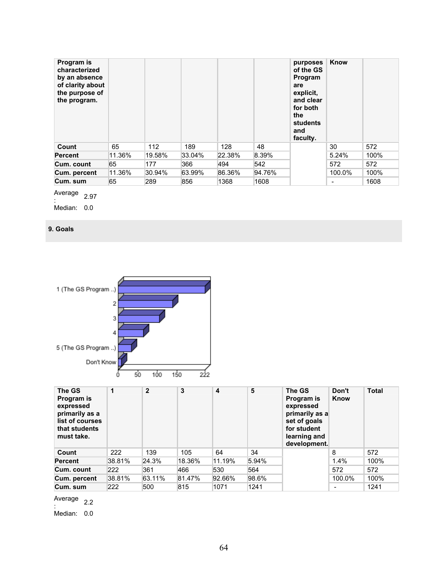| Program is<br>characterized<br>by an absence<br>of clarity about<br>the purpose of<br>the program. |        |        |        |        |        | purposes<br>of the GS<br>Program<br>are<br>explicit,<br>and clear<br>for both<br>the<br>students<br>and<br>faculty. | Know                     |      |
|----------------------------------------------------------------------------------------------------|--------|--------|--------|--------|--------|---------------------------------------------------------------------------------------------------------------------|--------------------------|------|
| Count                                                                                              | 65     | 112    | 189    | 128    | 48     |                                                                                                                     | 30                       | 572  |
| <b>Percent</b>                                                                                     | 11.36% | 19.58% | 33.04% | 22.38% | 8.39%  |                                                                                                                     | 5.24%                    | 100% |
| Cum. count                                                                                         | 65     | 177    | 366    | 494    | 542    |                                                                                                                     | 572                      | 572  |
| Cum. percent                                                                                       | 11.36% | 30.94% | 63.99% | 86.36% | 94.76% |                                                                                                                     | 100.0%                   | 100% |
| Cum. sum                                                                                           | 65     | 289    | 856    | 1368   | 1608   |                                                                                                                     | $\overline{\phantom{a}}$ | 1608 |

Average  $\frac{2.97}{ }$ 

Median: 0.0

### **9. Goals**



| The GS<br>Program is<br>expressed<br>primarily as a<br>list of courses<br>that students<br>must take. | 1      | $\mathbf{2}$ | 3      | 4      | 5     | The GS<br>Program is<br>expressed<br>primarily as a<br>set of goals<br>for student<br>learning and<br>development. | Don't<br>Know | <b>Total</b> |
|-------------------------------------------------------------------------------------------------------|--------|--------------|--------|--------|-------|--------------------------------------------------------------------------------------------------------------------|---------------|--------------|
| Count                                                                                                 | 222    | 139          | 105    | 64     | 34    |                                                                                                                    | 8             | 572          |
| <b>Percent</b>                                                                                        | 38.81% | 24.3%        | 18.36% | 11.19% | 5.94% |                                                                                                                    | 1.4%          | 100%         |
| Cum. count                                                                                            | 222    | 361          | 466    | 530    | 564   |                                                                                                                    | 572           | 572          |
| Cum. percent                                                                                          | 38.81% | 63.11%       | 81.47% | 92.66% | 98.6% |                                                                                                                    | 100.0%        | 100%         |
| Cum. sum                                                                                              | 222    | 500          | 815    | 1071   | 1241  |                                                                                                                    | -             | 1241         |

Average  $\frac{1}{2}$ :

Median: 0.0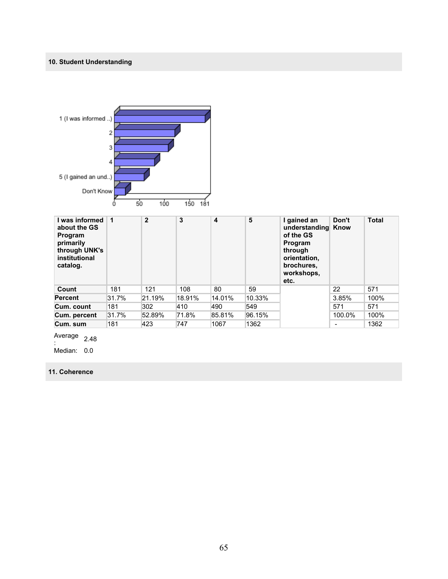# **10. Student Understanding**



| l was informed<br>about the GS<br><b>Program</b><br>primarily<br>through UNK's<br>institutional<br>catalog. |       | $\mathbf{2}$ | 3      | 4      | 5      | I gained an<br>understanding Know<br>of the GS<br>Program<br>through<br>orientation,<br>brochures.<br>workshops,<br>etc. | Don't  | <b>Total</b> |
|-------------------------------------------------------------------------------------------------------------|-------|--------------|--------|--------|--------|--------------------------------------------------------------------------------------------------------------------------|--------|--------------|
| Count                                                                                                       | 181   | 121          | 108    | 80     | 59     |                                                                                                                          | 22     | 571          |
| <b>Percent</b>                                                                                              | 31.7% | 21.19%       | 18.91% | 14.01% | 10.33% |                                                                                                                          | 3.85%  | 100%         |
| Cum. count                                                                                                  | 181   | 302          | 410    | 490    | 549    |                                                                                                                          | 571    | 571          |
| Cum. percent                                                                                                | 31.7% | 52.89%       | 71.8%  | 85.81% | 96.15% |                                                                                                                          | 100.0% | 100%         |
| Cum. sum                                                                                                    | 181   | 423          | 747    | 1067   | 1362   |                                                                                                                          |        | 1362         |

Average  $\frac{2.48}{1}$ 

Median: 0.0

**11. Coherence**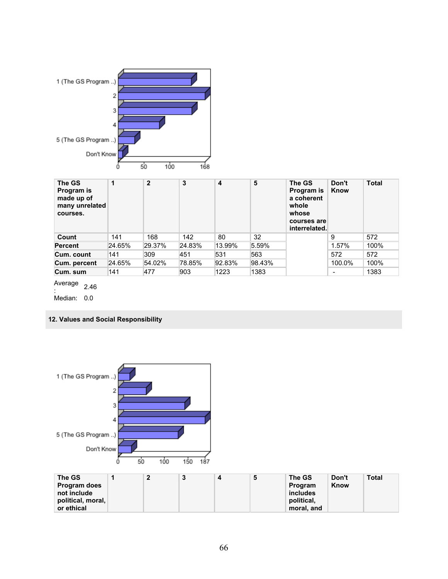

| The GS<br>Program is<br>made up of<br>many unrelated<br>courses. | 1      | $\overline{2}$ | 3      | 4      | 5      | The GS<br>Program is<br>a coherent<br>whole<br>whose<br>courses are<br>interrelated. | Don't<br>Know            | <b>Total</b> |
|------------------------------------------------------------------|--------|----------------|--------|--------|--------|--------------------------------------------------------------------------------------|--------------------------|--------------|
| Count                                                            | 141    | 168            | 142    | 80     | 32     |                                                                                      | 9                        | 572          |
| <b>Percent</b>                                                   | 24.65% | 29.37%         | 24.83% | 13.99% | 5.59%  |                                                                                      | 1.57%                    | 100%         |
| Cum. count                                                       | 141    | 309            | 451    | 531    | 563    |                                                                                      | 572                      | 572          |
| Cum. percent                                                     | 24.65% | 54.02%         | 78.85% | 92.83% | 98.43% |                                                                                      | 100.0%                   | 100%         |
| Cum. sum                                                         | 141    | 477            | 903    | 1223   | 1383   |                                                                                      | $\overline{\phantom{a}}$ | 1383         |

Average : 2.46

Median: 0.0

## **12. Values and Social Responsibility**

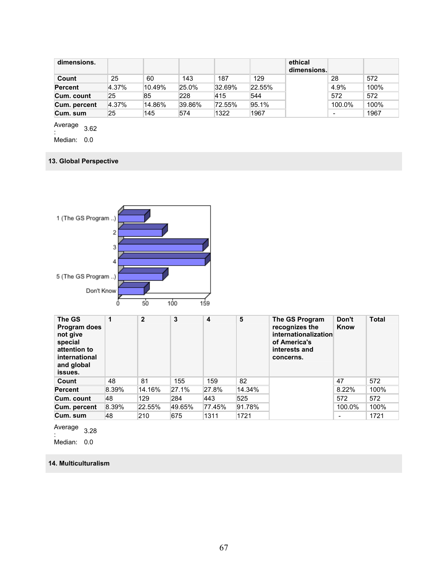| dimensions.    |       |        |        |        |        | ethical<br>dimensions. |        |      |
|----------------|-------|--------|--------|--------|--------|------------------------|--------|------|
| Count          | 25    | 60     | 143    | 187    | 129    |                        | 28     | 572  |
| <b>Percent</b> | 4.37% | 10.49% | 25.0%  | 32.69% | 22.55% |                        | 4.9%   | 100% |
| Cum. count     | 25    | 85     | 228    | 415    | 544    |                        | 572    | 572  |
| Cum. percent   | 4.37% | 14.86% | 39.86% | 72.55% | 95.1%  |                        | 100.0% | 100% |
| Cum. sum       | 25    | 145    | 574    | 1322   | 1967   |                        | -      | 1967 |

Average  $\frac{1}{2}$ <br> $\frac{1}{2}$ :

Median: 0.0

### **13. Global Perspective**



| The GS<br>Program does<br>not give<br>special<br>attention to<br>international<br>and global<br>issues. | 1     | $\mathbf{2}$ | 3      | 4      | 5      | The GS Program<br>recognizes the<br>internationalization<br>of America's<br>interests and<br>concerns. | Don't<br>Know | <b>Total</b> |
|---------------------------------------------------------------------------------------------------------|-------|--------------|--------|--------|--------|--------------------------------------------------------------------------------------------------------|---------------|--------------|
| Count                                                                                                   | 48    | 81           | 155    | 159    | 82     |                                                                                                        | 47            | 572          |
| <b>Percent</b>                                                                                          | 8.39% | 14.16%       | 27.1%  | 27.8%  | 14.34% |                                                                                                        | 8.22%         | 100%         |
| Cum. count                                                                                              | 48    | 129          | 284    | 443    | 525    |                                                                                                        | 572           | 572          |
| Cum. percent                                                                                            | 8.39% | 22.55%       | 49.65% | 77.45% | 91.78% |                                                                                                        | 100.0%        | 100%         |
| Cum. sum                                                                                                | 48    | 210          | 675    | 1311   | 1721   |                                                                                                        |               | 1721         |

Average  $\frac{1}{2}$ :

Median: 0.0

#### **14. Multiculturalism**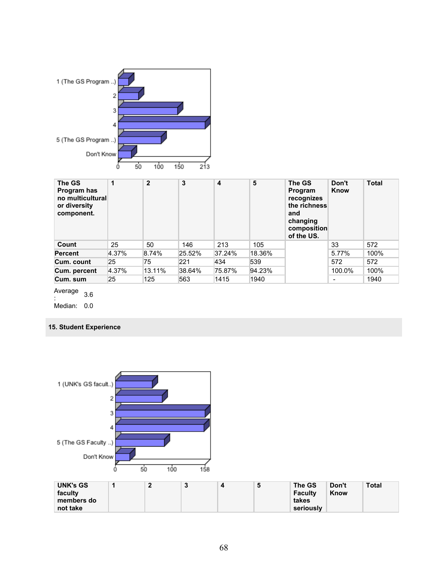

| The GS<br>Program has<br>no multicultural<br>or diversity<br>component. | 1     | $\mathbf{2}$ | 3      | 4      | 5      | The GS<br>Program<br>recognizes<br>the richness<br>and<br>changing<br>composition<br>of the US. | Don't<br>Know | <b>Total</b> |
|-------------------------------------------------------------------------|-------|--------------|--------|--------|--------|-------------------------------------------------------------------------------------------------|---------------|--------------|
| Count                                                                   | 25    | 50           | 146    | 213    | 105    |                                                                                                 | 33            | 572          |
| <b>Percent</b>                                                          | 4.37% | 8.74%        | 25.52% | 37.24% | 18.36% |                                                                                                 | 5.77%         | 100%         |
| Cum. count                                                              | 25    | 75           | 221    | 434    | 539    |                                                                                                 | 572           | 572          |
| Cum. percent                                                            | 4.37% | 13.11%       | 38.64% | 75.87% | 94.23% |                                                                                                 | 100.0%        | 100%         |
| Cum. sum                                                                | 25    | 125          | 563    | 1415   | 1940   |                                                                                                 | ٠             | 1940         |

Average  $\frac{1}{2}$ . 3.6

Median: 0.0

### **15. Student Experience**

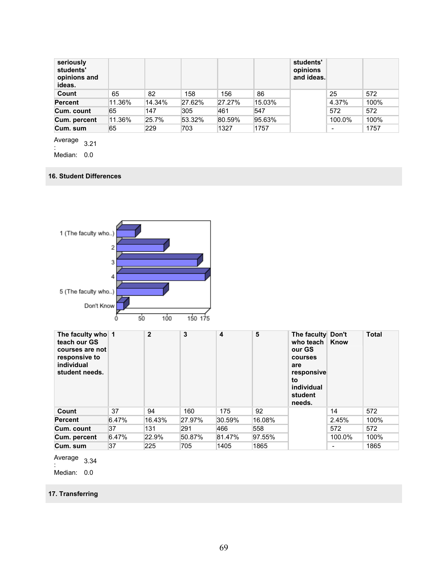| seriously<br>students'<br>opinions and<br>ideas. |        |        |        |        |        | students'<br>opinions<br>and ideas. |        |      |
|--------------------------------------------------|--------|--------|--------|--------|--------|-------------------------------------|--------|------|
| Count                                            | 65     | 82     | 158    | 156    | 86     |                                     | 25     | 572  |
| <b>Percent</b>                                   | 11.36% | 14.34% | 27.62% | 27.27% | 15.03% |                                     | 4.37%  | 100% |
| Cum. count                                       | 65     | 147    | 305    | 461    | 547    |                                     | 572    | 572  |
| Cum. percent                                     | 11.36% | 25.7%  | 53.32% | 80.59% | 95.63% |                                     | 100.0% | 100% |
| Cum. sum                                         | 65     | 229    | 703    | 1327   | 1757   |                                     | -      | 1757 |

Average  $\frac{1}{2}$ :

Median: 0.0

#### **16. Student Differences**



| The faculty who 1<br>teach our GS<br>courses are not<br>responsive to<br>individual<br>student needs. |       | $\overline{2}$ | 3      | 4      | 5      | The faculty Don't<br>who teach<br>our GS<br><b>courses</b><br>are<br>responsive<br>to<br>individual<br>student<br>needs. | Know   | <b>Total</b> |
|-------------------------------------------------------------------------------------------------------|-------|----------------|--------|--------|--------|--------------------------------------------------------------------------------------------------------------------------|--------|--------------|
| Count                                                                                                 | 37    | 94             | 160    | 175    | 92     |                                                                                                                          | 14     | 572          |
| <b>Percent</b>                                                                                        | 6.47% | 16.43%         | 27.97% | 30.59% | 16.08% |                                                                                                                          | 2.45%  | 100%         |
| Cum. count                                                                                            | 37    | 131            | 291    | 466    | 558    |                                                                                                                          | 572    | 572          |
| Cum. percent                                                                                          | 6.47% | 22.9%          | 50.87% | 81.47% | 97.55% |                                                                                                                          | 100.0% | 100%         |
| Cum. sum                                                                                              | 37    | 225            | 705    | 1405   | 1865   |                                                                                                                          |        | 1865         |

Average  $\frac{1}{2}$ :

Median: 0.0

## **17. Transferring**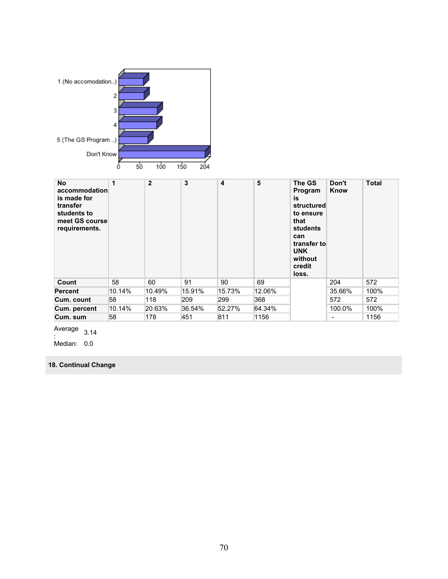

| <b>No</b><br>accommodation<br>is made for<br>transfer<br>students to<br>meet GS course<br>requirements. | 1      | $\overline{2}$ | 3      | $\overline{\mathbf{4}}$ | 5      | The GS<br>Program<br>is<br>structured<br>to ensure<br>that<br><b>students</b><br>can<br>transfer to<br><b>UNK</b><br>without<br>credit<br>loss. | Don't<br>Know | <b>Total</b> |
|---------------------------------------------------------------------------------------------------------|--------|----------------|--------|-------------------------|--------|-------------------------------------------------------------------------------------------------------------------------------------------------|---------------|--------------|
| Count                                                                                                   | 58     | 60             | 91     | 90                      | 69     |                                                                                                                                                 | 204           | 572          |
| <b>Percent</b>                                                                                          | 10.14% | 10.49%         | 15.91% | 15.73%                  | 12.06% |                                                                                                                                                 | 35.66%        | 100%         |
| Cum. count                                                                                              | 58     | 118            | 209    | 299                     | 368    |                                                                                                                                                 | 572           | 572          |
| Cum. percent                                                                                            | 10.14% | 20.63%         | 36.54% | 52.27%                  | 64.34% |                                                                                                                                                 | 100.0%        | 100%         |
| Cum. sum                                                                                                | 58     | 178            | 451    | 811                     | 1156   |                                                                                                                                                 |               | 1156         |

Average  $\frac{1}{2}$ :

Median: 0.0

# **18. Continual Change**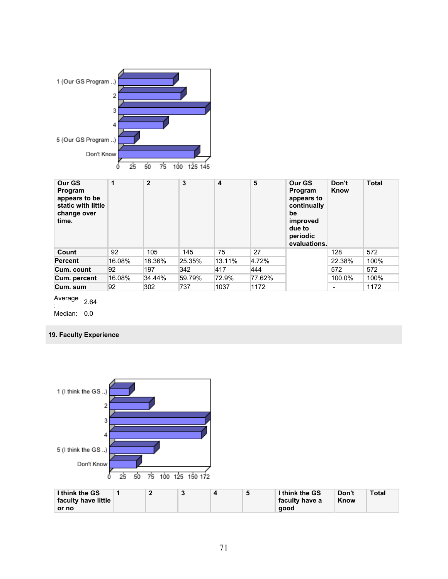

| Our GS<br>Program<br>appears to be<br>static with little<br>change over<br>time. | $\mathbf{1}$ | $\mathbf{2}$ | 3      | 4      | 5      | Our GS<br>Program<br>appears to<br>continually<br>be<br>improved<br>due to<br>periodic<br>evaluations. | Don't<br>Know            | <b>Total</b> |
|----------------------------------------------------------------------------------|--------------|--------------|--------|--------|--------|--------------------------------------------------------------------------------------------------------|--------------------------|--------------|
| Count                                                                            | 92           | 105          | 145    | 75     | 27     |                                                                                                        | 128                      | 572          |
| <b>Percent</b>                                                                   | 16.08%       | 18.36%       | 25.35% | 13.11% | 4.72%  |                                                                                                        | 22.38%                   | 100%         |
| Cum. count                                                                       | 92           | 197          | 342    | 417    | 444    |                                                                                                        | 572                      | 572          |
| Cum. percent                                                                     | 16.08%       | 34.44%       | 59.79% | 72.9%  | 77.62% |                                                                                                        | 100.0%                   | 100%         |
| Cum. sum                                                                         | 92           | 302          | 737    | 1037   | 1172   |                                                                                                        | $\overline{\phantom{0}}$ | 1172         |

Average 2.64

: Median: 0.0

### **19. Faculty Experience**

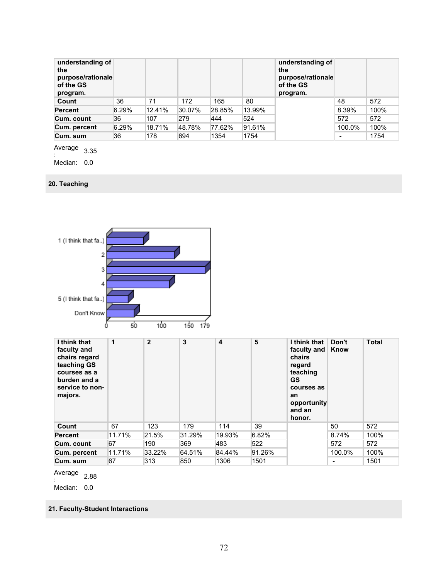| understanding of<br>the<br>purpose/rationale<br>of the GS<br>program. |       |        |        |        |        | understanding of<br>the<br>purpose/rationale<br>of the GS<br>program. |        |      |
|-----------------------------------------------------------------------|-------|--------|--------|--------|--------|-----------------------------------------------------------------------|--------|------|
| Count                                                                 | 36    | 71     | 172    | 165    | 80     |                                                                       | 48     | 572  |
| <b>Percent</b>                                                        | 6.29% | 12.41% | 30.07% | 28.85% | 13.99% |                                                                       | 8.39%  | 100% |
| Cum. count                                                            | 36    | 107    | 279    | 444    | 524    |                                                                       | 572    | 572  |
| Cum. percent                                                          | 6.29% | 18.71% | 48.78% | 77.62% | 91.61% |                                                                       | 100.0% | 100% |
| Cum. sum                                                              | 36    | 178    | 694    | 1354   | 1754   |                                                                       | -      | 1754 |

Average  $\frac{1}{2}$ <br> $\frac{1}{2}$ :

Median: 0.0

#### **20. Teaching**



Average : 2.88

Median: 0.0

**21. Faculty-Student Interactions**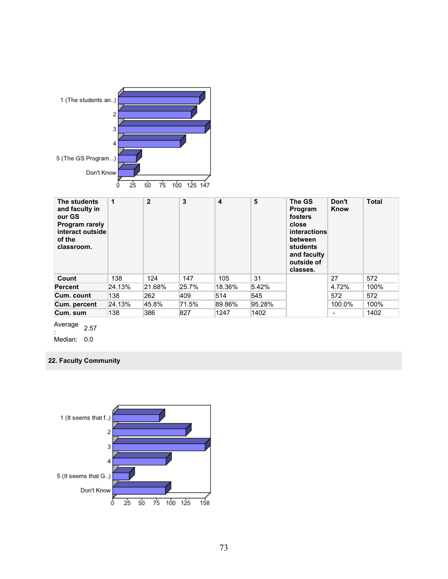

| The students<br>and faculty in<br>our GS<br>Program rarely<br>interact outside<br>of the<br>classroom. | 1      | $\overline{2}$ | 3     | 4      | 5      | The GS<br>Program<br>fosters<br>close<br><i>interactions</i><br>between<br>students<br>and faculty<br>outside of<br>classes. | Don't<br>Know                | <b>Total</b> |
|--------------------------------------------------------------------------------------------------------|--------|----------------|-------|--------|--------|------------------------------------------------------------------------------------------------------------------------------|------------------------------|--------------|
| Count                                                                                                  | 138    | 124            | 147   | 105    | 31     |                                                                                                                              | 27                           | 572          |
| <b>Percent</b>                                                                                         | 24.13% | 21.68%         | 25.7% | 18.36% | 5.42%  |                                                                                                                              | 4.72%                        | 100%         |
| Cum. count                                                                                             | 138    | 262            | 409   | 514    | 545    |                                                                                                                              | 572                          | 572          |
| Cum. percent                                                                                           | 24.13% | 45.8%          | 71.5% | 89.86% | 95.28% |                                                                                                                              | 100.0%                       | 100%         |
| Cum. sum                                                                                               | 138    | 386            | 827   | 1247   | 1402   |                                                                                                                              | $\qquad \qquad \blacksquare$ | 1402         |

Average  $\frac{2.57}{1}$ 

Median: 0.0

## **22. Faculty Community**

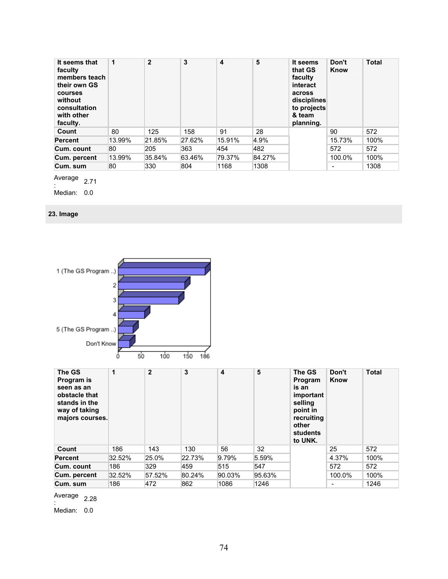| It seems that<br>faculty<br>members teach<br>their own GS<br>courses<br>without<br>consultation<br>with other<br>faculty. | 1      | $\mathbf{2}$ | 3      | 4      | 5      | It seems<br>that GS<br>faculty<br>interact<br>across<br>disciplines<br>to projects<br>& team<br>planning. | Don't<br>Know            | <b>Total</b> |
|---------------------------------------------------------------------------------------------------------------------------|--------|--------------|--------|--------|--------|-----------------------------------------------------------------------------------------------------------|--------------------------|--------------|
| Count                                                                                                                     | 80     | 125          | 158    | 91     | 28     |                                                                                                           | 90                       | 572          |
| <b>Percent</b>                                                                                                            | 13.99% | 21.85%       | 27.62% | 15.91% | 4.9%   |                                                                                                           | 15.73%                   | 100%         |
| Cum. count                                                                                                                | 80     | 205          | 363    | 454    | 482    |                                                                                                           | 572                      | 572          |
| Cum. percent                                                                                                              | 13.99% | 35.84%       | 63.46% | 79.37% | 84.27% |                                                                                                           | 100.0%                   | 100%         |
| Cum. sum                                                                                                                  | 80     | 330          | 804    | 1168   | 1308   |                                                                                                           | $\overline{\phantom{a}}$ | 1308         |

Average  $\frac{2.71}{2.71}$ 

Median: 0.0

## **23. Image**



| The GS<br>Program is<br>seen as an<br>obstacle that<br>stands in the<br>way of taking<br>majors courses. | 1      | $\overline{2}$ | 3      | $\overline{\mathbf{4}}$ | 5      | The GS<br>Program<br>is an<br>important<br>selling<br>point in<br>recruiting<br>other<br>students<br>to UNK. | Don't<br>Know | <b>Total</b> |
|----------------------------------------------------------------------------------------------------------|--------|----------------|--------|-------------------------|--------|--------------------------------------------------------------------------------------------------------------|---------------|--------------|
| Count                                                                                                    | 186    | 143            | 130    | 56                      | 32     |                                                                                                              | 25            | 572          |
| <b>Percent</b>                                                                                           | 32.52% | 25.0%          | 22.73% | 9.79%                   | 5.59%  |                                                                                                              | 4.37%         | 100%         |
| Cum. count                                                                                               | 186    | 329            | 459    | 515                     | 547    |                                                                                                              | 572           | 572          |
| Cum. percent                                                                                             | 32.52% | 57.52%         | 80.24% | 90.03%                  | 95.63% |                                                                                                              | 100.0%        | 100%         |
| Cum. sum                                                                                                 | 186    | 472            | 862    | 1086                    | 1246   |                                                                                                              | -             | 1246         |

Average  $\frac{2.28}{1}$ 

Median: 0.0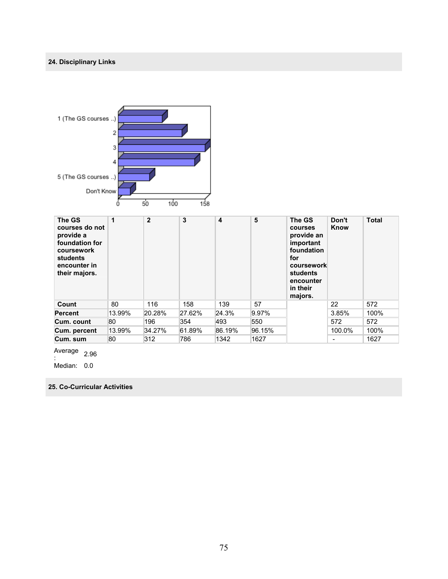## **24. Disciplinary Links**



| The GS<br>courses do not<br>provide a<br>foundation for<br>coursework<br><b>students</b><br>encounter in<br>their majors. | 1      | $\overline{2}$ | 3      | 4      | 5      | The GS<br>courses<br>provide an<br>important<br>foundation<br>for<br>coursework<br>students<br>encounter<br>in their<br>majors. | Don't<br>Know | <b>Total</b> |
|---------------------------------------------------------------------------------------------------------------------------|--------|----------------|--------|--------|--------|---------------------------------------------------------------------------------------------------------------------------------|---------------|--------------|
| Count                                                                                                                     | 80     | 116            | 158    | 139    | 57     |                                                                                                                                 | 22            | 572          |
| <b>Percent</b>                                                                                                            | 13.99% | 20.28%         | 27.62% | 24.3%  | 9.97%  |                                                                                                                                 | 3.85%         | 100%         |
| Cum. count                                                                                                                | 80     | 196            | 354    | 493    | 550    |                                                                                                                                 | 572           | 572          |
| Cum. percent                                                                                                              | 13.99% | 34.27%         | 61.89% | 86.19% | 96.15% |                                                                                                                                 | 100.0%        | 100%         |
| Cum. sum                                                                                                                  | 80     | 312            | 786    | 1342   | 1627   |                                                                                                                                 | ۰             | 1627         |

Average  $\frac{2.96}{2.96}$ 

Median: 0.0

**25. Co-Curricular Activities**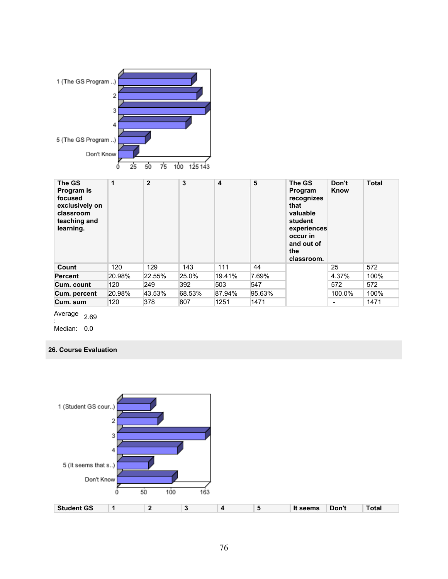

| The GS<br>Program is<br>focused<br>exclusively on<br>classroom<br>teaching and<br>learning. | 1      | $\overline{2}$ | 3      | 4      | 5      | The GS<br>Program<br>recognizes<br>that<br>valuable<br>student<br>experiences<br>occur in<br>and out of<br>the<br>classroom. | Don't<br>Know            | <b>Total</b> |
|---------------------------------------------------------------------------------------------|--------|----------------|--------|--------|--------|------------------------------------------------------------------------------------------------------------------------------|--------------------------|--------------|
| Count                                                                                       | 120    | 129            | 143    | 111    | 44     |                                                                                                                              | 25                       | 572          |
| <b>Percent</b>                                                                              | 20.98% | 22.55%         | 25.0%  | 19.41% | 7.69%  |                                                                                                                              | 4.37%                    | 100%         |
| Cum. count                                                                                  | 120    | 249            | 392    | 503    | 547    |                                                                                                                              | 572                      | 572          |
| Cum. percent                                                                                | 20.98% | 43.53%         | 68.53% | 87.94% | 95.63% |                                                                                                                              | 100.0%                   | 100%         |
| Cum. sum                                                                                    | 120    | 378            | 807    | 1251   | 1471   |                                                                                                                              | $\overline{\phantom{a}}$ | 1471         |

Average : 2.69

Median: 0.0

**26. Course Evaluation** 

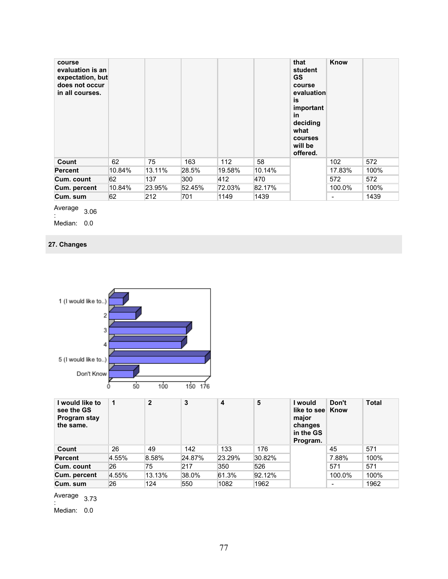| course<br>evaluation is an<br>expectation, but<br>does not occur<br>in all courses. |        |        |        |        |        | that<br>student<br><b>GS</b><br>course<br>evaluation<br>is<br>important<br>in<br>deciding<br>what<br>courses<br>will be<br>offered. | Know                     |      |
|-------------------------------------------------------------------------------------|--------|--------|--------|--------|--------|-------------------------------------------------------------------------------------------------------------------------------------|--------------------------|------|
| Count                                                                               | 62     | 75     | 163    | 112    | 58     |                                                                                                                                     | 102                      | 572  |
| <b>Percent</b>                                                                      | 10.84% | 13.11% | 28.5%  | 19.58% | 10.14% |                                                                                                                                     | 17.83%                   | 100% |
| Cum. count                                                                          | 62     | 137    | 300    | 412    | 470    |                                                                                                                                     | 572                      | 572  |
| Cum. percent                                                                        | 10.84% | 23.95% | 52.45% | 72.03% | 82.17% |                                                                                                                                     | 100.0%                   | 100% |
| Cum. sum                                                                            | 62     | 212    | 701    | 1149   | 1439   |                                                                                                                                     | $\overline{\phantom{a}}$ | 1439 |

Average  $\frac{206}{206}$ 

.<br>Median: 0.0

## **27. Changes**



| I would like to<br>see the GS<br>Program stay<br>the same. | 1     | $\mathbf{2}$ | 3      | 4      | 5      | l would<br>like to see Know<br>major<br>changes<br>in the GS<br>Program. | Don't  | <b>Total</b> |
|------------------------------------------------------------|-------|--------------|--------|--------|--------|--------------------------------------------------------------------------|--------|--------------|
| Count                                                      | 26    | 49           | 142    | 133    | 176    |                                                                          | 45     | 571          |
| <b>Percent</b>                                             | 4.55% | 8.58%        | 24.87% | 23.29% | 30.82% |                                                                          | 7.88%  | 100%         |
| Cum. count                                                 | 26    | 75           | 217    | 350    | 526    |                                                                          | 571    | 571          |
| Cum. percent                                               | 4.55% | 13.13%       | 38.0%  | 61.3%  | 92.12% |                                                                          | 100.0% | 100%         |
| Cum. sum                                                   | 26    | 124          | 550    | 1082   | 1962   |                                                                          |        | 1962         |

Average  $\frac{1}{2}$ <br>:

Median: 0.0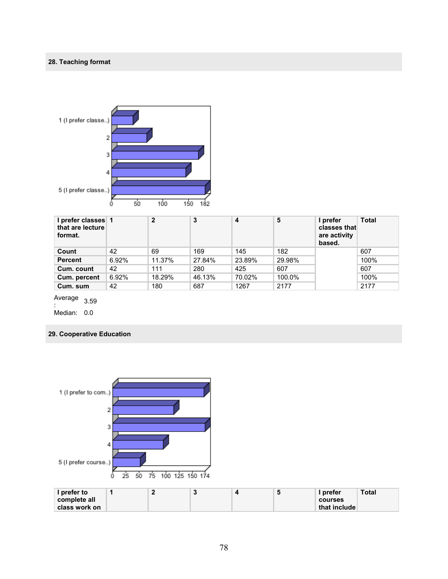#### **28. Teaching format**



| I prefer classes 1<br>that are lecture<br>format. |       | $\mathbf{2}$ | 3      | 4      | 5      | I prefer<br>classes that<br>are activity<br>based. | Total |
|---------------------------------------------------|-------|--------------|--------|--------|--------|----------------------------------------------------|-------|
| Count                                             | 42    | 69           | 169    | 145    | 182    |                                                    | 607   |
| <b>Percent</b>                                    | 6.92% | 11.37%       | 27.84% | 23.89% | 29.98% |                                                    | 100%  |
| Cum. count                                        | 42    | 111          | 280    | 425    | 607    |                                                    | 607   |
| Cum. percent                                      | 6.92% | 18.29%       | 46.13% | 70.02% | 100.0% |                                                    | 100%  |
| Cum. sum                                          | 42    | 180          | 687    | 1267   | 2177   |                                                    | 2177  |

Average 3.59

: Median: 0.0

#### **29. Cooperative Education**

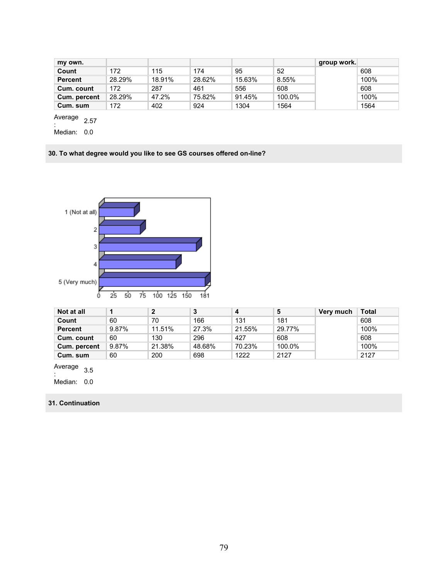| my own.        |        |        |        |        |        | group work. |      |
|----------------|--------|--------|--------|--------|--------|-------------|------|
| Count          | 172    | 115    | 174    | 95     | 52     |             | 608  |
| <b>Percent</b> | 28.29% | 18.91% | 28.62% | 15.63% | 8.55%  |             | 100% |
| Cum. count     | 172    | 287    | 461    | 556    | 608    |             | 608  |
| Cum. percent   | 28.29% | 47.2%  | 75.82% | 91.45% | 100.0% |             | 100% |
| Cum. sum       | 172    | 402    | 924    | 1304   | 1564   |             | 1564 |

Average

 $\frac{2.57}{1}$ Median: 0.0

**30. To what degree would you like to see GS courses offered on-line?** 



| Not at all   |       |        | 3      | 4      | 5      | Very much | Total |
|--------------|-------|--------|--------|--------|--------|-----------|-------|
| Count        | 60    | 70     | 166    | 131    | 181    |           | 608   |
| Percent      | 9.87% | 11.51% | 27.3%  | 21.55% | 29.77% |           | 100%  |
| Cum. count   | 60    | 130    | 296    | 427    | 608    |           | 608   |
| Cum. percent | 9.87% | 21.38% | 48.68% | 70.23% | 100.0% |           | 100%  |
| Cum. sum     | 60    | 200    | 698    | 1222   | 2127   |           | 2127  |

Average  $\frac{1}{2}$ :

Median: 0.0

#### **31. Continuation**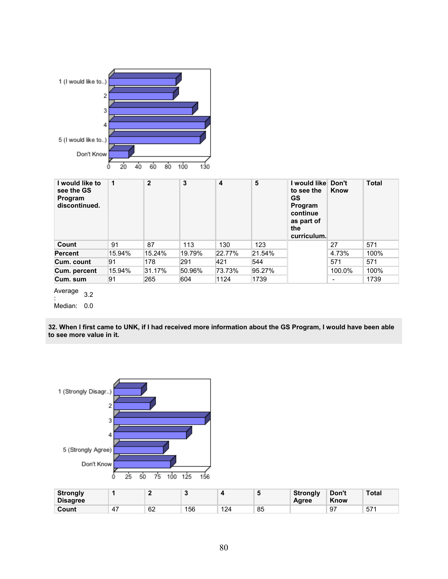

Median: 0.0

**32. When I first came to UNK, if I had received more information about the GS Program, I would have been able to see more value in it.** 



| <b>Strongly</b><br><b>Disagree</b> |    |    | $\ddot{\phantom{1}}$ |     | ×  | <b>Strongly</b><br>Agree | Don't<br>Know | Total           |
|------------------------------------|----|----|----------------------|-----|----|--------------------------|---------------|-----------------|
| Count                              | 4, | 62 | 156                  | 124 | 85 |                          | 97            | 57 <sup>6</sup> |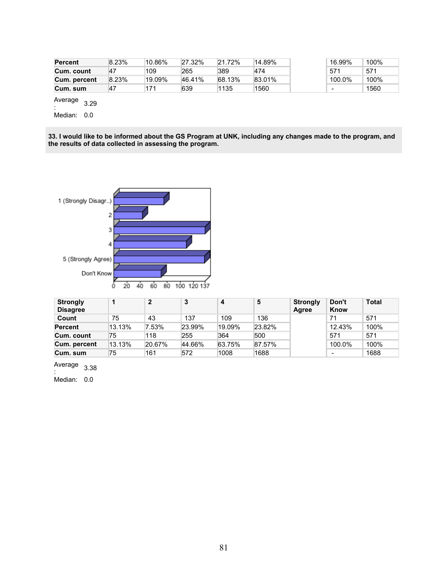| <b>Percent</b> | 8.23%     | ™10.86% | 27.32% | 21.72% | '14.89% | 16.99%                   | 100% |
|----------------|-----------|---------|--------|--------|---------|--------------------------|------|
| Cum. count     | 47        | 109     | 265    | 389    | 474     | 571                      | 571  |
| Cum. percent   | 8.23%     | ™19.09% | 46.41% | 68.13% | 83.01%  | 100.0%                   | 100% |
| Cum. sum       | <b>47</b> | 171     | 639    | 1135   | 1560    | $\overline{\phantom{a}}$ | 1560 |

Median: 0.0

**33. I would like to be informed about the GS Program at UNK, including any changes made to the program, and the results of data collected in assessing the program.** 



| <b>Strongly</b><br><b>Disagree</b> |        | $\mathbf{2}$ | 3      | 4      | 5      | <b>Strongly</b><br>Agree | Don't<br>Know            | <b>Total</b> |
|------------------------------------|--------|--------------|--------|--------|--------|--------------------------|--------------------------|--------------|
| Count                              | 75     | 43           | 137    | 109    | 136    |                          | 71                       | 571          |
| <b>Percent</b>                     | 13.13% | 7.53%        | 23.99% | 19.09% | 23.82% |                          | 12.43%                   | 100%         |
| Cum. count                         | 75     | 118          | 255    | 364    | 500    |                          | 571                      | 571          |
| Cum. percent                       | 13.13% | 20.67%       | 44.66% | 63.75% | 87.57% |                          | 100.0%                   | 100%         |
| Cum. sum                           | 75     | 161          | 572    | 1008   | 1688   |                          | $\overline{\phantom{a}}$ | 1688         |

Average  $\frac{1}{2}$ <br>:

Median: 0.0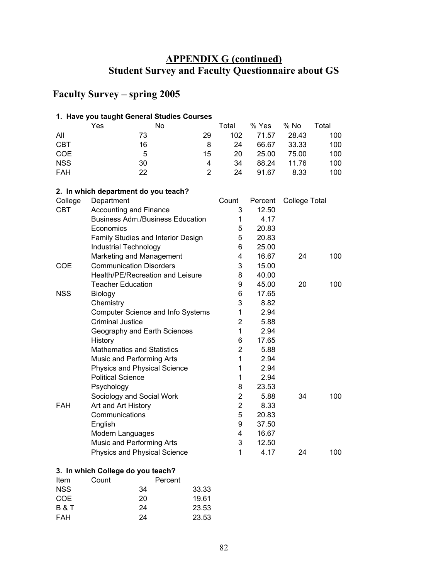# **APPENDIX G (continued) Student Survey and Faculty Questionnaire about GS**

# **Faculty Survey – spring 2005**

### **1. Have you taught General Studies Courses**

|            | Yes |    | No |    | Total | % Yes | % No  | Total |
|------------|-----|----|----|----|-------|-------|-------|-------|
| All        |     | 73 |    | 29 | 102   | 71.57 | 28.43 | 100   |
| <b>CBT</b> |     | 16 |    | 8  | 24    | 66.67 | 33.33 | 100   |
| <b>COE</b> |     | 5  |    | 15 | 20    | 25.00 | 75.00 | 100   |
| <b>NSS</b> |     | 30 |    | 4  | 34    | 88.24 | 11.76 | 100   |
| <b>FAH</b> |     | 22 |    |    | 24    | 91.67 | 8.33  | 100   |

#### **2. In which department do you teach?**

| College    | Department                               | Count          | Percent | <b>College Total</b> |     |
|------------|------------------------------------------|----------------|---------|----------------------|-----|
| <b>CBT</b> | <b>Accounting and Finance</b>            | 3              | 12.50   |                      |     |
|            | <b>Business Adm./Business Education</b>  | 1              | 4.17    |                      |     |
|            | Economics                                | 5              | 20.83   |                      |     |
|            | Family Studies and Interior Design       | 5              | 20.83   |                      |     |
|            | Industrial Technology                    | 6              | 25.00   |                      |     |
|            | Marketing and Management                 | 4              | 16.67   | 24                   | 100 |
| <b>COE</b> | <b>Communication Disorders</b>           | 3              | 15.00   |                      |     |
|            | Health/PE/Recreation and Leisure         | 8              | 40.00   |                      |     |
|            | <b>Teacher Education</b>                 | 9              | 45.00   | 20                   | 100 |
| <b>NSS</b> | Biology                                  | 6              | 17.65   |                      |     |
|            | Chemistry                                | 3              | 8.82    |                      |     |
|            | <b>Computer Science and Info Systems</b> | 1              | 2.94    |                      |     |
|            | <b>Criminal Justice</b>                  | $\overline{2}$ | 5.88    |                      |     |
|            | Geography and Earth Sciences             | 1              | 2.94    |                      |     |
|            | History                                  | 6              | 17.65   |                      |     |
|            | <b>Mathematics and Statistics</b>        | $\overline{2}$ | 5.88    |                      |     |
|            | Music and Performing Arts                | 1              | 2.94    |                      |     |
|            | Physics and Physical Science             | 1              | 2.94    |                      |     |
|            | <b>Political Science</b>                 | 1              | 2.94    |                      |     |
|            | Psychology                               | 8              | 23.53   |                      |     |
|            | Sociology and Social Work                | 2              | 5.88    | 34                   | 100 |
| <b>FAH</b> | Art and Art History                      | $\overline{2}$ | 8.33    |                      |     |
|            | Communications                           | 5              | 20.83   |                      |     |
|            | English                                  | 9              | 37.50   |                      |     |
|            | Modern Languages                         | 4              | 16.67   |                      |     |
|            | Music and Performing Arts                | 3              | 12.50   |                      |     |
|            | <b>Physics and Physical Science</b>      | 1              | 4.17    | 24                   | 100 |

### **3. In which College do you teach?**

| Item           | Count |    | Percent |       |
|----------------|-------|----|---------|-------|
| <b>NSS</b>     |       | 34 |         | 33.33 |
| COE            |       | 20 |         | 19.61 |
| <b>B&amp;T</b> |       | 24 |         | 23.53 |
| <b>FAH</b>     |       | 24 |         | 23.53 |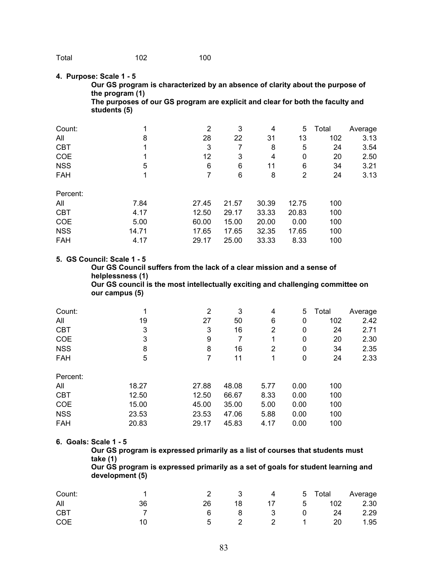#### **4. Purpose: Scale 1 - 5**

**Our GS program is characterized by an absence of clarity about the purpose of the program (1)** 

**The purposes of our GS program are explicit and clear for both the faculty and students (5)** 

| Count:     |       | 2     | 3     | 4     | 5     | Total | Average |
|------------|-------|-------|-------|-------|-------|-------|---------|
| All        | 8     | 28    | 22    | 31    | 13    | 102   | 3.13    |
| <b>CBT</b> |       | 3     |       | 8     | 5     | 24    | 3.54    |
| COE        |       | 12    | 3     | 4     | 0     | 20    | 2.50    |
| <b>NSS</b> | 5     | 6     | 6     | 11    | 6     | 34    | 3.21    |
| <b>FAH</b> |       |       | 6     | 8     | 2     | 24    | 3.13    |
| Percent:   |       |       |       |       |       |       |         |
| All        | 7.84  | 27.45 | 21.57 | 30.39 | 12.75 | 100   |         |
| <b>CBT</b> | 4.17  | 12.50 | 29.17 | 33.33 | 20.83 | 100   |         |
| COE        | 5.00  | 60.00 | 15.00 | 20.00 | 0.00  | 100   |         |
| <b>NSS</b> | 14.71 | 17.65 | 17.65 | 32.35 | 17.65 | 100   |         |
| <b>FAH</b> | 4.17  | 29.17 | 25.00 | 33.33 | 8.33  | 100   |         |

#### **5. GS Council: Scale 1 - 5**

**Our GS Council suffers from the lack of a clear mission and a sense of helplessness (1) Our GS council is the most intellectually exciting and challenging committee on** 

**our campus (5)** 

| Count:     |       | 2     | 3     | 4    | 5    | Total | Average |
|------------|-------|-------|-------|------|------|-------|---------|
| All        | 19    | 27    | 50    | 6    | 0    | 102   | 2.42    |
| <b>CBT</b> | 3     | 3     | 16    | 2    | 0    | 24    | 2.71    |
| COE        | 3     | 9     | 7     | 1    | 0    | 20    | 2.30    |
| <b>NSS</b> | 8     | 8     | 16    | 2    | 0    | 34    | 2.35    |
| <b>FAH</b> | 5     | 7     | 11    | 1    | 0    | 24    | 2.33    |
| Percent:   |       |       |       |      |      |       |         |
| All        | 18.27 | 27.88 | 48.08 | 5.77 | 0.00 | 100   |         |
| <b>CBT</b> | 12.50 | 12.50 | 66.67 | 8.33 | 0.00 | 100   |         |
| COE        | 15.00 | 45.00 | 35.00 | 5.00 | 0.00 | 100   |         |
| <b>NSS</b> | 23.53 | 23.53 | 47.06 | 5.88 | 0.00 | 100   |         |
| <b>FAH</b> | 20.83 | 29.17 | 45.83 | 4.17 | 0.00 | 100   |         |

#### **6. Goals: Scale 1 - 5**

**Our GS program is expressed primarily as a list of courses that students must take (1)** 

**Our GS program is expressed primarily as a set of goals for student learning and development (5)** 

| Count:     |    |     |    |  | 3 4 5 Total Average |      |
|------------|----|-----|----|--|---------------------|------|
| All        | 36 | 26. | 18 |  | 17 5 102 2.30       |      |
| <b>CBT</b> |    | 6   |    |  | 8 3 0 24 2.29       |      |
| <b>COE</b> |    | 5   |    |  | 2 2 1 20            | 1.95 |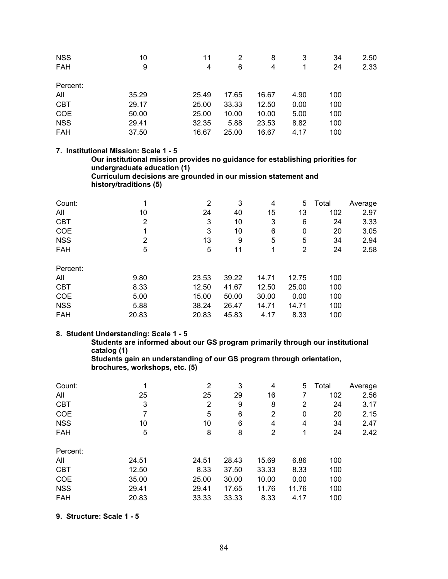| <b>NSS</b><br>FAH | 10<br>9 | 11<br>4 | 2<br>6 | 8<br>4 | 3    | 34<br>24 | 2.50<br>2.33 |
|-------------------|---------|---------|--------|--------|------|----------|--------------|
| Percent:          |         |         |        |        |      |          |              |
| All               | 35.29   | 25.49   | 17.65  | 16.67  | 4.90 | 100      |              |
| <b>CBT</b>        | 29.17   | 25.00   | 33.33  | 12.50  | 0.00 | 100      |              |
| <b>COE</b>        | 50.00   | 25.00   | 10.00  | 10.00  | 5.00 | 100      |              |
| <b>NSS</b>        | 29.41   | 32.35   | 5.88   | 23.53  | 8.82 | 100      |              |
| <b>FAH</b>        | 37.50   | 16.67   | 25.00  | 16.67  | 4.17 | 100      |              |

#### **7. Institutional Mission: Scale 1 - 5**

**Our institutional mission provides no guidance for establishing priorities for undergraduate education (1)** 

**Curriculum decisions are grounded in our mission statement and history/traditions (5)** 

| Count:     | 1     | 2     | 3     | 4     | 5     | Total | Average |
|------------|-------|-------|-------|-------|-------|-------|---------|
| All        | 10    | 24    | 40    | 15    | 13    | 102   | 2.97    |
| <b>CBT</b> | 2     | 3     | 10    | 3     | 6     | 24    | 3.33    |
| COE        | 1     | 3     | 10    | 6     | 0     | 20    | 3.05    |
| <b>NSS</b> | 2     | 13    | 9     | 5     | 5     | 34    | 2.94    |
| <b>FAH</b> | 5     | 5     | 11    | 1     | 2     | 24    | 2.58    |
| Percent:   |       |       |       |       |       |       |         |
| All        | 9.80  | 23.53 | 39.22 | 14.71 | 12.75 | 100   |         |
| <b>CBT</b> | 8.33  | 12.50 | 41.67 | 12.50 | 25.00 | 100   |         |
| COE        | 5.00  | 15.00 | 50.00 | 30.00 | 0.00  | 100   |         |
| <b>NSS</b> | 5.88  | 38.24 | 26.47 | 14.71 | 14.71 | 100   |         |
| <b>FAH</b> | 20.83 | 20.83 | 45.83 | 4.17  | 8.33  | 100   |         |

#### **8. Student Understanding: Scale 1 - 5**

**Students are informed about our GS program primarily through our institutional catalog (1)** 

**Students gain an understanding of our GS program through orientation, brochures, workshops, etc. (5)** 

| 4     | 2     | 3     | 4     | 5     | Total | Average |
|-------|-------|-------|-------|-------|-------|---------|
| 25    | 25    | 29    | 16    | 7     | 102   | 2.56    |
| 3     | 2     | 9     | 8     | 2     | 24    | 3.17    |
|       | 5     | 6     | 2     | 0     | 20    | 2.15    |
| 10    | 10    | 6     | 4     | 4     | 34    | 2.47    |
| 5     | 8     | 8     | 2     | 1     | 24    | 2.42    |
|       |       |       |       |       |       |         |
| 24.51 | 24.51 | 28.43 | 15.69 | 6.86  | 100   |         |
| 12.50 | 8.33  | 37.50 | 33.33 | 8.33  | 100   |         |
| 35.00 | 25.00 | 30.00 | 10.00 | 0.00  | 100   |         |
| 29.41 | 29.41 | 17.65 | 11.76 | 11.76 | 100   |         |
| 20.83 | 33.33 | 33.33 | 8.33  | 4.17  | 100   |         |
|       |       |       |       |       |       |         |

**9. Structure: Scale 1 - 5**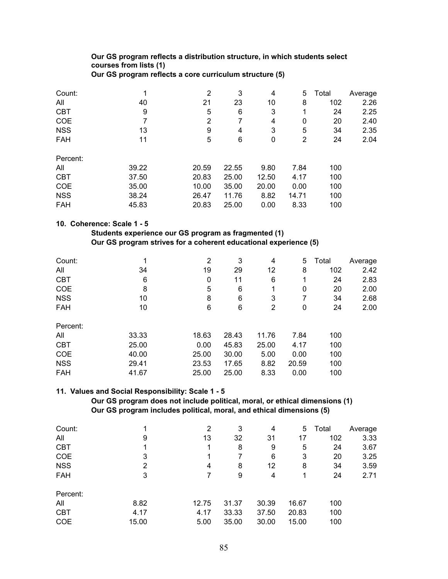## **Our GS program reflects a distribution structure, in which students select courses from lists (1)**

| Count:     | и     | $\overline{2}$ | 3     | 4     | 5.    | Total | Average |
|------------|-------|----------------|-------|-------|-------|-------|---------|
| All        | 40    | 21             | 23    | 10    | 8     | 102   | 2.26    |
| <b>CBT</b> | 9     | 5              | 6     | 3     | 1     | 24    | 2.25    |
| COE        | 7     | 2              | 7     | 4     | 0     | 20    | 2.40    |
| <b>NSS</b> | 13    | 9              | 4     | 3     | 5     | 34    | 2.35    |
| FAH        | 11    | 5              | 6     | 0     | 2     | 24    | 2.04    |
| Percent:   |       |                |       |       |       |       |         |
| All        | 39.22 | 20.59          | 22.55 | 9.80  | 7.84  | 100   |         |
| <b>CBT</b> | 37.50 | 20.83          | 25.00 | 12.50 | 4.17  | 100   |         |
| <b>COE</b> | 35.00 | 10.00          | 35.00 | 20.00 | 0.00  | 100   |         |
| <b>NSS</b> | 38.24 | 26.47          | 11.76 | 8.82  | 14.71 | 100   |         |
| <b>FAH</b> | 45.83 | 20.83          | 25.00 | 0.00  | 8.33  | 100   |         |

### **Our GS program reflects a core curriculum structure (5)**

### **10. Coherence: Scale 1 - 5**

#### **Students experience our GS program as fragmented (1) Our GS program strives for a coherent educational experience (5)**

| Count:     | 1     | 2     | 3     | 4     | 5     | Total | Average |
|------------|-------|-------|-------|-------|-------|-------|---------|
| All        | 34    | 19    | 29    | 12    | 8     | 102   | 2.42    |
| <b>CBT</b> | 6     | 0     | 11    | 6     | 1     | 24    | 2.83    |
| COE        | 8     | 5     | 6     | 1     | 0     | 20    | 2.00    |
| <b>NSS</b> | 10    | 8     | 6     | 3     |       | 34    | 2.68    |
| <b>FAH</b> | 10    | 6     | 6     | 2     | 0     | 24    | 2.00    |
| Percent:   |       |       |       |       |       |       |         |
| All        | 33.33 | 18.63 | 28.43 | 11.76 | 7.84  | 100   |         |
| <b>CBT</b> | 25.00 | 0.00  | 45.83 | 25.00 | 4.17  | 100   |         |
| <b>COE</b> | 40.00 | 25.00 | 30.00 | 5.00  | 0.00  | 100   |         |
| <b>NSS</b> | 29.41 | 23.53 | 17.65 | 8.82  | 20.59 | 100   |         |
| <b>FAH</b> | 41.67 | 25.00 | 25.00 | 8.33  | 0.00  | 100   |         |

#### **11. Values and Social Responsibility: Scale 1 - 5**

 **Our GS program does not include political, moral, or ethical dimensions (1) Our GS program includes political, moral, and ethical dimensions (5)** 

| Count:     |       | $\overline{2}$ | 3     | 4     | 5     | Total | Average |
|------------|-------|----------------|-------|-------|-------|-------|---------|
| All        | 9     | 13             | 32    | 31    | 17    | 102   | 3.33    |
| <b>CBT</b> |       |                | 8     | 9     | 5     | 24    | 3.67    |
| <b>COE</b> | 3     |                |       | 6     | 3     | 20    | 3.25    |
| <b>NSS</b> | 2     | 4              | 8     | 12    | 8     | 34    | 3.59    |
| <b>FAH</b> | 3     |                | 9     | 4     | 1     | 24    | 2.71    |
| Percent:   |       |                |       |       |       |       |         |
| All        | 8.82  | 12.75          | 31.37 | 30.39 | 16.67 | 100   |         |
| <b>CBT</b> | 4.17  | 4.17           | 33.33 | 37.50 | 20.83 | 100   |         |
| <b>COE</b> | 15.00 | 5.00           | 35.00 | 30.00 | 15.00 | 100   |         |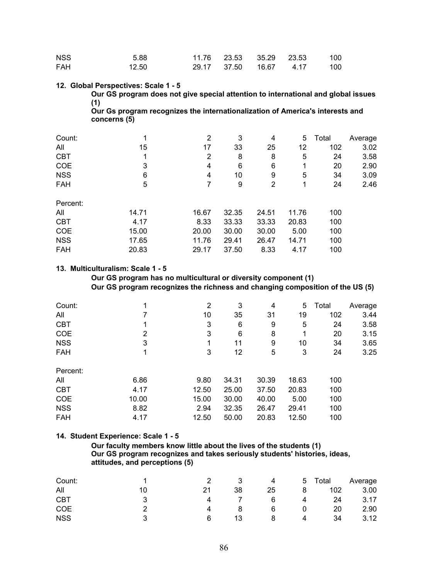| <b>NSS</b> | 5.88  |  | 11.76 23.53 35.29 23.53 100 |  |
|------------|-------|--|-----------------------------|--|
| <b>FAH</b> | 12.50 |  | 29.17 37.50 16.67 4.17 100  |  |

#### **12. Global Perspectives: Scale 1 - 5**

**Our GS program does not give special attention to international and global issues (1)** 

**Our Gs program recognizes the internationalization of America's interests and concerns (5)** 

| Count:     | и     | $\overline{2}$ | 3     | 4     | 5     | Total | Average |
|------------|-------|----------------|-------|-------|-------|-------|---------|
| All        | 15    | 17             | 33    | 25    | 12    | 102   | 3.02    |
| <b>CBT</b> | 1     | 2              | 8     | 8     | 5     | 24    | 3.58    |
| COE        | 3     | 4              | 6     | 6     | 1     | 20    | 2.90    |
| <b>NSS</b> | 6     | 4              | 10    | 9     | 5     | 34    | 3.09    |
| FAH        | 5     | 7              | 9     | 2     | 1     | 24    | 2.46    |
| Percent:   |       |                |       |       |       |       |         |
| All        | 14.71 | 16.67          | 32.35 | 24.51 | 11.76 | 100   |         |
| <b>CBT</b> | 4.17  | 8.33           | 33.33 | 33.33 | 20.83 | 100   |         |
| <b>COE</b> | 15.00 | 20.00          | 30.00 | 30.00 | 5.00  | 100   |         |
| <b>NSS</b> | 17.65 | 11.76          | 29.41 | 26.47 | 14.71 | 100   |         |
| <b>FAH</b> | 20.83 | 29.17          | 37.50 | 8.33  | 4.17  | 100   |         |

#### **13. Multiculturalism: Scale 1 - 5**

 **Our GS program has no multicultural or diversity component (1) Our GS program recognizes the richness and changing composition of the US (5)** 

| Count:     | 1     | 2     | 3     | 4     | 5.    | Total | Average |
|------------|-------|-------|-------|-------|-------|-------|---------|
| All        |       | 10    | 35    | 31    | 19    | 102   | 3.44    |
| <b>CBT</b> | 1     | 3     | 6     | 9     | 5     | 24    | 3.58    |
| COE        | 2     | 3     | 6     | 8     | 1     | 20    | 3.15    |
| <b>NSS</b> | 3     | 1     | 11    | 9     | 10    | 34    | 3.65    |
| <b>FAH</b> | 1     | 3     | 12    | 5     | 3     | 24    | 3.25    |
| Percent:   |       |       |       |       |       |       |         |
| All        | 6.86  | 9.80  | 34.31 | 30.39 | 18.63 | 100   |         |
| <b>CBT</b> | 4.17  | 12.50 | 25.00 | 37.50 | 20.83 | 100   |         |
| <b>COE</b> | 10.00 | 15.00 | 30.00 | 40.00 | 5.00  | 100   |         |
| <b>NSS</b> | 8.82  | 2.94  | 32.35 | 26.47 | 29.41 | 100   |         |
| <b>FAH</b> | 4.17  | 12.50 | 50.00 | 20.83 | 12.50 | 100   |         |

#### **14. Student Experience: Scale 1 - 5**

#### **Our faculty members know little about the lives of the students (1) Our GS program recognizes and takes seriously students' histories, ideas, attitudes, and perceptions (5)**

| Count:     |    |    | 4  | $\mathbf b$ | Total | Average |
|------------|----|----|----|-------------|-------|---------|
| All        | 21 | 38 | 25 |             | 102   | 3.00    |
| <b>CBT</b> |    |    | 6  | 4           | 24    | 3.17    |
| COE        |    |    | 6  |             | 20    | 2.90    |
| <b>NSS</b> | 6  |    |    |             | 34    | 3.12    |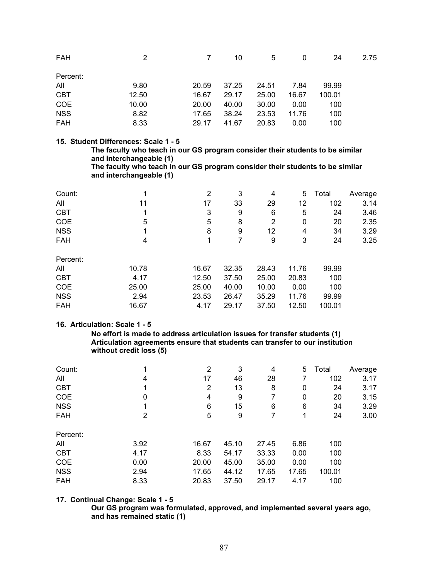| <b>FAH</b> | 2     | 7     | 10    | 5     | 0     | 24     | 2.75 |
|------------|-------|-------|-------|-------|-------|--------|------|
| Percent:   |       |       |       |       |       |        |      |
| All        | 9.80  | 20.59 | 37.25 | 24.51 | 7.84  | 99.99  |      |
| <b>CBT</b> | 12.50 | 16.67 | 29.17 | 25.00 | 16.67 | 100.01 |      |
| <b>COE</b> | 10.00 | 20.00 | 40.00 | 30.00 | 0.00  | 100    |      |
| <b>NSS</b> | 8.82  | 17.65 | 38.24 | 23.53 | 11.76 | 100    |      |
| <b>FAH</b> | 8.33  | 29.17 | 41.67 | 20.83 | 0.00  | 100    |      |

#### **15. Student Differences: Scale 1 - 5**

**The faculty who teach in our GS program consider their students to be similar and interchangeable (1)** 

**The faculty who teach in our GS program consider their students to be similar and interchangeable (1)** 

| 1     | 2     | 3     | 4     | 5     | Total  | Average |
|-------|-------|-------|-------|-------|--------|---------|
| 11    | 17    | 33    | 29    | 12    | 102    | 3.14    |
| 1     | 3     | 9     | 6     | 5     | 24     | 3.46    |
| 5     | 5     | 8     | 2     | 0     | 20     | 2.35    |
| 1     | 8     | 9     | 12    | 4     | 34     | 3.29    |
| 4     |       |       | 9     | 3     | 24     | 3.25    |
|       |       |       |       |       |        |         |
| 10.78 | 16.67 | 32.35 | 28.43 | 11.76 | 99.99  |         |
| 4.17  | 12.50 | 37.50 | 25.00 | 20.83 | 100    |         |
| 25.00 | 25.00 | 40.00 | 10.00 | 0.00  | 100    |         |
| 2.94  | 23.53 | 26.47 | 35.29 | 11.76 | 99.99  |         |
| 16.67 | 4.17  | 29.17 | 37.50 | 12.50 | 100.01 |         |
|       |       |       |       |       |        |         |

#### **16. Articulation: Scale 1 - 5**

 **No effort is made to address articulation issues for transfer students (1) Articulation agreements ensure that students can transfer to our institution without credit loss (5)** 

| Count:     | 1    | 2     | 3     | 4     | 5     | Total  | Average |
|------------|------|-------|-------|-------|-------|--------|---------|
| All        | 4    | 17    | 46    | 28    |       | 102    | 3.17    |
| <b>CBT</b> | 1    | 2     | 13    | 8     | 0     | 24     | 3.17    |
| COE        | 0    | 4     | 9     | 7     | 0     | 20     | 3.15    |
| <b>NSS</b> |      | 6     | 15    | 6     | 6     | 34     | 3.29    |
| <b>FAH</b> | 2    | 5     | 9     | 7     | 1     | 24     | 3.00    |
| Percent:   |      |       |       |       |       |        |         |
| All        | 3.92 | 16.67 | 45.10 | 27.45 | 6.86  | 100    |         |
| <b>CBT</b> | 4.17 | 8.33  | 54.17 | 33.33 | 0.00  | 100    |         |
| COE        | 0.00 | 20.00 | 45.00 | 35.00 | 0.00  | 100    |         |
| <b>NSS</b> | 2.94 | 17.65 | 44.12 | 17.65 | 17.65 | 100.01 |         |
| <b>FAH</b> | 8.33 | 20.83 | 37.50 | 29.17 | 4.17  | 100    |         |

#### **17. Continual Change: Scale 1 - 5**

**Our GS program was formulated, approved, and implemented several years ago, and has remained static (1)**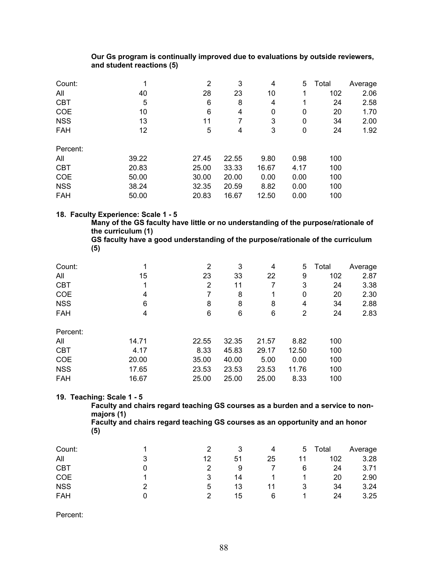#### **Our Gs program is continually improved due to evaluations by outside reviewers, and student reactions (5)**

| Count:     | 1     | 2     | 3     | 4     | 5.   | Total | Average |
|------------|-------|-------|-------|-------|------|-------|---------|
| All        | 40    | 28    | 23    | 10    | 1    | 102   | 2.06    |
| <b>CBT</b> | 5     | 6     | 8     | 4     | 1    | 24    | 2.58    |
| COE        | 10    | 6     | 4     | 0     | 0    | 20    | 1.70    |
| <b>NSS</b> | 13    | 11    | 7     | 3     | 0    | 34    | 2.00    |
| <b>FAH</b> | 12    | 5     | 4     | 3     | 0    | 24    | 1.92    |
| Percent:   |       |       |       |       |      |       |         |
| All        | 39.22 | 27.45 | 22.55 | 9.80  | 0.98 | 100   |         |
| <b>CBT</b> | 20.83 | 25.00 | 33.33 | 16.67 | 4.17 | 100   |         |
| COE        | 50.00 | 30.00 | 20.00 | 0.00  | 0.00 | 100   |         |
| <b>NSS</b> | 38.24 | 32.35 | 20.59 | 8.82  | 0.00 | 100   |         |
| <b>FAH</b> | 50.00 | 20.83 | 16.67 | 12.50 | 0.00 | 100   |         |

#### **18. Faculty Experience: Scale 1 - 5**

**Many of the GS faculty have little or no understanding of the purpose/rationale of the curriculum (1)** 

**GS faculty have a good understanding of the purpose/rationale of the curriculum (5)** 

| Count:     |       | 2     | 3     | 4     | 5     | Total | Average |
|------------|-------|-------|-------|-------|-------|-------|---------|
| All        | 15    | 23    | 33    | 22    | 9     | 102   | 2.87    |
| <b>CBT</b> |       | 2     | 11    | 7     | 3     | 24    | 3.38    |
| COE        | 4     | 7     | 8     | 1     | 0     | 20    | 2.30    |
| <b>NSS</b> | 6     | 8     | 8     | 8     | 4     | 34    | 2.88    |
| <b>FAH</b> | 4     | 6     | 6     | 6     | 2     | 24    | 2.83    |
| Percent:   |       |       |       |       |       |       |         |
| All        | 14.71 | 22.55 | 32.35 | 21.57 | 8.82  | 100   |         |
| <b>CBT</b> | 4.17  | 8.33  | 45.83 | 29.17 | 12.50 | 100   |         |
| COE        | 20.00 | 35.00 | 40.00 | 5.00  | 0.00  | 100   |         |
| <b>NSS</b> | 17.65 | 23.53 | 23.53 | 23.53 | 11.76 | 100   |         |
| <b>FAH</b> | 16.67 | 25.00 | 25.00 | 25.00 | 8.33  | 100   |         |

#### **19. Teaching: Scale 1 - 5**

**Faculty and chairs regard teaching GS courses as a burden and a service to nonmajors (1)** 

**Faculty and chairs regard teaching GS courses as an opportunity and an honor (5)** 

| Count:     |    |    | 4  | 5 | Total | Average |
|------------|----|----|----|---|-------|---------|
| All        | 12 | 51 | 25 |   | 102   | 3.28    |
| <b>CBT</b> | 2  | 9  |    | 6 | 24    | 3.71    |
| <b>COE</b> | 3  | 14 |    |   | 20    | 2.90    |
| <b>NSS</b> | 5  | 13 |    | 3 | 34    | 3.24    |
| <b>FAH</b> | າ  | 15 | 6  |   | 24    | 3.25    |

Percent: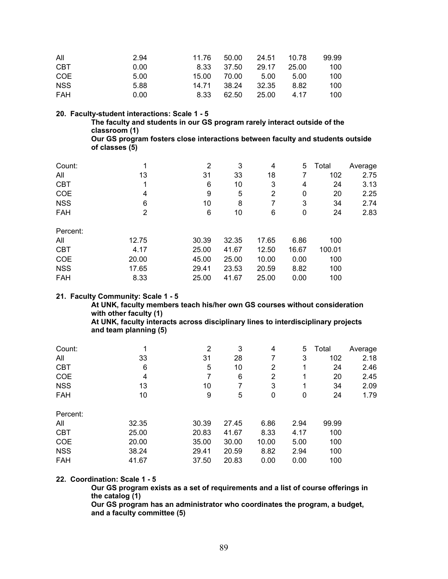| All        | 2.94 | 11.76 | 50.00 | 24.51 10.78 |       | 99.99 |
|------------|------|-------|-------|-------------|-------|-------|
| <b>CBT</b> | 0.00 | 8.33  | 37.50 | 29.17       | 25.00 | 100   |
| COE        | 5.00 | 15.00 | 70.00 | - 5.00      | 5.00  | 100   |
| <b>NSS</b> | 5.88 | 14.71 | 38.24 | 32.35       | 8.82  | 100   |
| FAH        | 0.00 | 8.33  | 62.50 | 25.00       | 4.17  | 100   |

**20. Faculty-student interactions: Scale 1 - 5** 

**The faculty and students in our GS program rarely interact outside of the classroom (1) Our GS program fosters close interactions between faculty and students outside** 

**of classes (5)** 

| Count:     | 4     | 2     | 3     | 4     | 5.    | Total  | Average |
|------------|-------|-------|-------|-------|-------|--------|---------|
| All        | 13    | 31    | 33    | 18    | 7     | 102    | 2.75    |
| <b>CBT</b> | 1     | 6     | 10    | 3     | 4     | 24     | 3.13    |
| COE        | 4     | 9     | 5     | 2     | 0     | 20     | 2.25    |
| <b>NSS</b> | 6     | 10    | 8     | 7     | 3     | 34     | 2.74    |
| <b>FAH</b> | 2     | 6     | 10    | 6     | 0     | 24     | 2.83    |
| Percent:   |       |       |       |       |       |        |         |
| All        | 12.75 | 30.39 | 32.35 | 17.65 | 6.86  | 100    |         |
| <b>CBT</b> | 4.17  | 25.00 | 41.67 | 12.50 | 16.67 | 100.01 |         |
| COE        | 20.00 | 45.00 | 25.00 | 10.00 | 0.00  | 100    |         |
| <b>NSS</b> | 17.65 | 29.41 | 23.53 | 20.59 | 8.82  | 100    |         |
| <b>FAH</b> | 8.33  | 25.00 | 41.67 | 25.00 | 0.00  | 100    |         |

#### **21. Faculty Community: Scale 1 - 5**

**At UNK, faculty members teach his/her own GS courses without consideration with other faculty (1) At UNK, faculty interacts across disciplinary lines to interdisciplinary projects** 

**and team planning (5)** 

| Count:     |       | 2     | 3     | 4     | 5    | Total | Average |
|------------|-------|-------|-------|-------|------|-------|---------|
| All        | 33    | 31    | 28    | 7     | 3    | 102   | 2.18    |
| <b>CBT</b> | 6     | 5     | 10    | 2     | 1    | 24    | 2.46    |
| COE        | 4     | 7     | 6     | 2     | 1    | 20    | 2.45    |
| <b>NSS</b> | 13    | 10    | 7     | 3     | 1    | 34    | 2.09    |
| <b>FAH</b> | 10    | 9     | 5     | 0     | 0    | 24    | 1.79    |
| Percent:   |       |       |       |       |      |       |         |
| All        | 32.35 | 30.39 | 27.45 | 6.86  | 2.94 | 99.99 |         |
| <b>CBT</b> | 25.00 | 20.83 | 41.67 | 8.33  | 4.17 | 100   |         |
| COE        | 20.00 | 35.00 | 30.00 | 10.00 | 5.00 | 100   |         |
| <b>NSS</b> | 38.24 | 29.41 | 20.59 | 8.82  | 2.94 | 100   |         |
| <b>FAH</b> | 41.67 | 37.50 | 20.83 | 0.00  | 0.00 | 100   |         |

#### **22. Coordination: Scale 1 - 5**

**Our GS program exists as a set of requirements and a list of course offerings in the catalog (1)** 

**Our GS program has an administrator who coordinates the program, a budget, and a faculty committee (5)**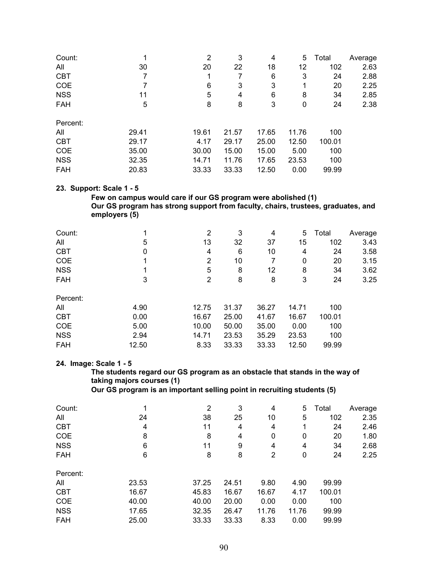| Count:     |       | 2     | 3     | 4     | 5     | Total  | Average |
|------------|-------|-------|-------|-------|-------|--------|---------|
| All        | 30    | 20    | 22    | 18    | 12    | 102    | 2.63    |
| <b>CBT</b> | 7     |       |       | 6     | 3     | 24     | 2.88    |
| COE        |       | 6     | 3     | 3     | 1     | 20     | 2.25    |
| <b>NSS</b> | 11    | 5     | 4     | 6     | 8     | 34     | 2.85    |
| <b>FAH</b> | 5     | 8     | 8     | 3     | 0     | 24     | 2.38    |
| Percent:   |       |       |       |       |       |        |         |
| All        | 29.41 | 19.61 | 21.57 | 17.65 | 11.76 | 100    |         |
| <b>CBT</b> | 29.17 | 4.17  | 29.17 | 25.00 | 12.50 | 100.01 |         |
| <b>COE</b> | 35.00 | 30.00 | 15.00 | 15.00 | 5.00  | 100    |         |
| <b>NSS</b> | 32.35 | 14.71 | 11.76 | 17.65 | 23.53 | 100    |         |
| <b>FAH</b> | 20.83 | 33.33 | 33.33 | 12.50 | 0.00  | 99.99  |         |

#### **23. Support: Scale 1 - 5**

 **Few on campus would care if our GS program were abolished (1) Our GS program has strong support from faculty, chairs, trustees, graduates, and employers (5)** 

| Count:     |       | 2     | 3     | 4     | 5.    | Total  | Average |
|------------|-------|-------|-------|-------|-------|--------|---------|
| All        | 5     | 13    | 32    | 37    | 15    | 102    | 3.43    |
| <b>CBT</b> | 0     | 4     | 6     | 10    | 4     | 24     | 3.58    |
| COE        |       | 2     | 10    | 7     | 0     | 20     | 3.15    |
| <b>NSS</b> |       | 5     | 8     | 12    | 8     | 34     | 3.62    |
| <b>FAH</b> | 3     | 2     | 8     | 8     | 3     | 24     | 3.25    |
| Percent:   |       |       |       |       |       |        |         |
| All        | 4.90  | 12.75 | 31.37 | 36.27 | 14.71 | 100    |         |
| <b>CBT</b> | 0.00  | 16.67 | 25.00 | 41.67 | 16.67 | 100.01 |         |
| <b>COE</b> | 5.00  | 10.00 | 50.00 | 35.00 | 0.00  | 100    |         |
| <b>NSS</b> | 2.94  | 14.71 | 23.53 | 35.29 | 23.53 | 100    |         |
| <b>FAH</b> | 12.50 | 8.33  | 33.33 | 33.33 | 12.50 | 99.99  |         |

#### **24. Image: Scale 1 - 5**

**The students regard our GS program as an obstacle that stands in the way of taking majors courses (1)** 

 **Our GS program is an important selling point in recruiting students (5)** 

| Count:     | 1     | 2     | 3     | 4     | 5.    | Total  | Average |
|------------|-------|-------|-------|-------|-------|--------|---------|
| All        | 24    | 38    | 25    | 10    | 5     | 102    | 2.35    |
| <b>CBT</b> | 4     | 11    | 4     | 4     | 1     | 24     | 2.46    |
| COE        | 8     | 8     | 4     | 0     | 0     | 20     | 1.80    |
| <b>NSS</b> | 6     | 11    | 9     | 4     | 4     | 34     | 2.68    |
| <b>FAH</b> | 6     | 8     | 8     | 2     | 0     | 24     | 2.25    |
| Percent:   |       |       |       |       |       |        |         |
| All        | 23.53 | 37.25 | 24.51 | 9.80  | 4.90  | 99.99  |         |
| <b>CBT</b> | 16.67 | 45.83 | 16.67 | 16.67 | 4.17  | 100.01 |         |
| <b>COE</b> | 40.00 | 40.00 | 20.00 | 0.00  | 0.00  | 100    |         |
| <b>NSS</b> | 17.65 | 32.35 | 26.47 | 11.76 | 11.76 | 99.99  |         |
| <b>FAH</b> | 25.00 | 33.33 | 33.33 | 8.33  | 0.00  | 99.99  |         |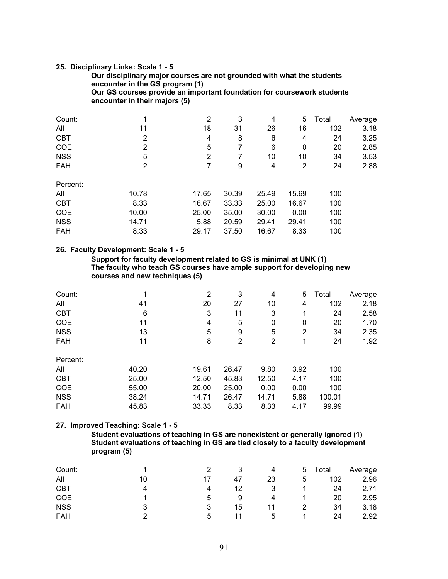#### **25. Disciplinary Links: Scale 1 - 5**

**Our disciplinary major courses are not grounded with what the students encounter in the GS program (1) Our GS courses provide an important foundation for coursework students encounter in their majors (5)** 

| Count:     | 1     | 2     | 3     | 4     | 5     | Total | Average |
|------------|-------|-------|-------|-------|-------|-------|---------|
| All        | 11    | 18    | 31    | 26    | 16    | 102   | 3.18    |
| <b>CBT</b> | 2     | 4     | 8     | 6     | 4     | 24    | 3.25    |
| COE        | 2     | 5     | 7     | 6     | 0     | 20    | 2.85    |
| <b>NSS</b> | 5     | 2     | 7     | 10    | 10    | 34    | 3.53    |
| <b>FAH</b> | 2     | 7     | 9     | 4     | 2     | 24    | 2.88    |
| Percent:   |       |       |       |       |       |       |         |
| All        | 10.78 | 17.65 | 30.39 | 25.49 | 15.69 | 100   |         |
| <b>CBT</b> | 8.33  | 16.67 | 33.33 | 25.00 | 16.67 | 100   |         |
| COE        | 10.00 | 25.00 | 35.00 | 30.00 | 0.00  | 100   |         |
| <b>NSS</b> | 14.71 | 5.88  | 20.59 | 29.41 | 29.41 | 100   |         |
| <b>FAH</b> | 8.33  | 29.17 | 37.50 | 16.67 | 8.33  | 100   |         |

#### **26. Faculty Development: Scale 1 - 5**

 **Support for faculty development related to GS is minimal at UNK (1) The faculty who teach GS courses have ample support for developing new courses and new techniques (5)** 

| Count:     | 1     | $\overline{2}$ | 3     | 4     | 5.   | Total  | Average |
|------------|-------|----------------|-------|-------|------|--------|---------|
| All        | 41    | 20             | 27    | 10    | 4    | 102    | 2.18    |
| <b>CBT</b> | 6     | 3              | 11    | 3     | 1    | 24     | 2.58    |
| <b>COE</b> | 11    | 4              | 5     | 0     | 0    | 20     | 1.70    |
| <b>NSS</b> | 13    | 5              | 9     | 5     | 2    | 34     | 2.35    |
| <b>FAH</b> | 11    | 8              | 2     | 2     | 1    | 24     | 1.92    |
| Percent:   |       |                |       |       |      |        |         |
| All        | 40.20 | 19.61          | 26.47 | 9.80  | 3.92 | 100    |         |
| <b>CBT</b> | 25.00 | 12.50          | 45.83 | 12.50 | 4.17 | 100    |         |
| <b>COE</b> | 55.00 | 20.00          | 25.00 | 0.00  | 0.00 | 100    |         |
| <b>NSS</b> | 38.24 | 14.71          | 26.47 | 14.71 | 5.88 | 100.01 |         |
| <b>FAH</b> | 45.83 | 33.33          | 8.33  | 8.33  | 4.17 | 99.99  |         |

#### **27. Improved Teaching: Scale 1 - 5**

 **Student evaluations of teaching in GS are nonexistent or generally ignored (1) Student evaluations of teaching in GS are tied closely to a faculty development program (5)** 

| Count:     |    |    |    | 4  | $\mathbf b$ | Total | Average |
|------------|----|----|----|----|-------------|-------|---------|
| All        | 10 | 17 | 47 | 23 | 5           | 102   | 2.96    |
| <b>CBT</b> | 4  | 4  | 12 |    |             | 24    | 2.71    |
| <b>COE</b> |    | 5  | 9  | 4  |             | 20    | 2.95    |
| <b>NSS</b> |    | 3  | 15 |    |             | 34    | 3.18    |
| FAH        |    | 5  |    | 5  |             | 24    | 2.92    |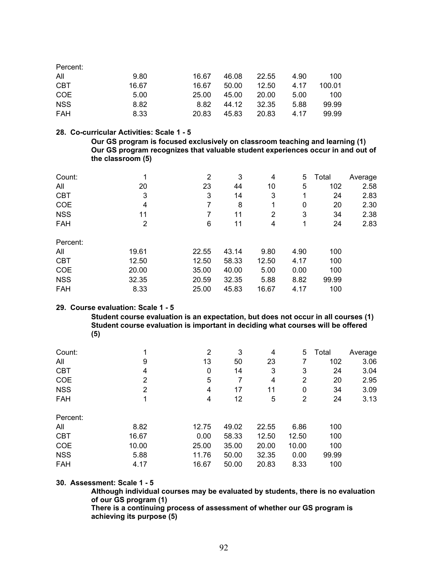| Percent:   |       |       |       |       |      |        |
|------------|-------|-------|-------|-------|------|--------|
| All        | 9.80  | 16.67 | 46.08 | 22.55 | 4.90 | 100    |
| <b>CBT</b> | 16.67 | 16.67 | 50.00 | 12.50 | 4.17 | 100.01 |
| COE        | 5.00  | 25.00 | 45.00 | 20.00 | 5.00 | 100    |
| <b>NSS</b> | 8.82  | 8.82  | 44.12 | 32.35 | 5.88 | 99.99  |
| <b>FAH</b> | 8.33  | 20.83 | 45.83 | 20.83 | 4.17 | 99.99  |

#### **28. Co-curricular Activities: Scale 1 - 5**

 **Our GS program is focused exclusively on classroom teaching and learning (1) Our GS program recognizes that valuable student experiences occur in and out of the classroom (5)** 

| Count:     | 1     | 2     | 3     | 4     | 5    | Total | Average |
|------------|-------|-------|-------|-------|------|-------|---------|
| All        | 20    | 23    | 44    | 10    | 5    | 102   | 2.58    |
| <b>CBT</b> | 3     | 3     | 14    | 3     | 1    | 24    | 2.83    |
| COE        | 4     | 7     | 8     | 1     | 0    | 20    | 2.30    |
| <b>NSS</b> | 11    |       | 11    | 2     | 3    | 34    | 2.38    |
| <b>FAH</b> | 2     | 6     | 11    | 4     | 1    | 24    | 2.83    |
| Percent:   |       |       |       |       |      |       |         |
| All        | 19.61 | 22.55 | 43.14 | 9.80  | 4.90 | 100   |         |
| <b>CBT</b> | 12.50 | 12.50 | 58.33 | 12.50 | 4.17 | 100   |         |
| COE        | 20.00 | 35.00 | 40.00 | 5.00  | 0.00 | 100   |         |
| <b>NSS</b> | 32.35 | 20.59 | 32.35 | 5.88  | 8.82 | 99.99 |         |
| <b>FAH</b> | 8.33  | 25.00 | 45.83 | 16.67 | 4.17 | 100   |         |

#### **29. Course evaluation: Scale 1 - 5**

 **Student course evaluation is an expectation, but does not occur in all courses (1) Student course evaluation is important in deciding what courses will be offered (5)** 

| Count:     |       | 2     | 3     | 4     | 5              | Total | Average |
|------------|-------|-------|-------|-------|----------------|-------|---------|
| All        | 9     | 13    | 50    | 23    | 7              | 102   | 3.06    |
| <b>CBT</b> | 4     | 0     | 14    | 3     | 3              | 24    | 3.04    |
| COE        | 2     | 5     | 7     | 4     | 2              | 20    | 2.95    |
| <b>NSS</b> | 2     | 4     | 17    | 11    | 0              | 34    | 3.09    |
| <b>FAH</b> | 1     | 4     | 12    | 5     | $\overline{2}$ | 24    | 3.13    |
| Percent:   |       |       |       |       |                |       |         |
| All        | 8.82  | 12.75 | 49.02 | 22.55 | 6.86           | 100   |         |
| <b>CBT</b> | 16.67 | 0.00  | 58.33 | 12.50 | 12.50          | 100   |         |
| COE        | 10.00 | 25.00 | 35.00 | 20.00 | 10.00          | 100   |         |
| <b>NSS</b> | 5.88  | 11.76 | 50.00 | 32.35 | 0.00           | 99.99 |         |
| <b>FAH</b> | 4.17  | 16.67 | 50.00 | 20.83 | 8.33           | 100   |         |

**30. Assessment: Scale 1 - 5** 

**Although individual courses may be evaluated by students, there is no evaluation of our GS program (1) There is a continuing process of assessment of whether our GS program is achieving its purpose (5)**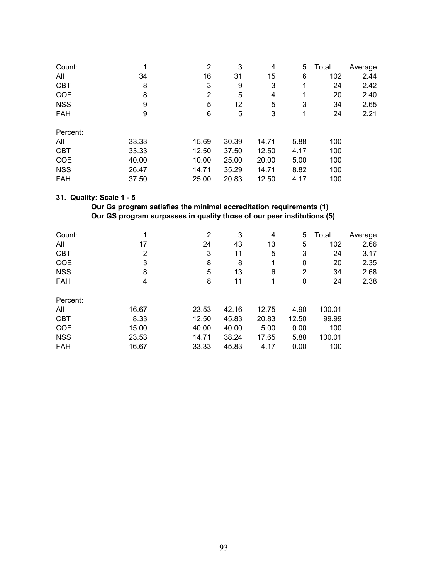| Count:     | 1     | 2     | 3     | 4     | 5    | Total | Average |
|------------|-------|-------|-------|-------|------|-------|---------|
| All        | 34    | 16    | 31    | 15    | 6    | 102   | 2.44    |
| <b>CBT</b> | 8     | 3     | 9     | 3     | 1    | 24    | 2.42    |
| <b>COE</b> | 8     | 2     | 5     | 4     | 1    | 20    | 2.40    |
| <b>NSS</b> | 9     | 5     | 12    | 5     | 3    | 34    | 2.65    |
| <b>FAH</b> | 9     | 6     | 5     | 3     | 1    | 24    | 2.21    |
| Percent:   |       |       |       |       |      |       |         |
| All        | 33.33 | 15.69 | 30.39 | 14.71 | 5.88 | 100   |         |
| <b>CBT</b> | 33.33 | 12.50 | 37.50 | 12.50 | 4.17 | 100   |         |
| <b>COE</b> | 40.00 | 10.00 | 25.00 | 20.00 | 5.00 | 100   |         |
| <b>NSS</b> | 26.47 | 14.71 | 35.29 | 14.71 | 8.82 | 100   |         |
| <b>FAH</b> | 37.50 | 25.00 | 20.83 | 12.50 | 4.17 | 100   |         |

### **31. Quality: Scale 1 - 5**

### **Our Gs program satisfies the minimal accreditation requirements (1) Our GS program surpasses in quality those of our peer institutions (5)**

| Count:     |                | 2     | 3     | 4     | 5     | Total  | Average |
|------------|----------------|-------|-------|-------|-------|--------|---------|
| All        | 17             | 24    | 43    | 13    | 5     | 102    | 2.66    |
| <b>CBT</b> | $\overline{2}$ | 3     | 11    | 5     | 3     | 24     | 3.17    |
| <b>COE</b> | 3              | 8     | 8     | 1     | 0     | 20     | 2.35    |
| <b>NSS</b> | 8              | 5     | 13    | 6     | 2     | 34     | 2.68    |
| FAH        | 4              | 8     | 11    | 1     | 0     | 24     | 2.38    |
| Percent:   |                |       |       |       |       |        |         |
| All        | 16.67          | 23.53 | 42.16 | 12.75 | 4.90  | 100.01 |         |
| <b>CBT</b> | 8.33           | 12.50 | 45.83 | 20.83 | 12.50 | 99.99  |         |
| <b>COE</b> | 15.00          | 40.00 | 40.00 | 5.00  | 0.00  | 100    |         |
| <b>NSS</b> | 23.53          | 14.71 | 38.24 | 17.65 | 5.88  | 100.01 |         |
| <b>FAH</b> | 16.67          | 33.33 | 45.83 | 4.17  | 0.00  | 100    |         |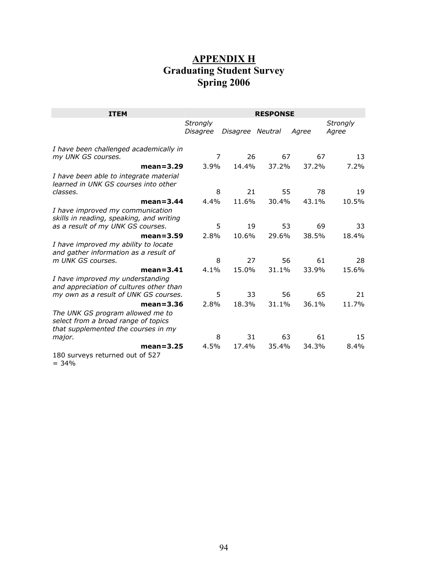## **APPENDIX H Graduating Student Survey Spring 2006**

| <b>ITEM</b>                                                                                                                     | <b>RESPONSE</b>             |                  |       |       |                   |
|---------------------------------------------------------------------------------------------------------------------------------|-----------------------------|------------------|-------|-------|-------------------|
|                                                                                                                                 | <b>Strongly</b><br>Disagree | Disagree Neutral |       | Agree | Strongly<br>Agree |
| I have been challenged academically in<br>my UNK GS courses.                                                                    | 7                           | 26               | 67    | 67    | 13                |
| $mean = 3.29$<br>I have been able to integrate material<br>learned in UNK GS courses into other                                 | 3.9%                        | 14.4%            | 37.2% | 37.2% | 7.2%              |
| classes.                                                                                                                        | 8                           | 21               | 55    | 78    | 19                |
| $mean = 3.44$<br>I have improved my communication<br>skills in reading, speaking, and writing                                   | 4.4%                        | 11.6%            | 30.4% | 43.1% | 10.5%             |
| as a result of my UNK GS courses.                                                                                               | 5                           | 19               | 53    | 69    | 33                |
| $mean = 3.59$<br>I have improved my ability to locate<br>and gather information as a result of                                  | 2.8%                        | 10.6%            | 29.6% | 38.5% | 18.4%             |
| m UNK GS courses.                                                                                                               | 8                           | 27               | 56    | 61    | 28                |
| $mean = 3.41$<br>I have improved my understanding<br>and appreciation of cultures other than                                    | $4.1\%$                     | 15.0%            | 31.1% | 33.9% | 15.6%             |
| my own as a result of UNK GS courses.                                                                                           | 5                           | 33               | 56    | 65    | 21                |
| $mean = 3.36$<br>The UNK GS program allowed me to<br>select from a broad range of topics<br>that supplemented the courses in my | 2.8%                        | 18.3%            | 31.1% | 36.1% | 11.7%             |
| major.                                                                                                                          | 8                           | 31               | 63    | 61    | 15                |
| $mean = 3.25$<br>180 surveys returned out of 527                                                                                | 4.5%                        | 17.4%            | 35.4% | 34.3% | 8.4%              |

 $= 34%$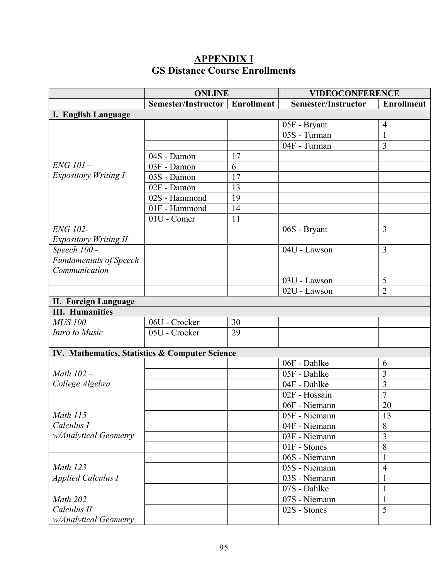## **APPENDIX I GS Distance Course Enrollments**

|                                                | <b>ONLINE</b>                                   |    | <b>VIDEOCONFERENCE</b>     |                   |  |
|------------------------------------------------|-------------------------------------------------|----|----------------------------|-------------------|--|
|                                                | <b>Semester/Instructor</b><br><b>Enrollment</b> |    | <b>Semester/Instructor</b> | <b>Enrollment</b> |  |
| I. English Language                            |                                                 |    |                            |                   |  |
|                                                |                                                 |    | 05F - Bryant               | $\overline{4}$    |  |
|                                                |                                                 |    | 05S - Turman               | $\mathbf{1}$      |  |
|                                                |                                                 |    | 04F - Turman               | $\overline{3}$    |  |
|                                                | 04S - Damon                                     | 17 |                            |                   |  |
| ENG 101-                                       | 03F - Damon                                     | 6  |                            |                   |  |
| <b>Expository Writing I</b>                    | 03S - Damon                                     | 17 |                            |                   |  |
|                                                | 02F - Damon                                     | 13 |                            |                   |  |
|                                                | 02S - Hammond                                   | 19 |                            |                   |  |
|                                                | 01F - Hammond                                   | 14 |                            |                   |  |
|                                                | 01U - Comer                                     | 11 |                            |                   |  |
| <b>ENG 102-</b>                                |                                                 |    | 06S - Bryant               | 3                 |  |
| <b>Expository Writing II</b>                   |                                                 |    |                            |                   |  |
| Speech 100 -                                   |                                                 |    | 04U - Lawson               | $\overline{3}$    |  |
| <b>Fundamentals of Speech</b>                  |                                                 |    |                            |                   |  |
| Communication                                  |                                                 |    |                            |                   |  |
|                                                |                                                 |    | 03U - Lawson               | 5                 |  |
|                                                |                                                 |    | 02U - Lawson               | $\overline{2}$    |  |
| <b>II. Foreign Language</b>                    |                                                 |    |                            |                   |  |
| <b>III. Humanities</b>                         |                                                 |    |                            |                   |  |
| $\overline{M}$ US 100 –                        | 06U - Crocker                                   | 30 |                            |                   |  |
| Intro to Music                                 | 05U - Crocker                                   | 29 |                            |                   |  |
|                                                |                                                 |    |                            |                   |  |
| IV. Mathematics, Statistics & Computer Science |                                                 |    |                            |                   |  |
|                                                |                                                 |    | 06F - Dahlke               | 6                 |  |
| Math $102-$                                    |                                                 |    | 05F - Dahlke               | 3                 |  |
| College Algebra                                |                                                 |    | 04F - Dahlke               | $\overline{3}$    |  |
|                                                |                                                 |    | 02F - Hossain              | $\overline{7}$    |  |
|                                                |                                                 |    | 06F - Niemann              | 20                |  |
| Math $115-$                                    |                                                 |    | 05F - Niemann              | 13                |  |
| Calculus I                                     |                                                 |    | 04F - Niemann              | 8                 |  |
| w/Analytical Geometry                          |                                                 |    | 03F - Niemann              | 3                 |  |
|                                                |                                                 |    | $01F -$ Stones             | 8                 |  |
|                                                |                                                 |    | 06S - Niemann              |                   |  |
| Math $123-$                                    |                                                 |    | 05S - Niemann              | $\overline{4}$    |  |
| <b>Applied Calculus I</b>                      |                                                 |    | 03S - Niemann              |                   |  |
|                                                |                                                 |    | 07S - Dahlke               | $\mathbf{1}$      |  |
| Math 202-                                      |                                                 |    | 07S - Niemann              | 1                 |  |
| Calculus II                                    |                                                 |    | 02S - Stones               | 5                 |  |
| w/Analytical Geometry                          |                                                 |    |                            |                   |  |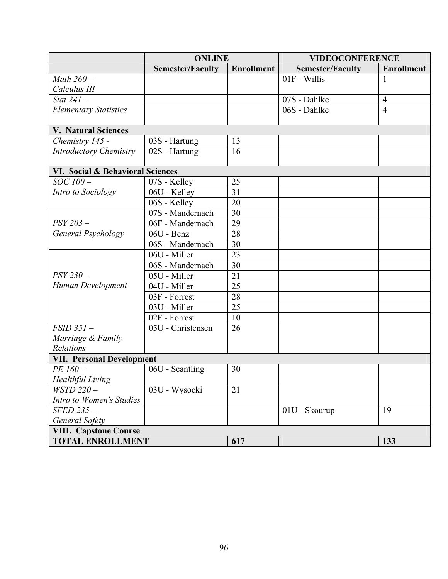|                                  | <b>ONLINE</b>           |                   | <b>VIDEOCONFERENCE</b>  |                   |  |  |  |
|----------------------------------|-------------------------|-------------------|-------------------------|-------------------|--|--|--|
|                                  | <b>Semester/Faculty</b> | <b>Enrollment</b> | <b>Semester/Faculty</b> | <b>Enrollment</b> |  |  |  |
| Math $260-$                      |                         |                   | 01F - Willis            | 1                 |  |  |  |
| Calculus III                     |                         |                   |                         |                   |  |  |  |
| Stat $241-$                      |                         |                   | 07S - Dahlke            | $\overline{4}$    |  |  |  |
| <b>Elementary Statistics</b>     |                         |                   | 06S - Dahlke            | $\overline{4}$    |  |  |  |
|                                  |                         |                   |                         |                   |  |  |  |
| <b>V. Natural Sciences</b>       |                         |                   |                         |                   |  |  |  |
| Chemistry 145 -                  | 03S - Hartung           | 13                |                         |                   |  |  |  |
| <b>Introductory Chemistry</b>    | 02S - Hartung           | 16                |                         |                   |  |  |  |
|                                  |                         |                   |                         |                   |  |  |  |
| VI. Social & Behavioral Sciences |                         |                   |                         |                   |  |  |  |
| SOC 100-                         | 07S - Kelley            | 25                |                         |                   |  |  |  |
| Intro to Sociology               | 06U - Kelley            | 31                |                         |                   |  |  |  |
|                                  | 06S - Kelley            | 20                |                         |                   |  |  |  |
|                                  | 07S - Mandernach        | 30                |                         |                   |  |  |  |
| $PSY 203 -$                      | 06F - Mandernach        | 29                |                         |                   |  |  |  |
| General Psychology               | 06U - Benz              | 28                |                         |                   |  |  |  |
|                                  | 06S - Mandernach        | 30                |                         |                   |  |  |  |
|                                  | 06U - Miller            | 23                |                         |                   |  |  |  |
|                                  | 06S - Mandernach        | 30                |                         |                   |  |  |  |
| $PSY230-$                        | 05U - Miller            | 21                |                         |                   |  |  |  |
| Human Development                | 04U - Miller            | 25                |                         |                   |  |  |  |
|                                  | 03F - Forrest           | 28                |                         |                   |  |  |  |
|                                  | 03U - Miller            | 25                |                         |                   |  |  |  |
|                                  | 02F - Forrest           | 10                |                         |                   |  |  |  |
| $FSID$ 351 $-$                   | 05U - Christensen       | 26                |                         |                   |  |  |  |
| Marriage & Family                |                         |                   |                         |                   |  |  |  |
| Relations                        |                         |                   |                         |                   |  |  |  |
| <b>VII. Personal Development</b> |                         |                   |                         |                   |  |  |  |
| PE 160-                          | 06U - Scantling         | 30                |                         |                   |  |  |  |
| <b>Healthful Living</b>          |                         |                   |                         |                   |  |  |  |
| $WSTD$ 220 -                     | 03U - Wysocki           | 21                |                         |                   |  |  |  |
| Intro to Women's Studies         |                         |                   |                         |                   |  |  |  |
| SFED 235-                        |                         |                   | 01U - Skourup           | 19                |  |  |  |
| <b>General Safety</b>            |                         |                   |                         |                   |  |  |  |
| <b>VIII. Capstone Course</b>     |                         |                   |                         |                   |  |  |  |
| <b>TOTAL ENROLLMENT</b>          |                         | 617               |                         | 133               |  |  |  |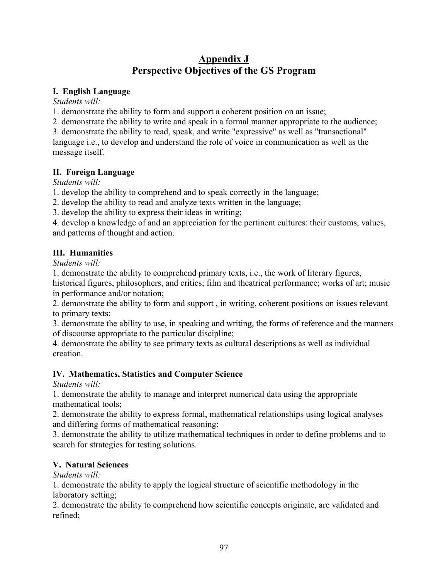# **Appendix J Perspective Objectives of the GS Program**

### **I. English Language**

*Students will:* 

1. demonstrate the ability to form and support a coherent position on an issue;

2. demonstrate the ability to write and speak in a formal manner appropriate to the audience;

3. demonstrate the ability to read, speak, and write "expressive" as well as "transactional" language i.e., to develop and understand the role of voice in communication as well as the message itself.

## **II. Foreign Language**

*Students will:* 

1. develop the ability to comprehend and to speak correctly in the language;

2. develop the ability to read and analyze texts written in the language;

3. develop the ability to express their ideas in writing;

4. develop a knowledge of and an appreciation for the pertinent cultures: their customs, values, and patterns of thought and action.

## **III. Humanities**

*Students will:* 

1. demonstrate the ability to comprehend primary texts, i.e., the work of literary figures,

historical figures, philosophers, and critics; film and theatrical performance; works of art; music in performance and/or notation;

2. demonstrate the ability to form and support , in writing, coherent positions on issues relevant to primary texts;

3. demonstrate the ability to use, in speaking and writing, the forms of reference and the manners of discourse appropriate to the particular discipline;

4. demonstrate the ability to see primary texts as cultural descriptions as well as individual creation.

## **IV. Mathematics, Statistics and Computer Science**

*Students will:* 

1. demonstrate the ability to manage and interpret numerical data using the appropriate mathematical tools;

2. demonstrate the ability to express formal, mathematical relationships using logical analyses and differing forms of mathematical reasoning;

3. demonstrate the ability to utilize mathematical techniques in order to define problems and to search for strategies for testing solutions.

## **V. Natural Sciences**

*Students will:* 

1. demonstrate the ability to apply the logical structure of scientific methodology in the laboratory setting;

2. demonstrate the ability to comprehend how scientific concepts originate, are validated and refined;